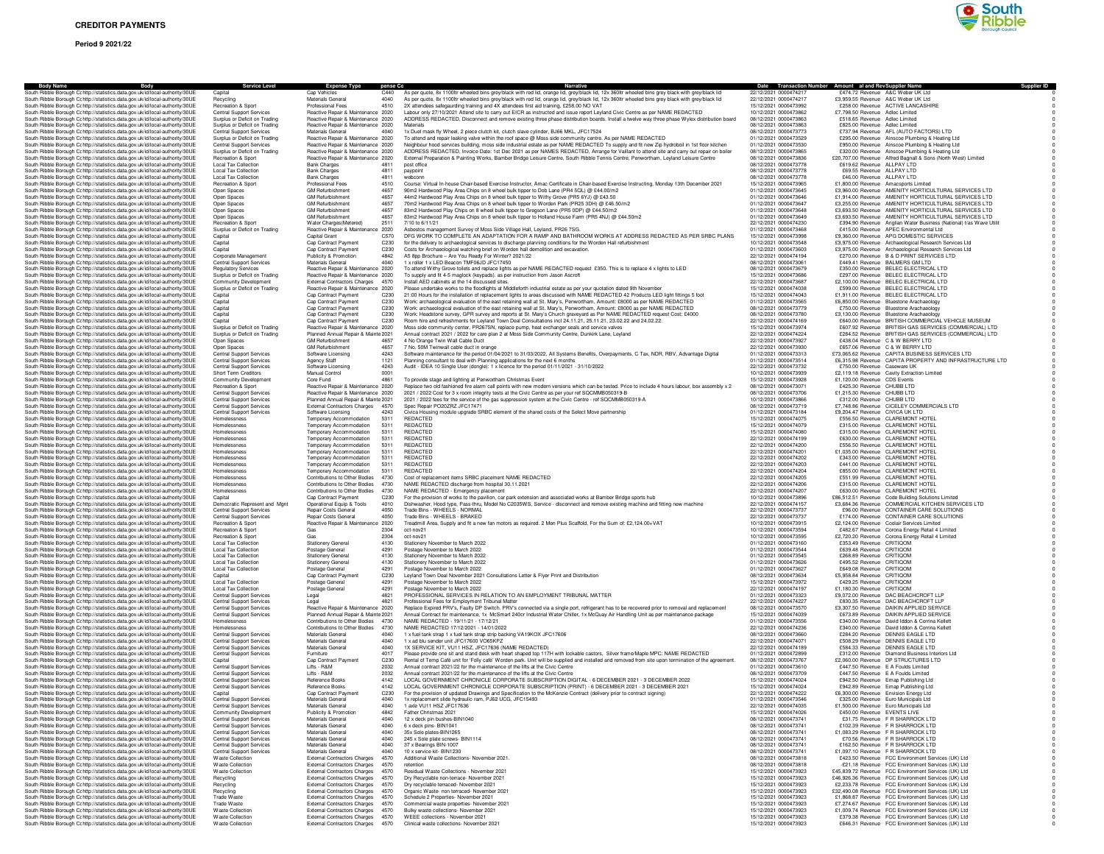# **Period 9 2021/22**



| <b>Body Name</b><br>Body<br>South Ribble Borough Cc http://statistics.data.gov.uk/id/local-authority/30UE                                                      | <b>Service Level</b><br>Capital                                    | <b>Expense Type</b><br>Cap Vehicles                                        | pense Cc<br>C440 | Narrative<br>As per quote, 8x 1100ltr wheeled bins grey/black with red lid, orange lid, grey/black lid, 12x 360ltr wheeled bins grey black with grey/black lid                                                                                                               | 22/12/2021 0000474217                          | Date Transaction Number Amount al and Rev Supplier Name<br>£474.72 Revenue A&C Weber UK Ltd        |                                                                                                              |
|----------------------------------------------------------------------------------------------------------------------------------------------------------------|--------------------------------------------------------------------|----------------------------------------------------------------------------|------------------|------------------------------------------------------------------------------------------------------------------------------------------------------------------------------------------------------------------------------------------------------------------------------|------------------------------------------------|----------------------------------------------------------------------------------------------------|--------------------------------------------------------------------------------------------------------------|
| South Ribble Borough Cohttp://statistics.data.gov.uk/id/local-authority/30UE                                                                                   | Recycling                                                          | Materials General                                                          | 4040             | As per quote, 8x 1100ltr wheeled bins grey/black with red lid, orange lid, grey/black lid, 12x 360ltr wheeled bins grey black with grey/black lid                                                                                                                            | 22/12/2021 0000474217                          | £3,959.55 Revenue A&C Weber UK Ltd                                                                 |                                                                                                              |
| South Ribble Borough Cc http://statistics.data.gov.uk/id/local-authority/30UE                                                                                  | Recreation & Sport                                                 | <b>Professional Fees</b>                                                   | 4510             | 2X attendees safegaurding training and 4X attendees first aid training, £258.00 NO VAT                                                                                                                                                                                       | 15/12/2021 0000473992                          | £258.00 Revenue ACTIVE LANCASHIRE                                                                  |                                                                                                              |
| South Ribble Borough Cc http://statistics.data.gov.uk/id/local-authority/30UE<br>South Ribble Borough Cc http://statistics.data.gov.uk/id/local-authority/30UE | <b>Central Support Services</b><br>Surplus or Deficit on Trading   | Reactive Repair & Maintenance 2020<br>Reactive Repair & Maintenance 2020   |                  | Labour only 27/10/2021 Attend site to carry out EICR as instructed and issue report Leyland Civic Centre as per NAME REDACTED<br>ADDRESS REDACTED, Disconnect and remove existing three phase distribution boards. Install a twelve way three phase Wylex distribution board | 10/12/2021 0000473862<br>08/12/2021 0000473863 | £7,798.50 Revenue Adlec Limited<br>£518.65 Revenue Adlec Limited                                   |                                                                                                              |
| South Ribble Borough Cc http://statistics.data.gov.uk/id/local-authority/30UE                                                                                  | Surplus or Deficit on Trading                                      | Reactive Repair & Maintenance 2020                                         |                  | Materials                                                                                                                                                                                                                                                                    | 08/12/2021 0000473863                          | £825.00 Revenue Adlec Limited                                                                      |                                                                                                              |
| South Ribble Borough Cc http://statistics.data.gov.uk/id/local-authority/30UE                                                                                  | <b>Central Support Services</b>                                    | Materials General                                                          | 4040             | 1x Duel mask fly Wheel, 2 piece clutch kit, clutch slave cylinder, BJ66 MKL, JFC17524                                                                                                                                                                                        | 08/12/2021 0000473773                          | £737.94 Revenue AFL (AUTO FACTORS) LTD                                                             |                                                                                                              |
| South Ribble Borough Cc http://statistics.data.gov.uk/id/local-authority/30UE<br>South Ribble Borough C: http://statistics.data.gov.uk/id/local-authority/30UE | Surplus or Deficit on Trading<br>Central Support Services          | Reactive Repair & Maintenance 2020<br>Reactive Repair & Maintenance 2020   |                  | To attend and repair leaking valve within the roof space @ Moss side community centre. As per NAME REDACTED<br>Neighbour hood services building, moss side industrial estate as per NAME REDACTED To supply and fit new Zip hydroboil in 1st floor kitchen                   | 01/12/2021 0000473529<br>01/12/2021 0000473530 |                                                                                                    | £295.00 Revenue Ainscoe Plumbing & Heating Ltd<br>£950.00 Revenue Ainscoe Plumbing & Heating Ltd             |
| South Ribble Borough Cc http://statistics.data.gov.uk/id/local-authority/30UE                                                                                  | Surplus or Deficit on Trading                                      | Reactive Repair & Maintenance 2020                                         |                  | ADDRESS REDACTED, Invoice Date: 1st Dec 2021 as per NAMES REDACTED, Arrange for Vaillant to attend site and carry out repair on boiler                                                                                                                                       | 08/12/2021 0000473865                          |                                                                                                    | £320.00 Revenue Ainscoe Plumbing & Heating Ltd                                                               |
| South Ribble Borough Cohttp://statistics.data.gov.uk/id/local-authority/30UE                                                                                   | Recreation & Sport                                                 | Reactive Repair & Maintenance 2020                                         |                  | External Preparation & Painting Works, Bamber Bridge Leisure Centre, South Ribble Tennis Centre, Penwortham, Leyland Leisure Centre                                                                                                                                          | 08/12/2021 0000473836                          |                                                                                                    | £20,707.00 Revenue Alfred Bagnall & Sons (North West) Limited                                                |
| South Ribble Borough Cohttp://statistics.data.gov.uk/id/local-authority/30UE                                                                                   | <b>Local Tax Collection</b>                                        | <b>Bank Charges</b>                                                        | 4811<br>4811     | post office                                                                                                                                                                                                                                                                  | 08/12/2021 0000473778<br>08/12/2021 0000473778 | £619.62 Revenue ALLPAY LTD<br>£69.55 Revenue ALLPAY LTD                                            |                                                                                                              |
| South Ribble Borough Cc http://statistics.data.gov.uk/id/local-authority/30UE<br>South Ribble Borough Cc http://statistics.data.gov.uk/id/local-authority/30UE | <b>Local Tax Collection</b><br><b>Local Tax Collection</b>         | <b>Bank Charges</b><br><b>Bank Charges</b>                                 | 4811             | paypoint<br>webconn                                                                                                                                                                                                                                                          | 08/12/2021 0000473778                          | £46.00 Revenue ALLPAY LTD                                                                          |                                                                                                              |
| South Ribble Borough Cc http://statistics.data.gov.uk/id/local-authority/30UE                                                                                  | Recreation & Sport                                                 | Professional Fees                                                          | 4510             | Course: Virtual In-house Chair-based Exercise Instructor, Amac Certificate in Chair-based Exercise Instructing, Monday 13th December 2021                                                                                                                                    | 15/12/2021 0000473965                          | £1,800.00 Revenue Amacsports Limited                                                               |                                                                                                              |
| South Ribble Borough Cc http://statistics.data.gov.uk/id/local-authority/30UE                                                                                  | Open Spaces                                                        | <b>GM Refurbishment</b>                                                    | 4657<br>4657     | 90m2 Hardwood Play Area Chips on 8 wheel bulk tipper to Dob Lane (PR4 5QL) @ £44.00/m2                                                                                                                                                                                       | 01/12/2021 0000473645                          |                                                                                                    | £3,960.00 Revenue AMENITY HORTICULTURAL SERVICES LTD                                                         |
| South Ribble Borough Cc http://statistics.data.gov.uk/id/local-authority/30UE<br>South Ribble Borough Cc http://statistics.data.gov.uk/id/local-authority/30UE | Open Spaces<br>Open Spaces                                         | <b>GM Refurbishment</b><br><b>GM Refurbishment</b>                         | 4657             | 44m2 Hardwood Play Area Chips on 8 wheel bulk tipper to Withy Grove (PR5 6YJ) @ £43.50<br>70m2 Hardwood Play Area Chips on 8 wheel bulk tipper to Worden Park (PR25 3DH) @ £46.50/m2                                                                                         | 01/12/2021 0000473646<br>01/12/2021 0000473647 |                                                                                                    | £1,914.00 Revenue AMENITY HORTICULTURAL SERVICES LTD<br>£3,255.00 Revenue AMENITY HORTICULTURAL SERVICES LTD |
| South Ribble Borough Cc http://statistics.data.gov.uk/id/local-authority/30UE                                                                                  | Open Spaces                                                        | <b>GM Refurbishment</b>                                                    | 4657             | 83m2 Hardwood Play Chips on 8 wheel bulk tipper to Gregson Lane (PR5 0DP) @ £44.50/m2                                                                                                                                                                                        | 01/12/2021 0000473648                          |                                                                                                    | £3,693.50 Revenue AMENITY HORTICULTURAL SERVICES LTD                                                         |
| South Ribble Borough Cohttp://statistics.data.gov.uk/id/local-authority/30UE                                                                                   | Open Spaces                                                        | <b>GM Refurbishment</b>                                                    | 4657             | 83m2 Hardwood Play Area Chips on 8 wheel bulk tipper to Holland House Farm (PR5 4NJ) @ £44.50m2                                                                                                                                                                              | 01/12/2021 0000473649                          |                                                                                                    | £3,693.50 Revenue AMENITY HORTICULTURAL SERVICES LTD                                                         |
| South Ribble Borough Cc http://statistics.data.gov.uk/id/local-authority/30UE<br>South Ribble Borough Cc http://statistics.data.gov.uk/id/local-authority/30UE | Recreation & Sport<br>Surplus or Deficit on Trading                | Water Charges(Metered)<br>Reactive Repair & Maintenance 2020               | 2511             | 7/10 to 6/11/21<br>Asbestos management Survey of Moss Side Village Hall, Leyland, PR26 7SG.                                                                                                                                                                                  | 22/12/2021 0000474230<br>01/12/2021 0000473468 | £415.00 Revenue APEC Environmental Ltd                                                             | £394.90 Revenue Anglian Water Business (National) t/as Wave Utilit                                           |
| South Ribble Borough Cc http://statistics.data.gov.uk/id/local-authority/30UE                                                                                  | Capital                                                            | Capital Grant                                                              | C570             | DFG WORK TO COMPLETE AN ADAPTATION FOR A RAMP AND BATHROOM WORKS AT ADDRESS REDACTED AS PER SRBC PLANS                                                                                                                                                                       | 15/12/2021 0000473998                          | £9,360.00 Revenue APG DOMESTIC SERVICES                                                            |                                                                                                              |
| South Ribble Borough Cc http://statistics.data.gov.uk/id/local-authority/30UE                                                                                  | Capital                                                            | Cap Contract Payment                                                       | C230             | for the delivery to archaeological services to discharge planning conditions for the Worden Hall refurbishment                                                                                                                                                               | 10/12/2021 0000473548                          |                                                                                                    | £3,975.00 Revenue Archaeological Research Services Ltd                                                       |
| South Ribble Borough Cc http://statistics.data.gov.uk/id/local-authority/30UE<br>South Ribble Borough Cc http://statistics.data.gov.uk/id/local-authority/30UE | Capital<br>Corporate Management                                    | Cap Contract Payment<br>Publicity & Promotion                              | C230<br>4842     | Costs for Archaeological watching brief on Worden hall demolition and excavation.<br>A5 8pp Brochure - Are You Ready For Winter? 2021/22                                                                                                                                     | 01/12/2021 0000473603<br>22/12/2021 0000474194 | £270.00 Revenue B & D PRINT SERVICES LTD                                                           | £3,975.00 Revenue Archaeological Research Services Ltd                                                       |
| South Bibble Borough Critto://statistics.data.gov.uk/id/local-authority/30UE                                                                                   | Central Support Services                                           | Materials General                                                          | 4040             | 1 x roller 1 x LED Beacon TMF06JD JFC17450                                                                                                                                                                                                                                   | 08/12/2021 0000473061                          | £449.41 Revenue BALMERS GM LTD                                                                     |                                                                                                              |
| South Ribble Borough Cohttp://statistics.data.gov.uk/id/local-authority/30UE                                                                                   | <b>Begulatory Services</b>                                         | Reactive Repair & Maintenance 2020                                         |                  | To attend Withy Grove toilets and replace lights as per NAME REDACTED request £350. This is to replace 4 x lights to LED                                                                                                                                                     | 08/12/2021 0000473679                          | £350.00 Revenue BELEC ELECTRICAL LTD                                                               |                                                                                                              |
| South Ribble Borough Cc http://statistics.data.gov.uk/id/local-authority/30UE                                                                                  | Surplus or Deficit on Trading<br>Community Development             | Reactive Repair & Maintenance 2020<br>External Contractors Charges 4570    |                  | To supply and fit 4-5 maglock (keypads). as per instruction from Jason Ascroft<br>Install AED cabinets at the 14 discussed sites.                                                                                                                                            | 15/12/2021 0000473686<br>22/12/2021 0000473687 | £297.00 Revenue BELEC ELECTRICAL LTD<br>£2,100.00 Revenue BELEC ELECTRICAL LTD                     |                                                                                                              |
| South Ribble Borough Cc http://statistics.data.gov.uk/id/local-authority/30UE<br>South Ribble Borough Cc http://statistics.data.gov.uk/id/local-authority/30UE | Surplus or Deficit on Trading                                      | Reactive Repair & Maintenance 2020                                         |                  | Please undertake works to the floodlights at Middleforth industrial estate as per your quotation dated 9th November                                                                                                                                                          | 15/12/2021 0000474038                          | £599.00 Revenue BELEC ELECTRICAL LTD                                                               |                                                                                                              |
| South Ribble Borough Cc http://statistics.data.gov.uk/id/local-authority/30UE                                                                                  |                                                                    | Cap Contract Payment                                                       | C <sub>230</sub> | 21:00 Hours for the installation of replacement lights to areas discussed with NAME REDACTED 42 Products LED light fittings 5 foot                                                                                                                                           | 15/12/2021 0000474043                          | £1,911.00 Revenue BELEC ELECTRICAL LTD                                                             |                                                                                                              |
| South Ribble Borough Cc http://statistics.data.gov.uk/id/local-authority/30UE                                                                                  | Capital                                                            | Cap Contract Payment                                                       | C230             | Work: archaeological evaluation of the east retaining wall at St. Mary's, Penwortham, Amount: £8000 as per NAME REDACTED                                                                                                                                                     | 01/12/2021 0000473565                          | £6,850.00 Revenue Bluestone Arachaeology                                                           |                                                                                                              |
| South Ribble Borough C: http://statistics.data.gov.uk/id/local-authority/30UE<br>South Ribble Borough Cc http://statistics.data.gov.uk/id/local-authority/30UE | Capital<br>Capital                                                 | Cap Contract Payment<br>Cap Contract Payment                               | C230<br>C230     | Work: archaeological evaluation of the east retaining wall at St. Mary's, Penwortham, Amount: £8000 as per NAME REDACTED<br>Work: Headstone survey, GPR survey and reports at St. Mary's Church graveyard as Per NAME REDACTED request Cost: £4000                           | 08/12/2021 0000473779<br>08/12/2021 0000473780 | £750.00 Revenue Bluestone Arachaeology<br>£3,130.00 Revenue Bluestone Arachaeology                 |                                                                                                              |
| South Ribble Borough Cohttp://statistics.data.gov.uk/id/local-authority/30UE                                                                                   | Capital                                                            | Cap Contract Payment                                                       | C230             | Room hire and refreshments for Levland Town Deal Consultations incl 24.11.21. 25.11.21. 23.02.22 and 24.02.22.                                                                                                                                                               | 22/12/2021 0000474169                          |                                                                                                    | £640.00 Revenue BRITISH COMMERCIAL VEHICLE MUSEUM                                                            |
| South Ribble Borough Cohttp://statistics.data.gov.uk/id/local-authority/30UE                                                                                   | Surplus or Deficit on Trading                                      | Reactive Repair & Maintenance 2020                                         |                  | Moss side community center, PR267SN, replace pump, heat exchanger seals and service valves                                                                                                                                                                                   | 15/12/2021 0000473974                          |                                                                                                    | £607.92 Revenue BRITISH GAS SERVICES (COMMERCIAL) LTD                                                        |
| South Ribble Borough Cc http://statistics.data.gov.uk/id/local-authority/30UE<br>South Ribble Borough Cc http://statistics.data.gov.uk/id/local-authority/30UE | Surplus or Deficit on Trading<br>Open Spaces                       | Planned Annual Repair & Mainte 2021<br><b>GM Refurbishment</b>             | 4657             | Annual contract 2021 / 2022 for care plan 2 at Moss Side Community Centre, Dunkirk Lane, Leyland<br>4 No Orange Twin Wall Cable Duct                                                                                                                                         | 22/12/2021 0000474224<br>22/12/2021 0000473927 | £438.04 Revenue C & W BERRY LTD                                                                    | £284.52 Revenue BRITISH GAS SERVICES (COMMERCIAL) LTD                                                        |
| South Ribble Borough Cc http://statistics.data.gov.uk/id/local-authority/30UE                                                                                  | Open Spaces                                                        | <b>GM Refurbishment</b>                                                    | 4657             | 7 No. 50M Twinwall cable duct in orange                                                                                                                                                                                                                                      | 22/12/2021 0000473930                          | £657.06 Revenue C & W BERRY LTD                                                                    |                                                                                                              |
| South Ribble Borough Cc http://statistics.data.gov.uk/id/local-authority/30UE                                                                                  | <b>Central Support Services</b>                                    | Software Licensing                                                         | 4243             | Software maintenance for the period 01/04/2021 to 31/03/2022, All Systems Benefits, Overpayments, C Tax, NDR, RBV, Advantage Digital                                                                                                                                         | 01/12/2021 0000473313                          |                                                                                                    | £73,065.62 Revenue CAPITA BUSINESS SERVICES LTD                                                              |
| South Ribble Borough Cc http://statistics.data.gov.uk/id/local-authority/30UE<br>South Ribble Borough Cr http://statistics.data.gov.uk/id/local-authority/30UE | <b>Central Support Services</b><br><b>Central Support Services</b> | Agency Staff<br>Software Licensing                                         | 1121<br>4243     | Planning consultant to deal with Planning applications for the next 6 months<br>Audit - IDEA 10 Single User (dongle): 1 x licence for the period 01/11/2021 - 31/10/2022                                                                                                     | 01/12/2021 0000473514<br>22/12/2021 0000473732 | £750.00 Revenue Caseware UK                                                                        | £6,315.98 Revenue CAPITA PROPERTY AND INFRASTRUCTURE LTD                                                     |
| South Ribble Borough Cc http://statistics.data.gov.uk/id/local-authority/30UE                                                                                  | Short Term Creditors                                               | Manual Control                                                             | 0001             |                                                                                                                                                                                                                                                                              | 10/12/2021 0000473939                          | £2,119.18 Revenue Cavity Extraction Limited                                                        |                                                                                                              |
| South Ribble Borough Cohttp://statistics.data.gov.uk/id/local-authority/30UE                                                                                   | Community Development                                              | Core Fund                                                                  | 4861             | To provide stage and lighting at Penwortham Christmas Event                                                                                                                                                                                                                  | 15/12/2021 0000473928                          | £1.120.00 Revenue CDS Events                                                                       |                                                                                                              |
| South Ribble Borough Cohttp://statistics.data.gov.uk/id/local-authority/30UE                                                                                   | Recreation & Sport                                                 | Reactive Repair & Maintenance 2020<br>Reactive Repair & Maintenance 2020   |                  | Replace two old fashioned fire alarm call points with new modern versions which can be tested. Price to include 4 hours labour, box assembly x 2                                                                                                                             | 08/12/2021 0000473071                          | £425.30 Revenue CHUBB LTD                                                                          |                                                                                                              |
| South Ribble Borough Cc http://statistics.data.gov.uk/id/local-authority/30UE<br>South Ribble Borough Cc http://statistics.data.gov.uk/id/local-authority/30UE | Central Support Services<br><b>Central Support Services</b>        | Planned Annual Repair & Mainte 2021                                        |                  | 2021 / 2022 Cost for 3 x room integrity tests at the Civic Centre as per your ref SQCMMB050319-B<br>2021 / 2022 fees for the service of the gas suppression system at the Civic Centre - ref SQCMMB050319-A                                                                  | 08/12/2021 0000473706<br>10/12/2021 0000473866 | £1,215.30 Revenue CHUBB LTD<br>£312.00 Revenue CHUBB LTD                                           |                                                                                                              |
| South Ribble Borough Cc http://statistics.data.gov.uk/id/local-authority/30UE                                                                                  | Central Support Services                                           | External Contractors Charges 4570                                          |                  | Spec Repair PO20ZRZ JFC17471                                                                                                                                                                                                                                                 | 08/12/2021 0000473719                          | £7,748.86 Revenue CICELEY COMMERCIALS LTD                                                          |                                                                                                              |
| South Ribble Borough Cc http://statistics.data.gov.uk/id/local-authority/30UE                                                                                  | <b>Central Support Services</b>                                    | Software Licensing                                                         | 4243             | Civica Housing module upgrade SRBC element of the shared costs of the Select Move partnership                                                                                                                                                                                | 01/12/2021 0000473184                          | £9,204.47 Revenue CIVICA UK LTD                                                                    |                                                                                                              |
| South Ribble Borough Cc http://statistics.data.gov.uk/id/local-authority/30UE<br>South Ribble Borough Cohttp://statistics.data.gov.uk/id/local-authority/30UE  | Homelessness<br>Homelessness                                       | Temporary Accommodation<br>Temporary Accommodation                         | 5311<br>5311     | REDACTED<br>REDACTED                                                                                                                                                                                                                                                         | 15/12/2021 0000474075<br>15/12/2021 0000474079 | £556.50 Revenue CLAREMONT HOTEL<br>£315.00 Revenue CLAREMONT HOTEL                                 |                                                                                                              |
| South Ribble Borough Cohttp://statistics.data.gov.uk/id/local-authority/30UE                                                                                   | Homelessness                                                       | Temporary Accommodation                                                    | 5311             | REDACTED                                                                                                                                                                                                                                                                     | 15/12/2021 0000474080                          | £315.00 Revenue CLAREMONT HOTEL                                                                    |                                                                                                              |
| South Ribble Borough Cc http://statistics.data.gov.uk/id/local-authority/30UE                                                                                  | Homelessness                                                       | Temporary Accommodation                                                    | 5311             | <b>REDACTED</b>                                                                                                                                                                                                                                                              | 22/12/2021 0000474199                          | £630.00 Revenue CLAREMONT HOTEL                                                                    |                                                                                                              |
| South Ribble Borough Cc http://statistics.data.gov.uk/id/local-authority/30UE                                                                                  | Homelessness<br>Homelessness                                       | Temporary Accommodation<br>Temporary Accommodation                         | 5311<br>5311     | REDACTED<br>REDACTED                                                                                                                                                                                                                                                         | 22/12/2021 0000474200<br>22/12/2021 0000474201 | £556.50 Revenue CLAREMONT HOTEL<br>£1,035.00 Revenue CLAREMONT HOTEL                               |                                                                                                              |
| South Ribble Borough Cc http://statistics.data.gov.uk/id/local-authority/30UE<br>South Ribble Borough Cohttp://statistics.data.gov.uk/id/local-authority/30UE  | Homelessness                                                       | Temporary Accommodation                                                    | 5311             | REDACTED                                                                                                                                                                                                                                                                     | 22/12/2021 0000474202                          | £343.00 Revenue CLAREMONT HOTEL                                                                    |                                                                                                              |
| South Ribble Borough Cc http://statistics.data.gov.uk/id/local-authority/30UE                                                                                  | Homelessness                                                       | Temporary Accommodation                                                    | 5311             | REDACTED                                                                                                                                                                                                                                                                     | 22/12/2021 0000474203                          | £441.00 Revenue CLAREMONT HOTEL                                                                    |                                                                                                              |
| South Ribble Borough Cc http://statistics.data.gov.uk/id/local-authority/30UE<br>South Ribble Borough Cc http://statistics.data.gov.uk/id/local-authority/30UE | Homelessness<br>Homelessness                                       | Temporary Accommodation                                                    | 5311<br>4730     | REDACTED                                                                                                                                                                                                                                                                     | 22/12/2021 0000474204                          | £855.00 Revenue CLAREMONT HOTEL<br>£551.99 Revenue CLAREMONT HOTEL                                 |                                                                                                              |
| South Ribble Borough Cohttp://statistics.data.gov.uk/id/local-authority/30UE                                                                                   | Homelessness                                                       | Contributions to Other Bodies<br>Contributions to Other Bodies 4730        |                  | Cost of replacement items SRBC placement NAME REDACTED<br>NAME REDACTED discharge from hospital 30.11.2021                                                                                                                                                                   | 22/12/2021 0000474205<br>22/12/2021 0000474206 | £315.00 Revenue CLAREMONT HOTEL                                                                    |                                                                                                              |
| South Ribble Borough Cohttp://statistics.data.gov.uk/id/local-authority/30UE                                                                                   | Homelessness                                                       | Contributions to Other Bodies 4730                                         |                  | NAME REDACTED - Emergency placement                                                                                                                                                                                                                                          | 22/12/2021 0000474207                          | £630.00 Revenue CLAREMONT HOTEL                                                                    |                                                                                                              |
| South Ribble Borough Cohttp://statistics.data.gov.uk/id/local-authority/30UE                                                                                   | Capital                                                            | Cap Contract Payment                                                       | C230             | For the provision of works to the pavilion, car park extension and associated works at Bamber Bridge sports hub                                                                                                                                                              | 10/12/2021 0000473896                          | £86,512.51 Revenue Code Building Solutions Limited                                                 |                                                                                                              |
| South Ribble Borough Cohttp://statistics.data.gov.uk/id/local-authority/30UE<br>South Ribble Borough Cc http://statistics.data.gov.uk/id/local-authority/30UE  | Democratic Represent and Mgnt<br><b>Central Support Services</b>   | Operational Equip & Tools<br>Repair Costs General                          | 4010<br>4050     | Dishwasher, Hood type, Pass-thru, Model No C2035WS, Service - disconnect and remove existing machine and fitting new machine<br>Trade Bins - WHEELS - NORMAL                                                                                                                 | 22/12/2021 0000474157<br>22/12/2021 0000473737 |                                                                                                    | £3,684.36 Revenue COMMERCIAL KITCHEN SERVICES LTD<br>£96.00 Revenue CONTAINER CARE SOLUTIONS                 |
| South Ribble Borough Cc http://statistics.data.gov.uk/id/local-authority/30UE                                                                                  | <b>Central Support Services</b>                                    | Repair Costs General                                                       | 4050             | Trade Bins - WHEELS - BRAKED                                                                                                                                                                                                                                                 | 22/12/2021 0000473737                          |                                                                                                    | £174.00 Revenue CONTAINER CARE SOLUTIONS                                                                     |
| South Ribble Borough C: http://statistics.data.gov.uk/id/local-authority/30UE                                                                                  | Recreation & Sport                                                 | Reactive Repair & Maintenance 2020                                         |                  | Treadmill Area, Supply and fit a new fan motors as required. 2 Men Plus Scaffold, For the Sum of: £2,124.00+VAT                                                                                                                                                              | 10/12/2021 0000473915                          | £2,124.00 Revenue Coolair Services Limited                                                         |                                                                                                              |
| South Ribble Borough Cc http://statistics.data.gov.uk/id/local-authority/30UE<br>South Ribble Borough Cc http://statistics.data.gov.uk/id/local-authority/30UE | Recreation & Sport<br>Recreation & Sport                           | Gas<br>Gas                                                                 | 2304<br>2304     | oct-nov21<br>oct-nov21                                                                                                                                                                                                                                                       | 10/12/2021 0000473594<br>10/12/2021 0000473595 | £482.67 Revenue Corona Energy Retail 4 Limited<br>£2,720.20 Revenue Corona Energy Retail 4 Limited |                                                                                                              |
| South Ribble Borough Cohttp://statistics.data.gov.uk/id/local-authority/30UE                                                                                   | <b>Local Tax Collection</b>                                        | <b>Stationery General</b>                                                  | 4130             | Stationery November to March 2022                                                                                                                                                                                                                                            | 01/12/2021 0000473160                          | £353.49 Revenue CRITIQOM                                                                           |                                                                                                              |
| South Ribble Borough Cc http://statistics.data.gov.uk/id/local-authority/30UE                                                                                  | <b>Local Tax Collection</b>                                        | Postage General                                                            | 4291             | Postage November to March 2022                                                                                                                                                                                                                                               | 01/12/2021 0000473544                          | £639.48 Revenue CRITIQOM                                                                           |                                                                                                              |
| South Ribble Borough Cc http://statistics.data.gov.uk/id/local-authority/30UE<br>South Ribble Borough Cc http://statistics.data.gov.uk/id/local-authority/30UE | <b>Local Tax Collection</b><br><b>Local Tax Collection</b>         | <b>Stationery General</b><br><b>Stationery General</b>                     | 4130<br>4130     | Stationery November to March 2022<br>Stationery November to March 2022                                                                                                                                                                                                       | 01/12/2021 0000473545<br>01/12/2021 0000473626 | £268.89 Revenue CRITIQOM<br>£495.52 Revenue CRITIQOM                                               |                                                                                                              |
| South Ribble Borough Cc http://statistics.data.gov.uk/id/local-authority/30UE                                                                                  | <b>Local Tax Collection</b>                                        | Postage General                                                            | 4291             | Postage November to March 2022                                                                                                                                                                                                                                               | 01/12/2021 0000473627                          | £649.08 Revenue CRITIQOM                                                                           |                                                                                                              |
| South Ribble Borough Cc http://statistics.data.gov.uk/id/local-authority/30UE                                                                                  | Capital                                                            | Cap Contract Payment                                                       | C230             | Leyland Town Deal November 2021 Consultations Letter & Flyer Print and Distribution                                                                                                                                                                                          | 08/12/2021 0000473634                          | £5,958.84 Revenue CRITIQOM                                                                         |                                                                                                              |
| South Ribble Borough Cc http://statistics.data.gov.uk/id/local-authority/30UE<br>South Ribble Borough Cohttp://statistics.data.gov.uk/id/local-authority/30UE  | <b>Local Tax Collection</b>                                        | Postage General                                                            | 4291<br>4291     | Postage November to March 2022                                                                                                                                                                                                                                               | 15/12/2021 0000473972<br>22/12/2021 0000474197 | £429.25 Revenue CRITIQOM<br>£1,180.30 Revenue CRITIQOM                                             |                                                                                                              |
| South Ribble Borough Cohttp://statistics.data.gov.uk/id/local-authority/30UE                                                                                   | <b>Local Tax Collection</b><br><b>Central Support Services</b>     | Postage General<br>Legal                                                   | 4821             | Postage November to March 2022<br>PROFESSIONAL SERVICES IN RELATION TO AN EMPLOYMENT TRIBUNAL MATTER                                                                                                                                                                         | 01/12/2021 0000473323                          | £9,072.00 Revenue DAC BEACHCROFT LLP                                                               |                                                                                                              |
| South Ribble Borough Cc http://statistics.data.gov.uk/id/local-authority/30UE                                                                                  | <b>Central Support Services</b>                                    | Legal                                                                      | 4821             | Professional Fees for Employment Tribunal Matter                                                                                                                                                                                                                             | 22/12/2021 0000474227                          | £830.35 Revenue DAC BEACHCROFT LLP                                                                 |                                                                                                              |
| South Ribble Borough Cc http://statistics.data.gov.uk/id/local-authority/30UE                                                                                  | Central Support Services                                           | Reactive Repair & Maintenance 2020                                         |                  | Replace Expired PRV's, Faulty DP Switch. PRV's connected via a single port, refrigerant has to be recovered prior to removal and replacement                                                                                                                                 | 08/12/2021 0000473570                          | £3,307.50 Revenue DAIKIN APPLIED SERVICE<br>£673.89 Revenue DAIKIN APPLIED SERVICE                 |                                                                                                              |
| South Ribble Borough Cc http://statistics.data.gov.uk/id/local-authority/30UE<br>South Ribble Borough Cc http://statistics.data.gov.uk/id/local-authority/30UE | <b>Central Support Services</b><br>Homelessness                    | Planned Annual Repair & Mainte 2021<br>Contributions to Other Bodies       | 4730             | Annual Contract for maintenance, 1x McSmart 240cr Industrial Water Chiller, 1x McQuay Air Handling Unit as per maintenance package<br>NAME REDACTED - 19/11/21 - 17/12/21                                                                                                    | 15/12/2021 0000474039<br>01/12/2021 0000473556 | £340.00 Revenue David Iddon & Corrina Kellett                                                      |                                                                                                              |
| South Ribble Borough Cc http://statistics.data.gov.uk/id/local-authority/30UE                                                                                  | Homelessness                                                       | Contributions to Other Bodies                                              | 4730             | NAME REDACTED 17/12/2021 - 14/01/2022                                                                                                                                                                                                                                        | 22/12/2021 0000474236                          | £340.00 Revenue David Iddon & Corrina Kellett                                                      |                                                                                                              |
| South Ribble Borough Cc http://statistics.data.gov.uk/id/local-authority/30UE<br>South Ribble Borough Cc http://statistics.data.gov.uk/id/local-authority/30UE | <b>Central Support Services</b><br><b>Central Support Services</b> | Materials General<br>Materials General                                     | 4040<br>4040     | 1 x fuel tank strap 1 x fuel tank strap strip backing VA19KOX JFC17606<br>1 x ad blu sender unit JFC17600 VO65KPZ                                                                                                                                                            | 08/12/2021 0000473660<br>22/12/2021 0000474071 | £284.20 Revenue DENNIS EAGLE LTD<br>£508.29 Revenue DENNIS EAGLE LTD                               |                                                                                                              |
| South Ribble Borough Cohttp://statistics.data.gov.uk/id/local-authority/30UE                                                                                   | <b>Central Support Services</b>                                    | Materials General                                                          | 4040             | 1X SERVICE KIT, VU11 HSZ, JFC17636 (NAME REDACTED)                                                                                                                                                                                                                           | 22/12/2021 0000474189                          | £584.33 Revenue DENNIS EAGLE LTD                                                                   |                                                                                                              |
| South Ribble Borough Cohttp://statistics.data.gov.uk/id/local-authority/30UE                                                                                   | <b>Central Support Services</b>                                    | Furniture                                                                  | 4017             | Please provide one sit and stand desk with heart shaped top 117H with lockable castors, Silver frame/Maple MPC: NAME REDACTED                                                                                                                                                | 01/12/2021 0000472899                          | £312.00 Revenue Diamond Business Interiors Ltd                                                     |                                                                                                              |
| South Ribble Borough Cc http://statistics.data.gov.uk/id/local-authority/30UE                                                                                  | Capital                                                            | Cap Contract Payment                                                       | C230             | Rental of Temp Café unit for 'Folly café' Worden park. Unit will be supplied and installed and removed from site upon termination of the agreement.                                                                                                                          | 08/12/2021 0000473767<br>01/12/2021 0000473610 | £2,060,00 Revenue DP STRUCTURES LTD                                                                |                                                                                                              |
| South Ribble Borough Cc http://statistics.data.gov.uk/id/local-authority/30UE<br>South Ribble Borough Cc http://statistics.data.gov.uk/id/local-authority/30UE | <b>Central Support Services</b><br><b>Central Support Services</b> | Lifts - R&M<br>Lifts - R&M                                                 | 2032<br>2032     | Annual contract 2021/22 for the maintenance of the lifts at the Civic Centre<br>Annual contract 2021/22 for the maintenance of the lifts at the Civic Centre                                                                                                                 | 08/12/2021 0000473709                          | £447.50 Revenue E A Foulds Limited<br>£447.50 Revenue E A Foulds Limited                           |                                                                                                              |
| South Ribble Borough Cohttp://statistics.data.gov.uk/id/local-authority/30UE                                                                                   | <b>Central Support Services</b>                                    | Reference Books                                                            | 4142             | LOCAL GOVERNMENT CHRONICLE CORPORATE SUBSCRIPTION DIGITAL - 6 DECEMBER 2021 - 3 DECEMBER 2022                                                                                                                                                                                | 15/12/2021 0000474024                          | £942.50 Revenue Emap Publishing Ltd                                                                |                                                                                                              |
| South Ribble Borough C: http://statistics.data.gov.uk/id/local-authority/30UE                                                                                  | <b>Central Support Services</b>                                    | Reference Books                                                            | 4142             | LOCAL GOVERNMENT CHRONICLE CORPORATE SUBSCRIPTION (PRINT) - 6 DECEMBER 2021 - 3 DECEMBER 2021                                                                                                                                                                                | 15/12/2021 0000474024                          | £942.89 Revenue Emap Publishing Ltd                                                                |                                                                                                              |
| South Ribble Borough Cohttp://statistics.data.gov.uk/id/local-authority/30UE<br>South Bibble Borough Cr http://statistics.data.gov.uk/id/local-authority/30UE  | Capital<br>Central Sunne                                           | Cap Contract Payment<br>aterials Gener                                     | C230<br>4040     | For the provision of updated Drawings and Specification to the McKenzie Contract (delivery prior to contract signing)                                                                                                                                                        | 22/12/2021 0000474222<br>01/12/2021 0000473546 | £6,300.00 Revenue Envision Energy Ltd<br>£325.00 Bevenue Euro Munic                                |                                                                                                              |
| South Ribble Borough Cohttp://statistics.data.gov.uk/id/local-authority/30UE                                                                                   | <b>Central Support Services</b>                                    | Materials General                                                          | 4040             | 1x replacement slide hydraulic ram, PJ62 UCG, JFC15493<br>1 axle VU11 HSZ JFC17636                                                                                                                                                                                           | 22/12/2021 0000474035                          | £1.500.00 Bevenue Euro Municipals Ltd.                                                             |                                                                                                              |
| South Ribble Borough Cohttp://statistics.data.gov.uk/id/local-authority/30UE                                                                                   | Community Development                                              | Publicity & Promotion                                                      | 4842             | Father Christmas 2021                                                                                                                                                                                                                                                        | 15/12/2021 0000474026                          | £450.00 Revenue EVENTS LIVE                                                                        |                                                                                                              |
| South Ribble Borough Cc http://statistics.data.gov.uk/id/local-authority/30UE                                                                                  | <b>Central Support Services</b>                                    | Materials General                                                          | 4040<br>4040     | 12 x deck pin bushes-BIN1040                                                                                                                                                                                                                                                 | 08/12/2021 0000473741                          | £31.75 Revenue F R SHARROCK LTD                                                                    |                                                                                                              |
| South Ribble Borough Cc http://statistics.data.gov.uk/id/local-authority/30UE<br>South Ribble Borough Cc http://statistics.data.gov.uk/id/local-authority/30UE | <b>Central Support Services</b><br>Central Support Services        | Materials General<br>Materials General                                     | 4040             | 6 x deck pins- BIN1041<br>35x Sole plates-BIN1265                                                                                                                                                                                                                            | 08/12/2021 0000473741<br>08/12/2021 0000473741 | £102.39 Revenue F R SHARROCK LTD<br>£1,083.29 Revenue F R SHARROCK LTD                             |                                                                                                              |
| South Ribble Borough Cc http://statistics.data.gov.uk/id/local-authority/30UE                                                                                  | <b>Central Support Services</b>                                    | Materials General                                                          | 4040             | 245 x Sole plate screws- BIN1114                                                                                                                                                                                                                                             | 08/12/2021 0000473741                          | £70.56 Revenue F R SHARROCK LTD                                                                    |                                                                                                              |
| South Ribble Borough Cc http://statistics.data.gov.uk/id/local-authority/30UE<br>South Bibble Borough Cr http://statistics.data.gov.uk/id/local-authority/30UE | <b>Central Support Services</b>                                    | Materials General                                                          | 4040             | 37 x Bearings BIN-1007                                                                                                                                                                                                                                                       | 08/12/2021 0000473741                          | £162.50 Revenue F R SHARROCK LTD                                                                   |                                                                                                              |
| South Ribble Borough Cohttp://statistics.data.gov.uk/id/local-authority/30UE                                                                                   | <b>Central Support Services</b><br><b>Waste Collection</b>         | Materials General<br>External Contractors Charges                          | 4040<br>4570     | 10 x service kit- BIN1230<br>Additional Waste Collections- November 2021.                                                                                                                                                                                                    | 08/12/2021 0000473741<br>08/12/2021 0000473818 | £1,097.10 Revenue F R SHARROCK LTD                                                                 | £423.50 Revenue FCC Environment Services (UK) Ltd                                                            |
| South Ribble Borough Cc http://statistics.data.gov.uk/id/local-authority/30UE                                                                                  | Waste Collection                                                   | External Contractors Charges                                               | 4570             | retention                                                                                                                                                                                                                                                                    | 08/12/2021 0000473818                          |                                                                                                    | -£21.18 Revenue FCC Environment Services (UK) Ltd                                                            |
| South Ribble Borough Cc http://statistics.data.gov.uk/id/local-authority/30UE                                                                                  | <b>Waste Collection</b>                                            | <b>External Contractors Charges</b>                                        | 4570             | Residual Waste Collections - November 2021                                                                                                                                                                                                                                   | 15/12/2021 0000473923                          |                                                                                                    | £45,839.72 Revenue FCC Environment Services (UK) Ltd                                                         |
| South Ribble Borough Cc http://statistics.data.gov.uk/id/local-authority/30UE<br>South Ribble Borough Cc http://statistics.data.gov.uk/id/local-authority/30UE | Recycling<br>Recycling                                             | <b>External Contractors Charges</b><br><b>External Contractors Charges</b> | 4570<br>4570     | Dry Recyclable non-terrace- November 2021<br>Dry recyclable terraced- November 2021                                                                                                                                                                                          | 15/12/2021 0000473923<br>15/12/2021 0000473923 |                                                                                                    | £46,926.36 Revenue FCC Environment Services (UK) Ltd<br>£2,233.78 Revenue FCC Environment Services (UK) Ltd  |
| South Ribble Borough Cc http://statistics.data.gov.uk/id/local-authority/30UE                                                                                  | Recycling                                                          | External Contractors Charges 4570                                          |                  | Organic Waste- non terraced- November 2021                                                                                                                                                                                                                                   | 15/12/2021 0000473923                          |                                                                                                    | £32,490.08 Revenue FCC Environment Services (UK) Ltd                                                         |
| South Ribble Borough Cc http://statistics.data.gov.uk/id/local-authority/30UE                                                                                  | Trade Waste                                                        | <b>External Contractors Charges</b>                                        | 4570             | Schedule 2 Properties- November 2021                                                                                                                                                                                                                                         | 15/12/2021 0000473923                          |                                                                                                    | £1,868.87 Revenue FCC Environment Services (UK) Ltd                                                          |
| South Ribble Borough Cc http://statistics.data.gov.uk/id/local-authority/30UE<br>South Bibble Borough Critto://statistics.data.gov.uk/id/local-authority/30UE  | Trade Waste<br><b>Waste Collection</b>                             | External Contractors Charges<br>External Contractors Charges 4570          | 4570             | Commercial waste properties- November 2021<br>Bulky waste collections- November 2021                                                                                                                                                                                         | 15/12/2021 0000473923<br>15/12/2021 0000473923 |                                                                                                    | £7,274.67 Revenue FCC Environment Services (UK) Ltd<br>£1,009.74 Revenue FCC Environment Services (UK) Ltd   |
| South Ribble Borough Cohttp://statistics.data.gov.uk/id/local-authority/30UE                                                                                   | Waste Collection                                                   | External Contractors Charges 4570                                          |                  | WEEE collections - November 2021                                                                                                                                                                                                                                             | 15/12/2021 0000473923                          |                                                                                                    | £379.38 Revenue FCC Environment Services (UK) Ltd                                                            |
| South Ribble Borough Cc http://statistics.data.gov.uk/id/local-authority/30UE                                                                                  | <b>Waste Collection</b>                                            | External Contractors Charges 4570                                          |                  | Clinical waste collections- November 2021                                                                                                                                                                                                                                    | 15/12/2021 0000473923                          |                                                                                                    | £646.31 Revenue FCC Environment Services (UK) Ltd                                                            |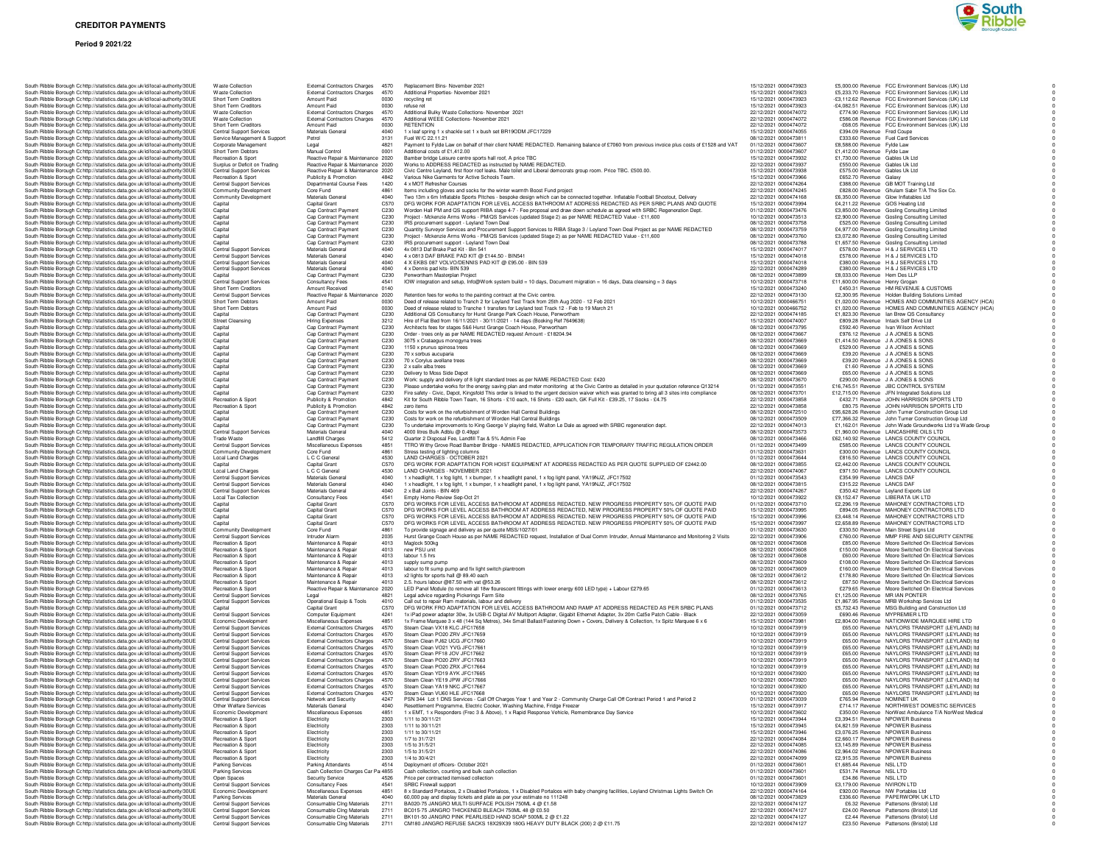## **Period 9 2021/22**



| South Ribble Borough Cohttp://statistics.data.gov.uk/id/local-authority/30UE                                                                                   | <b>Waste Collection</b>                                         | External Contractors Charges 4570                                          |                                      | Replacement Bins- November 2021                                                                                                                                                                                                       | 15/12/2021 0000473923                          | £5,000.00 Revenue FCC Environment Services (UK) Ltd                                                           |
|----------------------------------------------------------------------------------------------------------------------------------------------------------------|-----------------------------------------------------------------|----------------------------------------------------------------------------|--------------------------------------|---------------------------------------------------------------------------------------------------------------------------------------------------------------------------------------------------------------------------------------|------------------------------------------------|---------------------------------------------------------------------------------------------------------------|
| South Ribble Borough C: http://statistics.data.gov.uk/id/local-authority/30UE                                                                                  | Waste Collection<br>Short Term Creditors                        | External Contractors Charges 4570<br>Amount Paid                           | 0030                                 | Additional Properties- November 2021                                                                                                                                                                                                  | 15/12/2021 0000473923<br>15/12/2021 0000473923 | £5,233,70 Revenue FCC Environment Services (UK) Ltd<br>-£3,112.62 Revenue FCC Environment Services (UK) Ltd   |
| South Ribble Borough Cc http://statistics.data.gov.uk/id/local-authority/30UE<br>South Ribble Borough Cc http://statistics.data.gov.uk/id/local-authority/30UE | Short Term Creditors                                            | Amount Paid                                                                | 0030                                 | recycling ret<br>refuse ret                                                                                                                                                                                                           | 15/12/2021 0000473923                          | -£4,082.51 Revenue FCC Environment Services (UK) Ltd                                                          |
| South Ribble Borough C: http://statistics.data.gov.uk/id/local-authority/30UE                                                                                  | <b>Waste Collection</b>                                         | <b>External Contractors Charges</b>                                        | 4570                                 | Additional Bulky Waste Collections- November 2021                                                                                                                                                                                     | 22/12/2021 0000474072                          | £774.90 Revenue FCC Environment Services (UK) Ltd                                                             |
| South Ribble Borough C: http://statistics.data.gov.uk/id/local-authority/30UE                                                                                  | <b>Waste Collection</b>                                         | <b>External Contractors Charges</b>                                        | 4570                                 | Additional WEEE Collections- November 2021                                                                                                                                                                                            | 22/12/2021 0000474072                          | £586.08 Revenue FCC Environment Services (UK) Ltd                                                             |
| South Ribble Borough Cc http://statistics.data.gov.uk/id/local-authority/30UE                                                                                  | Short Term Creditors                                            | Amount Paid                                                                | 0030<br>4040                         | <b>RETENTION</b>                                                                                                                                                                                                                      | 22/12/2021 0000474072<br>15/12/2021 0000474055 | -£68.05 Revenue FCC Environment Services (UK) Ltd                                                             |
| South Ribble Borough Cc http://statistics.data.gov.uk/id/local-authority/30UE<br>South Ribble Borough Cc http://statistics.data.gov.uk/id/local-authority/30UE | <b>Central Support Services</b><br>Service Management & Support | Materials Genera<br>Petrol                                                 | 3131                                 | 1 x leaf spring 1 x shackle set 1 x bush set BR19ODM JFC17229<br>Fuel W/C 22.11.21                                                                                                                                                    | 08/12/2021 0000473811                          | £394.09 Revenue Fred Coupe<br>£333.60 Revenue Fuel Card Services                                              |
| South Ribble Borough Cohttp://statistics.data.gov.uk/id/local-authority/30UE                                                                                   | Corporate Management                                            | Legal                                                                      | 4821                                 | Payment to Fylde Law on behalf of their client NAME REDACTED. Remaining balance of £7060 from previous invoice plus costs of £1528 and VAT                                                                                            | 01/12/2021 0000473607                          | £8,588.00 Revenue Fylde Law                                                                                   |
| South Ribble Borough Cohttp://statistics.data.gov.uk/id/local-authority/30UE                                                                                   | Short Term Debtors                                              | Manual Control                                                             | 0001                                 | Additional costs of £1,412.00                                                                                                                                                                                                         | 01/12/2021 0000473607                          | £1,412.00 Revenue Fylde Law                                                                                   |
| South Ribble Borough Cc http://statistics.data.gov.uk/id/local-authority/30UE                                                                                  | Recreation & Sport                                              | Reactive Repair & Maintenance 2020                                         |                                      | Bamber bridge Leisure centre sports hall roof, A price TBC                                                                                                                                                                            | 15/12/2021 0000473932                          | £1,730.00 Revenue Gables Uk Ltd                                                                               |
| South Ribble Borough Cc http://statistics.data.gov.uk/id/local-authority/30UE<br>South Ribble Borough Cr http://statistics.data.gov.uk/id/local-authority/30UE | Surplus or Deficit on Trading<br>Central Support Services       | Reactive Repair & Maintenance 2020<br>Reactive Repair & Maintenance 2020   |                                      | Works to ADDRESS REDACTED as instructed by NAME REDACTED.<br>Civic Centre Leyland, first floor roof leaks. Male toilet and Liberal democrats group room. Price TBC. £500.00.                                                          | 22/12/2021 0000473937<br>15/12/2021 0000473938 | £550.00 Revenue Gables Uk Ltd<br>£575.00 Revenue Gables Uk Ltd                                                |
| South Ribble Borough C: http://statistics.data.gov.uk/id/local-authority/30UE                                                                                  | Recreation & Sport                                              | Publicity & Promotion                                                      | 4842                                 | Various Nike Garments for Active Schools Team.                                                                                                                                                                                        | 15/12/2021 0000473966                          | £652.70 Revenue Galaxy                                                                                        |
| South Ribble Borough Cc http://statistics.data.gov.uk/id/local-authority/30UE                                                                                  | <b>Central Support Services</b>                                 | Departmental Course Fees                                                   | 1420                                 | 4 x MOT Refresher Courses                                                                                                                                                                                                             | 22/12/2021 0000474264                          | £388.00 Revenue GB MOT Training Ltd                                                                           |
| South Ribble Borough Cc http://statistics.data.gov.uk/id/local-authority/30UE                                                                                  | Community Development                                           | Core Fund                                                                  | 4861                                 | Items including gloves and socks for the winter warmth Boost Fund project                                                                                                                                                             | 22/12/2021 0000474245                          | £828.00 Revenue Ghulam Sabir T/A The Sox Co.                                                                  |
| South Ribble Borough Cohttp://statistics.data.gov.uk/id/local-authority/30UE<br>South Ribble Borough Cr http://statistics.data.gov.uk/id/local-authority/30UE  | Community Development<br>Capital                                | Materials General<br>Capital Grant                                         | 4040<br>C570                         | Two 13m x 6m Inflatable Sports Pitches - bespoke design which can be connected together. Inflatable Football Shootout, Delivery<br>DFG WORK FOR ADAPTATION FOR LEVEL ACCESS BATHROOM AT ADDRESS REDACTED AS PER SRBC PLANS AND QUOTE  | 22/12/2021 0000474168<br>15/12/2021 0000473994 | £6,350.00 Revenue Glow Inflatables Ltd<br>£4.211.22 Revenue GOS Heating Ltd                                   |
| South Ribble Borough Cohttp://statistics.data.gov.uk/id/local-authority/30UE                                                                                   | Capital                                                         | Cap Contract Payment                                                       | C230                                 | Worden Hall PM and QS support RIBA stage 4-7 - Fee proposal and draw down schedule as agreed with SRBC Regeneration Dept                                                                                                              | 01/12/2021 0000473476                          | £3,850.00 Revenue Gosling Consulting Limited                                                                  |
| South Ribble Borough Cc http://statistics.data.gov.uk/id/local-authority/30UE                                                                                  | Capital                                                         | Cap Contract Payment                                                       | C230                                 | Project - Mckenzie Arms Works - PM/QS Services (updated Stage 2) as per NAME REDACTED Value - £11,600                                                                                                                                 | 10/12/2021 0000473513                          | £2,900.00 Revenue Gosling Consulting Limited                                                                  |
| South Ribble Borough Cc http://statistics.data.gov.uk/id/local-authority/30UE                                                                                  | Capital                                                         | Cap Contract Payment                                                       | C230                                 | IRS procurement support - Leyland Town Deal                                                                                                                                                                                           | 08/12/2021 0000473758                          | £525.00 Revenue Gosling Consulting Limited                                                                    |
| South Ribble Borough Cc http://statistics.data.gov.uk/id/local-authority/30UE<br>South Ribble Borough Cc http://statistics.data.gov.uk/id/local-authority/30UE | Capital<br>Capital                                              | Cap Contract Payment<br>Cap Contract Payment                               | C230<br>C230                         | Quantity Surveyor Services and Procurement Support Services to RIBA Stage 3 / Leyland Town Deal Project as per NAME REDACTED<br>Project - Mckenzie Arms Works - PM/QS Services (updated Stage 2) as per NAME REDACTED Value - £11,600 | 08/12/2021 0000473759<br>08/12/2021 0000473760 | £4,977.00 Revenue Gosling Consulting Limited<br>£3,072.80 Revenue Gosling Consulting Limited                  |
| South Ribble Borough Cc http://statistics.data.gov.uk/id/local-authority/30UE                                                                                  | Capital                                                         | Cap Contract Payment                                                       | C230                                 | IRS procurement support - Leyland Town Deal                                                                                                                                                                                           | 08/12/2021 0000473788                          | £1,657.50 Revenue Gosling Consulting Limited                                                                  |
| South Ribble Borough Cc http://statistics.data.gov.uk/id/local-authority/30UE                                                                                  | <b>Central Support Services</b>                                 | Materials General                                                          | 4040                                 | 4x 0813 Daf Brake Pad Kit - Bin 541                                                                                                                                                                                                   | 15/12/2021 0000474017                          | £578.00 Revenue H & J SERVICES LTD                                                                            |
| South Ribble Borough Cc http://statistics.data.gov.uk/id/local-authority/30UE                                                                                  | <b>Central Support Services</b>                                 | Materials General                                                          | 4040                                 | 4 x 0813 DAF BRAKE PAD KIT @ £144.50 - BIN541                                                                                                                                                                                         | 15/12/2021 0000474018                          | £578.00 Bevenue H & J SERVICES LTD                                                                            |
| South Ribble Borough Cc http://statistics.data.gov.uk/id/local-authority/30UE                                                                                  | <b>Central Support Services</b>                                 | Materials General                                                          | 4040                                 | 4 X EKBS 087 VOLVO/DENNIS PAD KIT @ £95.00 - BIN 539                                                                                                                                                                                  | 15/12/2021 0000474018                          | £380.00 Revenue H & J SERVICES LTD                                                                            |
| South Ribble Borough Cc http://statistics.data.gov.uk/id/local-authority/30UE                                                                                  | <b>Central Support Services</b>                                 | Materials General                                                          | 4040<br>C230                         | 4 x Dennis pad kits- BIN 539                                                                                                                                                                                                          | 22/12/2021 0000474289                          | £380.00 Revenue H & J SERVICES LTD                                                                            |
| South Ribble Borough C: http://statistics.data.gov.uk/id/local-authority/30UE<br>South Ribble Borough Cohttp://statistics.data.gov.uk/id/local-authority/30UE  | Capital<br>Central Support Services                             | Cap Contract Payment<br>Consultancy Fees                                   | 4541                                 | Penwortham Masterplan Project<br>IOW integration and setup, Info@Work system build = 10 days, Document migration = 16 days, Data cleansing = 3 days                                                                                   | 08/12/2021 0000473899<br>10/12/2021 0000473718 | £8,033.00 Revenue Hem Des LLP<br>£11,600.00 Revenue Henry Grogan                                              |
| South Ribble Borough Cc http://statistics.data.gov.uk/id/local-authority/30UE                                                                                  | Short Term Creditors                                            | Amount Received                                                            | 0140                                 |                                                                                                                                                                                                                                       | 15/12/2021 0000473240                          | £450.31 Revenue HM REVENUE & CUSTOMS                                                                          |
| South Ribble Borough Cc http://statistics.data.gov.uk/id/local-authority/30UE                                                                                  | <b>Central Support Services</b>                                 | Reactive Repair & Maintenance 2020                                         |                                      | Retention fees for works to the painting contract at the Civic centre.                                                                                                                                                                | 22/12/2021 0000473130                          | £2,300.95 Revenue Holden Building Solutions Limited                                                           |
| South Ribble Borough Cc http://statistics.data.gov.uk/id/local-authority/30UE                                                                                  | Short Term Debtors                                              | Amount Paid                                                                | 0030                                 | Deed of release related to Tranch 2 for Leyland Test Track from 25th Aug 2020 - 12 Feb 2021                                                                                                                                           | 10/12/2021 0000466751                          | £1,020.00 Revenue HOMES AND COMMUNITIES AGENCY (HCA)                                                          |
| South Ribble Borough Cohttp://statistics.data.gov.uk/id/local-authority/30UE                                                                                   | Short Term Debtors                                              | Amount Paid                                                                | 0030                                 | Deed of release related to Tranche 1 transfers for Levland test Track 12 - Feb to 19 March 21                                                                                                                                         | 10/12/2021 0000466752<br>22/12/2021 0000474185 | £1,020.00 Revenue HOMES AND COMMUNITIES AGENCY (HCA)                                                          |
| South Ribble Borough Cc http://statistics.data.gov.uk/id/local-authority/30UE<br>South Ribble Borough Cc http://statistics.data.gov.uk/id/local-authority/30UE | Capital<br><b>Street Cleansing</b>                              | Cap Contract Payment<br>Hiring Expenses                                    | C <sub>230</sub><br>3212             | Additional QS Consultancy for Hurst Grange Park Coach House, Penwortham<br>Hire of Flat Bed from 16/11/2021 - 30/11/2021 - 14 days (Booking Ref 7649638)                                                                              | 15/12/2021 0000474007                          | £1,823,30 Revenue Ian Brew QS Consultancy<br>£809.28 Revenue Intack Self Drive Ltd                            |
| South Ribble Borough Cc http://statistics.data.gov.uk/id/local-authority/30UE                                                                                  | Capital                                                         | Cap Contract Payment                                                       | C230                                 | Architects fees for stages 5&6 Hurst Grange Coach House, Penwortham                                                                                                                                                                   | 08/12/2021 0000473795                          | £592.40 Revenue Ivan Wilson Architect                                                                         |
| South Ribble Borough Cc http://statistics.data.gov.uk/id/local-authority/30UE                                                                                  | Capital                                                         | Cap Contract Payment                                                       | C230                                 | Order - trees only as per NAME REDACTED request Amount - £18204.94                                                                                                                                                                    | 08/12/2021 0000473667                          | £976.12 Revenue J A JONES & SONS                                                                              |
| South Ribble Borough Cc http://statistics.data.gov.uk/id/local-authority/30UE                                                                                  | Capital                                                         | Cap Contract Payment                                                       | C230                                 | 3075 x Crataegus monogyna trees                                                                                                                                                                                                       | 08/12/2021 0000473669                          | £1,414.50 Revenue J A JONES & SONS                                                                            |
| South Ribble Borough Cc http://statistics.data.gov.uk/id/local-authority/30UE                                                                                  | Capital                                                         | Cap Contract Payment                                                       | C230                                 | 1150 x prunus spinosa trees                                                                                                                                                                                                           | 08/12/2021 0000473669                          | £529.00 Revenue J A JONES & SONS                                                                              |
| South Ribble Borough Cc http://statistics.data.gov.uk/id/local-authority/30UE                                                                                  | Capital                                                         | Cap Contract Payment                                                       | C230                                 | 70 x sorbus aucuparia                                                                                                                                                                                                                 | 08/12/2021 0000473669<br>08/12/2021 0000473669 | £39.20 Revenue J A JONES & SONS<br>£39.20 Bevenue J.A.JONES & SONS                                            |
| South Ribble Borough Cohttp://statistics.data.gov.uk/id/local-authority/30UE<br>South Ribble Borough Cc http://statistics.data.gov.uk/id/local-authority/30UE  | Capital<br>Capital                                              | Cap Contract Payment<br>Cap Contract Payment                               | C <sub>230</sub><br>C <sub>230</sub> | 70 x Corvius aveliane trees<br>2 x salix alba trees                                                                                                                                                                                   | 08/12/2021 0000473669                          | £1.60 Bevenue J.A.JONES & SONS                                                                                |
| South Ribble Borough Cc http://statistics.data.gov.uk/id/local-authority/30UE                                                                                  | Capital                                                         | Cap Contract Payment                                                       | C <sub>230</sub>                     | Delivery to Moss Side Depot                                                                                                                                                                                                           | 08/12/2021 0000473669                          | £65.00 Revenue J A JONES & SONS                                                                               |
| South Ribble Borough Cc http://statistics.data.gov.uk/id/local-authority/30UE                                                                                  | Capital                                                         | Cap Contract Payment                                                       | C230                                 | Work: supply and delivery of 8 light standard trees as per NAME REDACTED Cost: £420                                                                                                                                                   | 08/12/2021 0000473670                          | £290.00 Revenue J A JONES & SONS                                                                              |
| South Ribble Borough Cc http://statistics.data.gov.uk/id/local-authority/30UE                                                                                  | Capital                                                         | Cap Contract Payment                                                       | C230                                 | Please undertake works for the energy saving plan and meter monitoring at the Civic Centre as detailed in your quotation reference Q13214                                                                                             | 01/12/2021 0000473551                          | £16,745.51 Revenue JBC CONTROL SYSTEM                                                                         |
| South Ribble Borough Cc http://statistics.data.gov.uk/id/local-authority/30UE                                                                                  | Capital                                                         | Cap Contract Payment                                                       | C230                                 | Fire safety - Civic, Depot, Kingsfold This order is linked to the urgent decision waiver which was granted to bring all 3 sites into compliance                                                                                       | 08/12/2021 0000473701                          | £12,715.00 Revenue JFN Integrated Solutions Ltd                                                               |
| South Ribble Borough Cc http://statistics.data.gov.uk/id/local-authority/30UE<br>South Ribble Borough Cc http://statistics.data.gov.uk/id/local-authority/30UE | Recreation & Sport<br>Recreation & Sport                        | Publicity & Promotion<br>Publicity & Promotion                             | 4842<br>4842                         | Kit for South Ribble Town Team, 16 Shorts - £10 each, 16 Shirts - £20 each, GK Full Kit - £39.25, 17 Socks - £4.75<br>zero items                                                                                                      | 22/12/2021 0000473858<br>22/12/2021 0000473858 | £432.71 Revenue JOHN HARRISON SPORTS LTD<br>£80.75 Revenue JOHN HARRISON SPORTS LTD                           |
| South Ribble Borough Cohttp://statistics.data.gov.uk/id/local-authority/30UE                                                                                   | Capital                                                         | Cap Contract Payment                                                       | C230                                 | Costs for work on the refurbishment of Worden Hall Central Buildings                                                                                                                                                                  | 08/12/2021 0000472510                          | £95,628.26 Revenue John Turner Construction Group Ltd                                                         |
| South Ribble Borough Cc http://statistics.data.gov.uk/id/local-authority/30UE                                                                                  | Capital                                                         | Cap Contract Payment                                                       | C <sub>230</sub>                     | Costs for work on the refurbishment of Worden Hall Central Buildings                                                                                                                                                                  | 08/12/2021 0000473509                          | £77,366,32 Revenue John Turner Construction Group Ltd                                                         |
| South Ribble Borough Cc http://statistics.data.gov.uk/id/local-authority/30UE                                                                                  | Capital                                                         | Cap Contract Payment                                                       | C230                                 | To undertake improvements to King George V playing field, Walton Le Dale as agreed with SRBC regeneration dept.                                                                                                                       | 22/12/2021 0000474013                          | £1,162.01 Revenue John Wade Groundworks Ltd t/a Wade Group                                                    |
| South Ribble Borough Cc http://statistics.data.gov.uk/id/local-authority/30UE                                                                                  | <b>Central Support Services</b>                                 | Materials General                                                          | 4040                                 | 4000 litres Bulk Adblu @ 0.49ppl                                                                                                                                                                                                      | 08/12/2021 0000473573                          | £1,960.00 Revenue LANCASHIRE OILS LTD                                                                         |
| South Ribble Borough C: http://statistics.data.gov.uk/id/local-authority/30UE                                                                                  | Trade Waste<br>Central Support Services                         | Landfill Charges<br>Miscellaneous Expenses                                 | 5412                                 | Quarter 2 Disposal Fee, Landfill Tax & 5% Admin Fee                                                                                                                                                                                   | 08/12/2021 0000473466                          | £62,140.92 Revenue LANCS COUNTY COUNCIL                                                                       |
| South Ribble Borough Cc http://statistics.data.gov.uk/id/local-authority/30UE<br>South Ribble Borough Cc http://statistics.data.gov.uk/id/local-authority/30UE | Community Development                                           | Core Fund                                                                  | 4851<br>4861                         | TTRO Withy Grove Road Bamber Bridge - NAMES REDACTED, APPLICATION FOR TEMPORARY TRAFFIC REGULATION ORDER<br>Stress testing of lighting columns                                                                                        | 01/12/2021 0000473499<br>01/12/2021 0000473631 | £585.00 Revenue LANCS COUNTY COUNCIL<br>£300.00 Revenue LANCS COUNTY COUNCIL                                  |
| South Ribble Borough Cc http://statistics.data.gov.uk/id/local-authority/30UE                                                                                  | Local Land Charges                                              | L C C General                                                              | 4530                                 | <b>I AND CHARGES - OCTOBER 2021</b>                                                                                                                                                                                                   | 01/12/2021 0000473644                          | £816.50 Revenue LANCS COUNTY COUNCIL                                                                          |
| South Ribble Borough Cc http://statistics.data.gov.uk/id/local-authority/30UE                                                                                  | Capital                                                         | Capital Grant                                                              | C570                                 | DFG WORK FOR ADAPTATION FOR HOIST EQUIPMENT AT ADDRESS REDACTED AS PER QUOTE SUPPLIED OF £2442.00                                                                                                                                     | 08/12/2021 0000473855                          | £2,442.00 Revenue LANCS COUNTY COUNCIL                                                                        |
| South Bibble Borough Cr http://statistics.data.gov.uk/id/local-authority/30UE                                                                                  | <b>Local Land Charges</b>                                       | L C C General                                                              | 4530                                 | I AND CHARGES - NOVEMBER 2021                                                                                                                                                                                                         | 22/12/2021 0000474067                          | £971.50 Revenue LANCS COUNTY COUNCIL                                                                          |
|                                                                                                                                                                |                                                                 |                                                                            |                                      |                                                                                                                                                                                                                                       |                                                |                                                                                                               |
| South Ribble Borough Cc http://statistics.data.gov.uk/id/local-authority/30UE                                                                                  | <b>Central Support Services</b>                                 | Materials General                                                          | 4040                                 | 1 x headlight, 1 x fog light, 1 x bumper, 1 x headlight panel, 1 x fog light panel, YA19NJZ, JFC17502                                                                                                                                 | 01/12/2021 0000473543                          | £354.99 Revenue LANCS DAF                                                                                     |
| South Ribble Borough Cc http://statistics.data.gov.uk/id/local-authority/30UE                                                                                  | <b>Central Support Services</b>                                 | Materials General                                                          | 4040                                 | 1 x headlight, 1 x fog light, 1 x bumper, 1 x headlight panel, 1 x fog light panel, YA19NJZ, JFC17502                                                                                                                                 | 08/12/2021 0000473815                          | £315.22 Revenue LANCS DAF                                                                                     |
| South Ribble Borough Cc http://statistics.data.gov.uk/id/local-authority/30UE                                                                                  | <b>Central Support Services</b>                                 | Materials General                                                          | 4040                                 | 2 x Ball Joints - BIN 469                                                                                                                                                                                                             | 22/12/2021 0000474267                          | £350.42 Revenue Leyland Exports Ltd                                                                           |
| South Ribble Borough Cc http://statistics.data.gov.uk/id/local-authority/30UE                                                                                  | Local Tax Collection                                            | Consultancy Fees                                                           | 4541<br>C570                         | Empty Home Review Sep-Oct 21                                                                                                                                                                                                          | 10/12/2021 0000473922                          | £9,152.47 Revenue LIBERATA UK LTD                                                                             |
| South Ribble Borough Cc http://statistics.data.gov.uk/id/local-authority/30UE<br>South Ribble Borough Cc http://statistics.data.gov.uk/id/local-authority/30UE | Capital<br>Capital                                              | Capital Grant<br>Capital Grant                                             | C570                                 | DFG WORKS FOR LEVEL ACCESS BATHROOM AT ADDRESS REDACTED. NEW PROGRESS PROPERTY 50% OF QUOTE PAID<br>DFG WORKS FOR LEVEL ACCESS BATHROOM AT ADDRESS REDACTED, NEW PROGRESS PROPERTY 50% OF QUOTE PAID                                  | 01/12/2021 0000473710<br>15/12/2021 0000473995 | £2,296.19 Revenue MAHONEY CONTRACTORS LTD<br>£894.05 Revenue MAHONEY CONTRACTORS LTD                          |
| South Ribble Borough Cc http://statistics.data.gov.uk/id/local-authority/30UE                                                                                  | Capital                                                         | Capital Grant                                                              | C570                                 | DFG WORKS FOR LEVEL ACCESS BATHROOM AT ADDRESS REDACTED. NEW PROGRESS PROPERTY 50% OF QUOTE PAID                                                                                                                                      | 15/12/2021 0000473996                          | £3,448.14 Revenue MAHONEY CONTRACTORS LTD                                                                     |
| South Ribble Borough Cohttp://statistics.data.gov.uk/id/local-authority/30UE                                                                                   | Capital                                                         | Capital Grant                                                              | C570                                 | DFG WORKS FOR LEVEL ACCESS BATHROOM AT ADDRESS REDACTED. NEW PROGRESS PROPERTY 50% OF QUOTE PAID                                                                                                                                      | 15/12/2021 0000473997                          | £2,658.89 Revenue MAHONEY CONTRACTORS LTD                                                                     |
| South Ribble Borough Cc http://statistics.data.gov.uk/id/local-authority/30UE                                                                                  | Community Development                                           | Core Fund                                                                  | 4861                                 | To provide signage and delivery as per guote MSS/1027/01                                                                                                                                                                              | 01/12/2021 0000473630                          | £330.50 Revenue Main Street Signs Ltd                                                                         |
| South Ribble Borough Cc http://statistics.data.gov.uk/id/local-authority/30UE                                                                                  | <b>Central Support Services</b>                                 | Intruder Alarm                                                             | 2035<br>4013                         | Hurst Grange Coach House as per NAME REDACTED request, Installation of Dual Comm Intruder, Annual Maintenance and Monitoring 2 Visits                                                                                                 | 22/12/2021 0000473906                          | £760.00 Revenue MMP FIRE AND SECURITY CENTRE                                                                  |
| South Ribble Borough Cc http://statistics.data.gov.uk/id/local-authority/30UE                                                                                  | Recreation & Sport<br>Recreation & Sport                        | Maintenance & Repair<br>Maintenance & Repair                               | 4013                                 | Maglock 500kg<br>new PSU unit                                                                                                                                                                                                         | 08/12/2021 0000473608<br>08/12/2021 0000473608 | £85.00 Revenue Moore Switched On Electrical Services<br>£150.00 Revenue Moore Switched On Electrical Services |
| South Ribble Borough C: http://statistics.data.gov.uk/id/local-authority/30UE<br>South Ribble Borough Cc http://statistics.data.gov.uk/id/local-authority/30UE | Recreation & Spor                                               | Maintenance & Repair                                                       | 4013                                 | labour 1.5 hrs                                                                                                                                                                                                                        | 08/12/2021 0000473608                          | £60.00 Revenue Moore Switched On Electrical Services                                                          |
| South Ribble Borough Cc http://statistics.data.gov.uk/id/local-authority/30UE                                                                                  | Recreation & Sport                                              | Maintenance & Repair                                                       | 4013                                 | supply sump pump                                                                                                                                                                                                                      | 08/12/2021 0000473609                          | £108.00 Revenue Moore Switched On Electrical Services                                                         |
| South Ribble Borough Cc http://statistics.data.gov.uk/id/local-authority/30UE                                                                                  | Recreation & Spor                                               | Maintenance & Repair                                                       | 4013                                 | labour to fit sump pump and fix light switch plantroom                                                                                                                                                                                | 08/12/2021 0000473609                          | £160.00 Revenue Moore Switched On Electrical Services                                                         |
| South Ribble Borough Cr http://statistics.data.gov.uk/id/local-authority/30UE<br>South Ribble Borough Cc http://statistics.data.gov.uk/id/local-authority/30UE | Recreation & Sport<br>Recreation & Sport                        | Maintenance & Repair<br>Maintenance & Repair                               | 4013<br>4013                         | x2 lights for sports hall @ 89.40 each<br>2.5, hours labour @87.50 with vat @53.26                                                                                                                                                    | 08/12/2021 0000473612<br>08/12/2021 0000473612 | £178.80 Revenue Moore Switched On Electrical Services<br>£87.50 Revenue Moore Switched On Electrical Services |
| South Ribble Borough Cc http://statistics.data.gov.uk/id/local-authority/30UE                                                                                  | Recreation & Sport                                              | Reactive Repair & Maintenance 2020                                         |                                      | LED Panel Module (to remove all 18w flourescent fittings with lower energy 600 LED type) + Labour £279.65                                                                                                                             | 01/12/2021 0000473613                          | £279.65 Revenue Moore Switched On Electrical Services                                                         |
| South Ribble Borough Cc http://statistics.data.gov.uk/id/local-authority/30UE                                                                                  | <b>Central Support Services</b>                                 | Legal                                                                      | 4821                                 | Legal advice regarding Pickerings Farm Site                                                                                                                                                                                           | 08/12/2021 0000473765                          | £1,125.00 Revenue MR IAN PONTER                                                                               |
| South Ribble Borough C: http://statistics.data.gov.uk/id/local-authority/30UE                                                                                  | Central Support Services                                        | Operational Equip & Tools                                                  | 4010                                 | Call out to repair Ram materials, labour and delivery                                                                                                                                                                                 | 01/12/2021 0000473535                          | £1,867.95 Revenue MRB Workshop Services Ltd                                                                   |
| South Ribble Borough Cc http://statistics.data.gov.uk/id/local-authority/30UE                                                                                  | Capital                                                         | Capital Grant                                                              | C570                                 | DFG WORK FRO ADAPTATION FOR LEVEL ACCESS BATHROOM AND RAMP AT ADDRESS REDACTED AS PER SRBC PLANS                                                                                                                                      | 01/12/2021 0000473712                          | £5,732.43 Revenue MSG Building and Construction Ltd                                                           |
| South Ribble Borough Cc http://statistics.data.gov.uk/id/local-authority/30UE<br>South Ribble Borough Cc http://statistics.data.gov.uk/id/local-authority/30UE | <b>Central Support Services</b><br>Economic Development         | Computer Equipment                                                         | 4241<br>4851                         | 1x iPad power adapter 30w, 3x USB-C Digital AV Multiport Adapter, Gigabit Ethernet Adapter, 3x 20m Cat5e Patch Cable - Black                                                                                                          | 22/12/2021 0000473059<br>15/12/2021 0000473981 | £690.46 Revenue MYPREMIER LTD                                                                                 |
| South Ribble Borough Cc http://statistics.data.gov.uk/id/local-authority/30UE                                                                                  | <b>Central Support Services</b>                                 | Miscellaneous Expenses<br><b>External Contractors Charges</b>              | 4570                                 | 1x Frame Marquee 3 x 48 (144 Sq Metres), 34x Small Ballast/Fastening Down + Covers, Delivery & Collection, 1x Spitz Marquee 6 x 6<br>Steam Clean VX18 KLC JFC17658                                                                    | 10/12/2021 0000473919                          | £2,804.00 Revenue NATIONWIDE MARQUEE HIRE LTD<br>£65.00 Revenue NAYLORS TRANSPORT (LEYLAND) Itd               |
| South Ribble Borough Cohttp://statistics.data.gov.uk/id/local-authority/30UE                                                                                   | <b>Central Support Services</b>                                 | <b>External Contractors Charges</b>                                        | 4570                                 | Steam Clean PO20 ZRV JFC17659                                                                                                                                                                                                         | 10/12/2021 0000473919                          | £65.00 Revenue NAYLORS TRANSPORT (LEYLAND) ltd                                                                |
| South Ribble Borough Cc http://statistics.data.gov.uk/id/local-authority/30UE                                                                                  | <b>Central Support Services</b>                                 | External Contractors Charges 4570                                          |                                      | Steam Clean PJ62 UCG JEC17660                                                                                                                                                                                                         | 10/12/2021 0000473919                          | £65.00 Revenue NAYLORS TRANSPORT (LEYLAND) Itd                                                                |
| South Ribble Borough Cc http://statistics.data.gov.uk/id/local-authority/30UE                                                                                  | Central Support Services                                        | External Contractors Charges 4570                                          |                                      | Steam Clean VO21 YVG JFC17661                                                                                                                                                                                                         | 10/12/2021 0000473919                          | £65.00 Revenue NAYLORS TRANSPORT (I FYI AND) In                                                               |
| South Ribble Borough Cc http://statistics.data.gov.uk/id/local-authority/30UE                                                                                  | <b>Central Support Services</b><br>Central Support Services     | External Contractors Charges 4570                                          |                                      | Steam Clean PF18 JOV JFC17662                                                                                                                                                                                                         | 10/12/2021 0000473919                          | £65.00 Revenue NAYLORS TRANSPORT (LEYLAND) Itd                                                                |
| South Ribble Borough Cc http://statistics.data.gov.uk/id/local-authority/30UE<br>South Ribble Borough Cc http://statistics.data.gov.uk/id/local-authority/30UE | Central Support Services                                        | <b>External Contractors Charges</b><br><b>External Contractors Charges</b> | 4570<br>4570                         | Steam Clean PO20 ZRY JFC17663<br>Steam Clean PO20 ZRX JFC17664                                                                                                                                                                        | 10/12/2021 0000473919<br>10/12/2021 0000473919 | £65.00 Revenue NAYLORS TRANSPORT (LEYLAND) Itd<br>£65.00 Revenue NAYLORS TRANSPORT (LEYLAND) Itd              |
| South Ribble Borough Cc http://statistics.data.gov.uk/id/local-authority/30UE                                                                                  | <b>Central Support Services</b>                                 | External Contractors Charges 4570                                          |                                      | Steam Clean YD19 AYK JFC17665                                                                                                                                                                                                         | 10/12/2021 0000473920                          | £65.00 Revenue NAYLORS TRANSPORT (LEYLAND) Itd                                                                |
| South Ribble Borough Cc http://statistics.data.gov.uk/id/local-authority/30UE                                                                                  | <b>Central Support Services</b>                                 | <b>External Contractors Charges</b>                                        | 4570                                 | Steam Clean YE19 JPW JFC17666                                                                                                                                                                                                         | 10/12/2021 0000473920                          | £65.00 Revenue NAYLORS TRANSPORT (LEYLAND) Itd                                                                |
| South Ribble Borough Cohttp://statistics.data.gov.uk/id/local-authority/30UE                                                                                   | Central Support Services                                        | External Contractors Charges 4570                                          |                                      | Steam Clean YA19 NKC JFC17667                                                                                                                                                                                                         | 10/12/2021 0000473920                          | £65.00 Revenue NAYLORS TRANSPORT (LEYLAND) Itd                                                                |
| South Ribble Borough Cr http://statistics.data.gov.uk/id/local-authority/30UE                                                                                  | <b>Central Support Services</b>                                 | External Contractors Charges 4570                                          | 4247                                 | Steam Clean VU60 HLE JEC17668                                                                                                                                                                                                         | 10/12/2021 0000473920<br>01/12/2021 0000473039 | £65.00 Revenue NAYLORS TRANSPORT (LEYLAND) Itd                                                                |
| South Ribble Borough Cc http://statistics.data.gov.uk/id/local-authority/30UE<br>South Ribble Borough Cc http://statistics.data.gov.uk/id/local-authority/30UE | <b>Central Support Services</b><br>Other Welfare Services       | Network and Security<br>Materials General                                  | 4040                                 | PSN 344 Lot 1 DNS Services - Call Off Charges Year 1 and Year 2 - Community Charge Call Off Contract Period 1 and Period 2<br>Resettlement Programme, Electric Cooker, Washing Machine, Fridge Freezer                                | 15/12/2021 0000473917                          | £765.94 Revenue NOMINET UK                                                                                    |
| South Ribble Borough Cc http://statistics.data.gov.uk/id/local-authority/30UE                                                                                  | Economic Development                                            | Miscellaneous Expenses                                                     | 4851                                 | 1 x EMT, 1 x Responders (Frec 3 & Above), 1 x Rapid Response Vehicle, Remembrance Day Service                                                                                                                                         | 10/12/2021 0000473602                          | £714.17 Revenue NORTHWEST DOMESTIC SERVICES<br>£350.00 Revenue NorWest Ambulance T/A NorWest Medical          |
| South Ribble Borough Cc http://statistics.data.gov.uk/id/local-authority/30UE                                                                                  | Recreation & Sport                                              | Electricity                                                                | 2303                                 | 1/11 to 30/11/21                                                                                                                                                                                                                      | 15/12/2021 0000473944                          | £3,394.51 Revenue NPOWER Business                                                                             |
| South Ribble Borough Cc http://statistics.data.gov.uk/id/local-authority/30UE                                                                                  | Recreation & Sport                                              | Electricity                                                                | 2303                                 | 1/11 to 30/11/21                                                                                                                                                                                                                      | 15/12/2021 0000473945                          | £4,821.59 Revenue NPOWER Business                                                                             |
| South Ribble Borough Cc http://statistics.data.gov.uk/id/local-authority/30UE                                                                                  | Recreation & Sport<br><b>Becreation &amp; Sport</b>             | Electricity                                                                | 2303                                 | 1/11 to 30/11/21                                                                                                                                                                                                                      | 15/12/2021 0000473946                          | £3,076.25 Revenue NPOWER Business                                                                             |
| South Ribble Borough Cohttp://statistics.data.gov.uk/id/local-authority/30UE<br>South Ribble Borough Cc http://statistics.data.gov.uk/id/local-authority/30UE  | Recreation & Sport                                              | Electricity<br>Electricity                                                 | 2303<br>2303                         | 1/7 to 31/7/21<br>1/5 to 31/5/21                                                                                                                                                                                                      | 22/12/2021 0000474084<br>22/12/2021 0000474085 | £2,660.17 Revenue NPOWER Business<br>£3,145.89 Revenue NPOWER Business                                        |
| South Ribble Borough Cc http://statistics.data.gov.uk/id/local-authority/30UE                                                                                  | Recreation & Sport                                              | Electricity                                                                | 2303                                 | 1/5 to 31/5/21                                                                                                                                                                                                                        | 22/12/2021 0000474086                          | £2,964.02 Revenue NPOWER Business                                                                             |
| South Ribble Borough Cc http://statistics.data.gov.uk/id/local-authority/30UE                                                                                  | Recreation & Sport                                              | Electricity                                                                | 2303                                 | 1/4 to 30/4/21                                                                                                                                                                                                                        | 22/12/2021 0000474099                          | £2,915.35 Revenue NPOWER Business                                                                             |
| South Ribble Borough Cc http://statistics.data.gov.uk/id/local-authority/30UE                                                                                  | Parking Services                                                | Parking Attendants                                                         | 4514                                 | Deployment of officers- October 2021                                                                                                                                                                                                  | 01/12/2021 0000473601                          | £1,685.44 Revenue NSL LTD                                                                                     |
| South Ribble Borough Cc http://statistics.data.gov.uk/id/local-authority/30UE                                                                                  | <b>Parking Services</b>                                         | Cash Collection Charges Car Pa 4855                                        |                                      | Cash collection, counting and bulk cash collection                                                                                                                                                                                    | 01/12/2021 0000473601                          | £531.74 Revenue NSL LTD                                                                                       |
| South Ribble Borough Cc http://statistics.data.gov.uk/id/local-authority/30UE                                                                                  | Open Spaces                                                     | Security Service                                                           | 4526<br>4541                         | Price per contracted itemised collection                                                                                                                                                                                              | 01/12/2021 0000473601<br>10/12/2021 0000473909 | £34.86 Revenue NSL LTD                                                                                        |
| South Ribble Borough Cc http://statistics.data.gov.uk/id/local-authority/30UE<br>South Ribble Borough Cc http://statistics.data.gov.uk/id/local-authority/30UE | Central Support Services<br>Economic Development                | Consultancy Fees<br>Miscellaneous Expenses                                 | 4851                                 | SRBC Firewall support<br>8 x Standard Portaloos, 2 x Disabled Portaloos, 1 x Disabled Portaloos with baby changing facilities, Leyland Christmas Lights Switch On                                                                     | 22/12/2021 0000474164                          | £3,179.00 Revenue NVIRON LTD<br>£920.00 Revenue NW Portables Ltd                                              |
| South Ribble Borough Cohttp://statistics.data.gov.uk/id/local-authority/30UE                                                                                   | Parking Services                                                | Materials General                                                          | 4040                                 | 60,000 pay and display tickets and plate as per your estimate no 111248                                                                                                                                                               | 08/12/2021 0000473829                          | £336.60 Revenue PAPERWORK UK LTD                                                                              |
| South Ribble Borough Cohttp://statistics.data.gov.uk/id/local-authority/30UE                                                                                   | Central Support Services                                        | Consumable Cing Materials                                                  | 2711                                 | BA020-75 JANGRO MULTI-SURFACE POLISH 750ML 4 @ £1.58                                                                                                                                                                                  | 22/12/2021 0000474127                          | £6.32 Revenue Pattersons (Bristol) Ltd                                                                        |
| South Ribble Borough Cc http://statistics.data.gov.uk/id/local-authority/30UE                                                                                  | <b>Central Support Services</b>                                 | Consumable Cing Materials                                                  | 2711                                 | BC015-75 JANGBO THICKENED BLEACH 750ML 48 @ £0.50                                                                                                                                                                                     | 22/12/2021 0000474127                          | £24.00 Revenue Pattersons (Bristol) Ltd                                                                       |
| South Ribble Borough Cc http://statistics.data.gov.uk/id/local-authority/30UE<br>South Ribble Borough Cc http://statistics.data.gov.uk/id/local-authority/30UE | Central Support Services<br>Central Support Services            | Consumable Cing Materials<br>Consumable Cing Materials                     | 2711<br>2711                         | BK101-50 JANGRO PINK PEARLISED HAND SOAP 500ML 2 @ £1.22<br>CM180 JANGRO REFUSE SACKS 18X29X39 180G HEAVY DUTY BLACK (200) 2 @ £11.75                                                                                                 | 22/12/2021 0000474127<br>22/12/2021 0000474127 | £2.44 Revenue Pattersons (Bristol) Ltd<br>£23.50 Revenue Pattersons (Bristol) Ltd                             |

| 1ent Bins- November 2021                                                                                                                                                                                                                        | 15/12/2021 0000473923<br>15/12/2021 0000473923 |                                                         | £5,000.00 Revenue FCC Environment Services (UK) Ltd                                                            |                       |
|-------------------------------------------------------------------------------------------------------------------------------------------------------------------------------------------------------------------------------------------------|------------------------------------------------|---------------------------------------------------------|----------------------------------------------------------------------------------------------------------------|-----------------------|
| I Properties- November 2021<br>ret                                                                                                                                                                                                              | 15/12/2021 0000473923                          |                                                         | £5,233,70 Revenue FCC Environment Services (UK) Ltd<br>-£3,112.62 Revenue FCC Environment Services (UK) Ltd    |                       |
|                                                                                                                                                                                                                                                 | 15/12/2021 0000473923                          |                                                         | -£4,082.51 Revenue FCC Environment Services (UK) Ltd                                                           | $^{\circ}$            |
| Bulky Waste Collections-November 2021<br>I WEEE Collections- November 2021                                                                                                                                                                      | 22/12/2021 0000474072<br>22/12/2021 0000474072 |                                                         | £774.90 Revenue FCC Environment Services (UK) Ltd<br>£586.08 Revenue FCC Environment Services (UK) Ltd         |                       |
| ION                                                                                                                                                                                                                                             | 22/12/2021 0000474072                          |                                                         | -£68.05 Revenue FCC Environment Services (UK) Ltd                                                              |                       |
| pring 1 x shackle set 1 x bush set BR19ODM JFC17229                                                                                                                                                                                             | 15/12/2021 0000474055                          | £394.09 Revenue Fred Coupe                              |                                                                                                                |                       |
| 22.11.21<br>to Fylde Law on behalf of their client NAME REDACTED. Remaining balance of £7060 from previous invoice plus costs of £1528 and VAT                                                                                                  | 08/12/2021 0000473811<br>01/12/2021 0000473607 | £8,588.00 Revenue Fylde Law                             | £333.60 Revenue Fuel Card Services                                                                             |                       |
| costs of £1.412.00                                                                                                                                                                                                                              | 01/12/2021 0000473607                          | £1.412.00 Revenue Fylde Law                             |                                                                                                                |                       |
| vridge Leisure centre sports hall roof, A price TBC                                                                                                                                                                                             | 15/12/2021 0000473932                          | £1,730.00 Revenue Gables Uk Ltd                         |                                                                                                                |                       |
| ADDRESS REDACTED as instructed by NAME REDACTED.                                                                                                                                                                                                | 22/12/2021 0000473937                          | £550.00 Revenue Gables Uk Ltd                           |                                                                                                                | $^{\circ}$            |
| tre Leyland, first floor roof leaks. Male toilet and Liberal democrats group room. Price TBC. £500.00.<br>like Garments for Active Schools Team.                                                                                                | 15/12/2021 0000473938<br>15/12/2021 0000473966 | £575.00 Revenue Gables Uk Ltd<br>£652.70 Revenue Galaxy |                                                                                                                |                       |
| Refresher Courses                                                                                                                                                                                                                               | 22/12/2021 0000474264                          |                                                         | £388.00 Revenue GB MOT Training Ltd                                                                            |                       |
| luding gloves and socks for the winter warmth Boost Fund project                                                                                                                                                                                | 22/12/2021 0000474245                          |                                                         | £828.00 Revenue Ghulam Sabir T/A The Sox Co.                                                                   |                       |
| x 6m Inflatable Sports Pitches - bespoke design which can be connected together. Inflatable Football Shootout, Delivery<br>RK FOR ADAPTATION FOR LEVEL ACCESS BATHROOM AT ADDRESS REDACTED AS PER SRBC PLANS AND QUOTE                          | 22/12/2021 0000474168<br>15/12/2021 0000473994 | £4,211.22 Revenue GOS Heating Ltd                       | £6,350.00 Revenue Glow Inflatables Ltd                                                                         |                       |
| -tall PM and QS support RIBA stage 4-7 - Fee proposal and draw down schedule as agreed with SRBC Regeneration Dept.                                                                                                                             | 01/12/2021 0000473476                          |                                                         | £3,850.00 Revenue Gosling Consulting Limited                                                                   |                       |
| Mckenzie Arms Works - PM/QS Services (updated Stage 2) as per NAME REDACTED Value - £11,600                                                                                                                                                     | 10/12/2021 0000473513                          |                                                         | £2,900.00 Revenue Gosling Consulting Limited                                                                   |                       |
| urement support - Leyland Town Deal                                                                                                                                                                                                             | 08/12/2021 0000473758                          | £4,977.00 Revenue                                       | £525.00 Revenue Gosling Consulting Limited                                                                     |                       |
| Surveyor Services and Procurement Support Services to RIBA Stage 3 / Leyland Town Deal Project as per NAME REDACTED<br>Mckenzie Arms Works - PM/QS Services (updated Stage 2) as per NAME REDACTED Value - £11,600                              | 08/12/2021 0000473759<br>08/12/2021 0000473760 |                                                         | <b>Gosling Consulting Limited</b><br>£3,072.80 Revenue Gosling Consulting Limited                              |                       |
| urement support - Leyland Town Deal                                                                                                                                                                                                             | 08/12/2021 0000473788                          |                                                         | £1,657.50 Revenue Gosling Consulting Limited                                                                   |                       |
| Jaf Brake Pad Kit - Bin 541                                                                                                                                                                                                                     | 15/12/2021 0000474017                          |                                                         | £578.00 Revenue H & J SERVICES LTD                                                                             | $^{\circ}$            |
| DAF BRAKE PAD KIT @ £144.50 - BIN541<br>S 087 VOLVO/DENNIS PAD KIT @ £95.00 - BIN 539                                                                                                                                                           | 15/12/2021 0000474018<br>15/12/2021 0000474018 |                                                         | £578.00 Revenue H & J SERVICES LTD                                                                             | $^{\circ}$            |
| s pad kits- BIN 539                                                                                                                                                                                                                             | 22/12/2021 0000474289                          |                                                         | £380.00 Revenue H & J SERVICES LTD<br>£380.00 Revenue H & J SERVICES LTD                                       |                       |
| am Masterplan Project                                                                                                                                                                                                                           | 08/12/2021 0000473899                          | £8,033.00 Revenue Hem Des LLP                           |                                                                                                                |                       |
| gration and setup, Info@Work system build = 10 days, Document migration = 16 days, Data cleansing = 3 days                                                                                                                                      | 10/12/2021 0000473718                          | £11,600.00 Revenue Henry Grogan                         |                                                                                                                |                       |
| fees for works to the painting contract at the Civic centre.                                                                                                                                                                                    | 15/12/2021 0000473240<br>22/12/2021 0000473130 |                                                         | £450.31 Revenue HM REVENUE & CUSTOMS<br>£2,300.95 Revenue Holden Building Solutions Limited                    |                       |
| elease related to Tranch 2 for Leyland Test Track from 25th Aug 2020 - 12 Feb 2021                                                                                                                                                              | 10/12/2021 0000466751                          |                                                         | £1,020.00 Revenue HOMES AND COMMUNITIES AGENCY (HCA)                                                           |                       |
| elease related to Tranche 1 transfers for Leyland test Track 12 - Feb to 19 March 21                                                                                                                                                            | 10/12/2021 0000466752                          |                                                         | £1,020.00 Revenue HOMES AND COMMUNITIES AGENCY (HCA)                                                           |                       |
| I QS Consultancy for Hurst Grange Park Coach House, Penwortham                                                                                                                                                                                  | 22/12/2021 0000474185                          |                                                         | £1,823.30 Revenue lan Brew QS Consultancy                                                                      |                       |
| at Bed from 16/11/2021 - 30/11/2021 - 14 days (Booking Ref 7649638)<br>s fees for stages 5&6 Hurst Grange Coach House, Penwortham                                                                                                               | 15/12/2021 0000474007<br>08/12/2021 0000473795 |                                                         | £809.28 Revenue Intack Self Drive Ltd<br>£592.40 Revenue Ivan Wilson Architect                                 |                       |
| ees only as per NAME REDACTED request Amount - £18204.94                                                                                                                                                                                        | 08/12/2021 0000473667                          |                                                         | £976.12 Revenue J A JONES & SONS                                                                               |                       |
| rataegus monogyna trees                                                                                                                                                                                                                         | 08/12/2021 0000473669                          |                                                         | £1,414.50 Revenue J A JONES & SONS                                                                             |                       |
| unus spinosa trees<br>us aucuparia                                                                                                                                                                                                              | 08/12/2021 0000473669<br>08/12/2021 0000473669 |                                                         | £529.00 Revenue J A JONES & SONS<br>£39.20 Revenue J A JONES & SONS                                            |                       |
| lus avellane trees                                                                                                                                                                                                                              | 08/12/2021 0000473669                          |                                                         | £39.20 Revenue J A JONES & SONS                                                                                |                       |
| alba trees                                                                                                                                                                                                                                      | 08/12/2021 0000473669                          |                                                         | £1.60 Bevenue J.A.JONES & SONS                                                                                 |                       |
| o Moss Side Depot                                                                                                                                                                                                                               | 08/12/2021 0000473669                          |                                                         | £65.00 Revenue J A JONES & SONS                                                                                |                       |
| pply and delivery of 8 light standard trees as per NAME REDACTED Cost: £420<br>ndertake works for the energy saving plan and meter monitoring at the Civic Centre as detailed in your quotation reference Q13214                                | 08/12/2021 0000473670<br>01/12/2021 0000473551 |                                                         | £290.00 Revenue J A JONES & SONS<br>£16,745.51 Revenue JBC CONTROL SYSTEM                                      |                       |
| y - Civic, Depot, Kingsfold This order is linked to the urgent decision waiver which was granted to bring all 3 sites into compliance                                                                                                           | 08/12/2021 0000473701                          |                                                         | £12,715.00 Revenue JFN Integrated Solutions Ltd                                                                |                       |
| uth Ribble Town Team, 16 Shorts - £10 each, 16 Shirts - £20 each, GK Full Kit - £39.25, 17 Socks - £4.75                                                                                                                                        | 22/12/2021 0000473858                          |                                                         | £432.71 Revenue JOHN HARRISON SPORTS LTD                                                                       |                       |
| work on the refurbishment of Worden Hall Central Buildings                                                                                                                                                                                      | 22/12/2021 0000473858<br>08/12/2021 0000472510 |                                                         | £80.75 Revenue JOHN HARRISON SPORTS LTD<br>£95,628.26 Bevenue John Turner Construction Group Ltd               |                       |
| work on the refurbishment of Worden Hall Central Buildings                                                                                                                                                                                      | 08/12/2021 0000473509                          |                                                         | £77,366,32 Revenue John Turner Construction Group Ltd                                                          |                       |
| take improvements to King George V playing field, Walton Le Dale as agreed with SRBC regeneration dept.                                                                                                                                         | 22/12/2021 0000474013                          |                                                         | £1,162.01 Revenue John Wade Groundworks Ltd t/a Wade Group                                                     |                       |
| s Bulk Adblu @ 0.49ppl                                                                                                                                                                                                                          | 08/12/2021 0000473573                          |                                                         | £1,960.00 Revenue LANCASHIRE OILS LTD                                                                          |                       |
| Disposal Fee, Landfill Tax & 5% Admin Fee<br>ithy Grove Road Bamber Bridge - NAMES REDACTED, APPLICATION FOR TEMPORARY TRAFFIC REGULATION ORDER                                                                                                 | 08/12/2021 0000473466<br>01/12/2021 0000473499 |                                                         | £62,140.92 Revenue LANCS COUNTY COUNCIL<br>£585.00 Revenue LANCS COUNTY COUNCIL                                |                       |
| sting of lighting columns                                                                                                                                                                                                                       | 01/12/2021 0000473631                          |                                                         | £300.00 Revenue LANCS COUNTY COUNCIL                                                                           |                       |
| <b>IARGES - OCTOBER 2021</b>                                                                                                                                                                                                                    | 01/12/2021 0000473644                          |                                                         | £816.50 Revenue LANCS COUNTY COUNCIL                                                                           |                       |
| RK FOR ADAPTATION FOR HOIST EQUIPMENT AT ADDRESS REDACTED AS PER QUOTE SUPPLIED OF £2442.00                                                                                                                                                     | 08/12/2021 0000473855                          |                                                         | £2,442.00 Revenue LANCS COUNTY COUNCIL<br>£971.50 Revenue LANCS COUNTY COUNCIL                                 |                       |
| <b>IARGES - NOVEMBER 2021</b><br>ight, 1 x fog light, 1 x bumper, 1 x headlight panel, 1 x fog light panel, YA19NJZ, JFC17502                                                                                                                   | 22/12/2021 0000474067<br>01/12/2021 0000473543 | £354.99 Bevenue LANCS DAE                               |                                                                                                                | $^{\circ}$            |
| ight, 1 x fog light, 1 x bumper, 1 x headlight panel, 1 x fog light panel, YA19NJZ, JFC17502                                                                                                                                                    | 08/12/2021 0000473815                          | £315.22 Revenue LANCS DAF                               |                                                                                                                | $^{\circ}$            |
| oints - BIN 469                                                                                                                                                                                                                                 | 22/12/2021 0000474267                          |                                                         | £350.42 Revenue Leyland Exports Ltd                                                                            | $^{\circ}$            |
| ome Review Sep-Oct 21<br>RKS FOR LEVEL ACCESS BATHROOM AT ADDRESS REDACTED. NEW PROGRESS PROPERTY 50% OF QUOTE PAID                                                                                                                             | 10/12/2021 0000473922<br>01/12/2021 0000473710 |                                                         | £9,152.47 Revenue LIBERATA UK LTD<br>£2,296.19 Revenue MAHONEY CONTRACTORS LTD                                 |                       |
| RKS FOR LEVEL ACCESS BATHROOM AT ADDRESS REDACTED, NEW PROGRESS PROPERTY 50% OF QUOTE PAID                                                                                                                                                      | 15/12/2021 0000473995                          |                                                         | £894.05 Revenue MAHONEY CONTRACTORS LTD                                                                        |                       |
| RKS FOR LEVEL ACCESS BATHROOM AT ADDRESS REDACTED. NEW PROGRESS PROPERTY 50% OF QUOTE PAID                                                                                                                                                      | 15/12/2021 0000473996                          |                                                         | £3,448.14 Revenue MAHONEY CONTRACTORS LTD                                                                      |                       |
| RKS FOR LEVEL ACCESS BATHROOM AT ADDRESS REDACTED. NEW PROGRESS PROPERTY 50% OF QUOTE PAID                                                                                                                                                      | 15/12/2021 0000473997                          |                                                         | £2,658.89 Revenue MAHONEY CONTRACTORS LTD                                                                      |                       |
| e signage and delivery as per quote MSS/1027/01<br>ange Coach House as per NAME REDACTED request, Installation of Dual Comm Intruder, Annual Maintenance and Monitoring 2 Visits                                                                | 01/12/2021 0000473630<br>22/12/2021 0000473906 |                                                         | £330.50 Revenue Main Street Signs Ltd<br>£760.00 Revenue MMP FIRE AND SECURITY CENTRE                          |                       |
| 500kg                                                                                                                                                                                                                                           | 08/12/2021 0000473608                          |                                                         | £85.00 Revenue Moore Switched On Electrical Services                                                           |                       |
| l unit                                                                                                                                                                                                                                          | 08/12/2021 0000473608                          |                                                         | £150.00 Revenue Moore Switched On Electrical Services                                                          |                       |
| 5 hrs                                                                                                                                                                                                                                           | 08/12/2021 0000473608                          |                                                         | £60.00 Revenue Moore Switched On Electrical Services                                                           |                       |
| mp pump<br>fit sump pump and fix light switch plantroom                                                                                                                                                                                         | 08/12/2021 0000473609<br>08/12/2021 0000473609 |                                                         | £108.00 Revenue Moore Switched On Electrical Services<br>£160.00 Revenue Moore Switched On Electrical Services |                       |
| or sports hall @ 89.40 each                                                                                                                                                                                                                     | 08/12/2021 0000473612                          |                                                         | £178.80 Revenue Moore Switched On Electrical Services                                                          |                       |
| s labour @87.50 with vat @53.26                                                                                                                                                                                                                 | 08/12/2021 0000473612                          |                                                         | £87.50 Revenue Moore Switched On Electrical Services                                                           |                       |
| el Module (to remove all 18w flourescent fittings with lower energy 600 LED type) + Labour £279.65<br>ice regarding Pickerings Farm Site                                                                                                        | 01/12/2021 0000473613<br>08/12/2021 0000473765 | £1,125.00 Revenue MR IAN PONTER                         | £279.65 Revenue Moore Switched On Electrical Services                                                          |                       |
| o repair Ram materials, labour and delivery                                                                                                                                                                                                     | 01/12/2021 0000473535                          |                                                         | £1,867.95 Revenue MRB Workshop Services Ltd                                                                    |                       |
| RK FRO ADAPTATION FOR LEVEL ACCESS BATHROOM AND RAMP AT ADDRESS REDACTED AS PER SRBC PLANS                                                                                                                                                      | 01/12/2021 0000473712                          |                                                         | £5,732.43 Revenue MSG Building and Construction Ltd                                                            |                       |
| ower adapter 30w, 3x USB-C Digital AV Multiport Adapter, Gigabit Ethernet Adapter, 3x 20m Cat5e Patch Cable - Black<br>Marquee 3 x 48 (144 Sq Metres), 34x Small Ballast/Fastening Down + Covers, Delivery & Collection, 1x Spitz Marquee 6 x 6 | 22/12/2021 0000473059<br>15/12/2021 0000473981 |                                                         | £690.46 Revenue MYPREMIER LTD<br>£2,804.00 Revenue NATIONWIDE MARQUEE HIRE LTD                                 |                       |
| ean VX18 KLC JFC17658                                                                                                                                                                                                                           | 10/12/2021 0000473919                          |                                                         | £65.00 Revenue NAYLORS TRANSPORT (LEYLAND) Itd                                                                 |                       |
| ean PO20 ZRV JFC17659                                                                                                                                                                                                                           | 10/12/2021 0000473919                          |                                                         | £65.00 Revenue NAYLORS TRANSPORT (LEYLAND) Itd                                                                 |                       |
| ean PJ62 UCG JFC17660                                                                                                                                                                                                                           | 10/12/2021 0000473919                          |                                                         | £65.00 Revenue NAYLORS TRANSPORT (LEYLAND) Itd                                                                 |                       |
| ean VO21 YVG JFC17661<br>ean PF18 JOV JFC17662                                                                                                                                                                                                  | 10/12/2021 0000473919<br>10/12/2021 0000473919 |                                                         | £65.00 Revenue NAYLORS TRANSPORT (LEYLAND) Itd<br>£65.00 Revenue NAYLORS TRANSPORT (LEYLAND) Itd               |                       |
| ean PO20 ZRY JFC17663                                                                                                                                                                                                                           | 10/12/2021 0000473919                          |                                                         | £65.00 Revenue NAYLORS TRANSPORT (LEYLAND) Itd                                                                 |                       |
| ean PO20 ZRX JFC17664                                                                                                                                                                                                                           | 10/12/2021 0000473919                          |                                                         | £65.00 Revenue NAYLORS TRANSPORT (LEYLAND) Itd                                                                 |                       |
| ean YD19 AYK JFC17665                                                                                                                                                                                                                           | 10/12/2021 0000473920                          |                                                         | £65.00 Revenue NAYLORS TRANSPORT (LEYLAND) Itd                                                                 |                       |
| ean YE19 JPW JFC17666<br>ean YA19 NKC JFC17667                                                                                                                                                                                                  | 10/12/2021 0000473920<br>10/12/2021 0000473920 |                                                         | £65.00 Revenue NAYLORS TRANSPORT (LEYLAND) Itd<br>£65.00 Revenue NAYLORS TRANSPORT (LEYLAND) Itd               |                       |
| ean VU60 HLE JFC17668                                                                                                                                                                                                                           | 10/12/2021 0000473920                          |                                                         | £65.00 Revenue NAYLORS TRANSPORT (LEYLAND) Itd                                                                 | $^{\circ}$            |
| Lot 1 DNS Services - Call Off Charges Year 1 and Year 2 - Community Charge Call Off Contract Period 1 and Period 2                                                                                                                              | 01/12/2021 0000473039                          | £765.94 Revenue NOMINET UK                              |                                                                                                                | $^{\circ}$            |
| tent Programme, Electric Cooker, Washing Machine, Fridge Freezer                                                                                                                                                                                | 15/12/2021 0000473917<br>10/12/2021 0000473602 |                                                         | £714.17 Revenue NORTHWEST DOMESTIC SERVICES<br>£350.00 Revenue NorWest Ambulance T/A NorWest Medical           | $^{\circ}$            |
| 1 x Responders (Frec 3 & Above), 1 x Rapid Response Vehicle, Remembrance Day Service<br>3/11/21                                                                                                                                                 | 15/12/2021 0000473944                          |                                                         | £3,394.51 Revenue NPOWER Business                                                                              |                       |
| 1/11/21                                                                                                                                                                                                                                         | 15/12/2021 0000473945                          |                                                         | £4,821.59 Revenue NPOWER Business                                                                              |                       |
| 3/11/21                                                                                                                                                                                                                                         | 15/12/2021 0000473946                          |                                                         | £3,076.25 Revenue NPOWER Business                                                                              |                       |
| 7/21<br>5/21                                                                                                                                                                                                                                    | 22/12/2021 0000474084<br>22/12/2021 0000474085 |                                                         | £2,660.17 Revenue NPOWER Business<br>£3,145.89 Revenue NPOWER Business                                         | $\Omega$<br>$\Omega$  |
| 5/21                                                                                                                                                                                                                                            | 22/12/2021 0000474086                          |                                                         | £2,964.02 Revenue NPOWER Business                                                                              |                       |
| 4/21                                                                                                                                                                                                                                            | 22/12/2021 0000474099                          |                                                         | £2,915.35 Revenue NPOWER Business                                                                              | $\Omega$              |
| ent of officers- October 2021<br>ection, counting and bulk cash collection                                                                                                                                                                      | 01/12/2021 0000473601<br>01/12/2021 0000473601 | £1,685.44 Revenue NSL LTD<br>£531.74 Revenue NSL LTD    |                                                                                                                |                       |
| contracted itemised collection                                                                                                                                                                                                                  | 01/12/2021 0000473601                          | £34.86 Revenue NSL LTD                                  |                                                                                                                |                       |
| rewall support                                                                                                                                                                                                                                  | 10/12/2021 0000473909                          | £3,179.00 Revenue NVIRON LTD                            |                                                                                                                |                       |
| lard Portaloos, 2 x Disabled Portaloos, 1 x Disabled Portaloos with baby changing facilities, Leyland Christmas Lights Switch On                                                                                                                | 22/12/2021 0000474164<br>08/12/2021 0000473829 |                                                         | £920.00 Revenue NW Portables Ltd<br>£336,60 Revenue PAPERWORK UK LTD                                           |                       |
| ay and display tickets and plate as per your estimate no 111248<br>JANGRO MULTI-SURFACE POLISH 750ML 4 @ £1.58                                                                                                                                  | 22/12/2021 0000474127                          |                                                         | £6.32 Revenue Pattersons (Bristol) Ltd                                                                         | $^{\circ}$<br>$\circ$ |
| 5 JANGRO THICKENED BLEACH 750ML 48 @ £0.50                                                                                                                                                                                                      | 22/12/2021 0000474127                          |                                                         | £24.00 Revenue Pattersons (Bristol) Ltd                                                                        | $\circ$               |
| JANGRO PINK PEARLISED HAND SOAP 500ML 2 @ £1.22                                                                                                                                                                                                 | 22/12/2021 0000474127                          |                                                         | £2.44 Revenue Pattersons (Bristol) Ltd                                                                         | $\Omega$              |
| ANGRO REFUSE SACKS 18X29X39 180G HEAVY DUTY BLACK (200) 2 @ £11.75                                                                                                                                                                              | 22/12/2021 0000474127                          |                                                         | £23.50 Revenue Pattersons (Bristol) Ltd                                                                        | 0                     |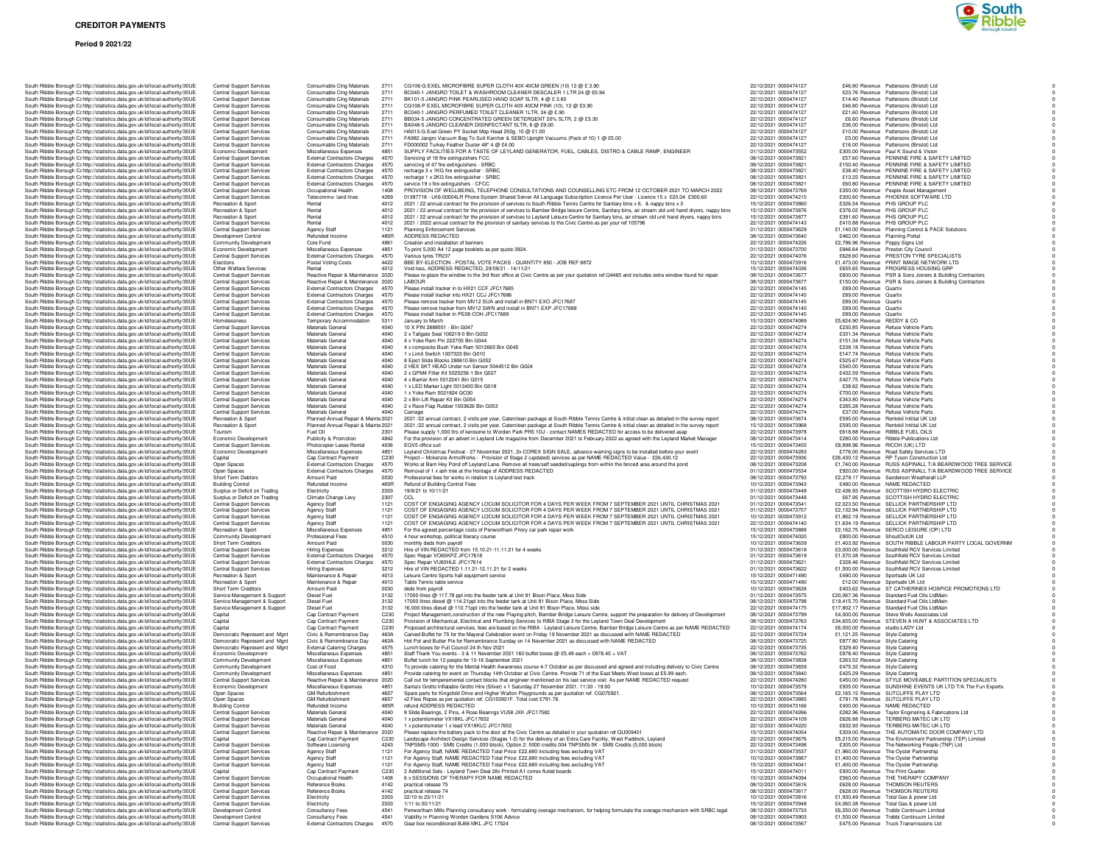### **CREDITOR PAYMENTS**

#### **Period 9 2021/22**



|  | South Ribble Borough Cc http://statistics.data.gov.uk/id/local-authority/30UE                                                                                  | Central Support Services                                           | Consumable Cing Materials                                    | 2711         | CG106-G EXEL MICROFIBRE SUPER CLOTH 40X 40CM GREEN (10) 12 @ £ 3.90                                                                                                                 |
|--|----------------------------------------------------------------------------------------------------------------------------------------------------------------|--------------------------------------------------------------------|--------------------------------------------------------------|--------------|-------------------------------------------------------------------------------------------------------------------------------------------------------------------------------------|
|  | South Ribble Borough Cc http://statistics.data.gov.uk/id/local-authority/30UE                                                                                  | <b>Central Support Services</b>                                    | Consumable Cing Materials                                    | 2711         | BC045-1 JANGRO TOILET & WASHROOM CLEANER DESCALER 1 LTR 24 @ £0                                                                                                                     |
|  | South Ribble Borough C: http://statistics.data.gov.uk/id/local-authority/30UE<br>South Ribble Borough Cc http://statistics.data.gov.uk/id/local-authority/30UE | <b>Central Support Services</b><br><b>Central Support Services</b> | Consumable Cing Materials<br>Consumable Cing Materials       | 2711<br>2711 | BK101-5 JANGRO PINK PEARLISED HAND SOAP 5LTR, 4 @ £3.60<br>CG106-P EXEL MICROFIBRE SUPER CLOTH 40X 40CM PINK (10), 12 @ £3.90                                                       |
|  | South Ribble Borough Cc http://statistics.data.gov.uk/id/local-authority/30UE                                                                                  | Central Support Services                                           | Consumable Cing Materials                                    | 2711         | BC040-1 JANGRO PERFUMED TOILET CLEANER 1LTR, 24 @ £.90                                                                                                                              |
|  | South Ribble Borough Cc http://statistics.data.gov.uk/id/local-authority/30UE                                                                                  | <b>Central Support Services</b>                                    | Consumable Cing Materials                                    | 2711         | BB034-5 JANGRO CONCENTRATED GREEN DETERGENT 20% 5LTR, 2 @ £3.30                                                                                                                     |
|  | South Ribble Borough C: http://statistics.data.gov.uk/id/local-authority/30UE                                                                                  | <b>Central Support Services</b>                                    | Consumable Cing Materials                                    | 2711         | BA048-5 JANGRO CLEANER DISINFECTANT 5LTR, 6 @ £9.00                                                                                                                                 |
|  | South Ribble Borough Cc http://statistics.data.gov.uk/id/local-authority/30UE                                                                                  | <b>Central Support Services</b>                                    | Consumable Cing Materials                                    | 2711         | HA015-G Exel Green PY Socket Mop Head 250g, 10 @ £1.00                                                                                                                              |
|  | South Ribble Borough Cc http://statistics.data.gov.uk/id/local-authority/30UE                                                                                  | Central Support Services                                           | Consumable Cing Materials                                    | 2711         | FA982 Jangro Vacuum Bag To Suit Karcher & SEBO Upright Vacuums (Pack of 10)                                                                                                         |
|  | South Ribble Borough Cc http://statistics.data.gov.uk/id/local-authority/30UE                                                                                  | Central Support Services                                           | Consumable Cing Materials                                    | 2711         | FD000002 Turkey Feather Duster 48" 4 @ £4.00                                                                                                                                        |
|  | South Ribble Borough Cc http://statistics.data.gov.uk/id/local-authority/30UE                                                                                  | Economic Development                                               | Miscellaneous Expenses                                       | 4851         | SUPPLY FACILITIES FOR A TASTE OF LEYLAND GENERATOR, FUEL, CABLES                                                                                                                    |
|  | South Ribble Borough Cc http://statistics.data.gov.uk/id/local-authority/30UE                                                                                  | <b>Central Support Services</b>                                    | <b>External Contractors Charges</b>                          | 4570         | Servicing of 18 fire extinguishers FCC                                                                                                                                              |
|  | South Ribble Borough Cc http://statistics.data.gov.uk/id/local-authority/30UE                                                                                  | <b>Central Support Services</b>                                    | External Contractors Charges                                 | 4570         | servicing of 47 fire extinguishers - SRBC                                                                                                                                           |
|  | South Ribble Borough Cc http://statistics.data.gov.uk/id/local-authority/30UE                                                                                  | <b>Central Support Services</b>                                    | <b>External Contractors Charges</b>                          | 4570         | recharge 3 x 1KG fire extinguisher - SRBC                                                                                                                                           |
|  | South Ribble Borough Cc http://statistics.data.gov.uk/id/local-authority/30UE                                                                                  | <b>Central Support Services</b>                                    | <b>External Contractors Charges</b>                          | 4570         | recharge 1 x 2KG fire extinguisher - SRBC                                                                                                                                           |
|  | South Ribble Borough Cc http://statistics.data.gov.uk/id/local-authority/30UE                                                                                  | Central Support Services                                           | External Contractors Charges                                 | 4570         | service 19 x fire extinguishers - CFCC                                                                                                                                              |
|  | South Ribble Borough Cc http://statistics.data.gov.uk/id/local-authority/30UE                                                                                  | Central Support Services                                           | Occupational Health                                          | 1408         | PROVISION OF WELLBEING, TELEPHONE CONSULTATIONS AND COUNSELLI                                                                                                                       |
|  | South Ribble Borough Cc http://statistics.data.gov.uk/id/local-authority/30UE                                                                                  | Central Support Services                                           | Telecomms- land lines                                        | 4269         | 01397718 - LK6-00004LR Phone System Shared Server All Language Subscription Li                                                                                                      |
|  | South Ribble Borough C: http://statistics.data.gov.uk/id/local-authority/30UE                                                                                  | Recreation & Sport                                                 | Rental                                                       | 4012<br>4012 | 2021 / 22 annual contract for the provision of services to South Ribble Tennis Centre f                                                                                             |
|  | South Ribble Borough Cc http://statistics.data.gov.uk/id/local-authority/30UE<br>South Ribble Borough C: http://statistics.data.gov.uk/id/local-authority/30UE | Recreation & Sport<br>Recreation & Sport                           | Rental<br>Rental                                             | 4012         | 2021 / 22 annual contract for the provision of services to Bamber Bridge leisure Centre<br>2021 / 22 annual contract for the provision of services to Leyland Leisure Centre for Sa |
|  |                                                                                                                                                                | <b>Central Support Services</b>                                    | Rental                                                       | 4012         |                                                                                                                                                                                     |
|  | South Ribble Borough Cc http://statistics.data.gov.uk/id/local-authority/30UE<br>South Ribble Borough Cc http://statistics.data.gov.uk/id/local-authority/30UE | <b>Central Support Services</b>                                    | Agency Staff                                                 | 1121         | 2021 / 2022 annual contract for the provision of sanitary services to the Civic Centre a<br>Planning Enforcement Services                                                           |
|  | South Ribble Borough Cc http://statistics.data.gov.uk/id/local-authority/30UE                                                                                  | Development Control                                                | Refunded Income                                              | 485R         | ADDRESS REDACTED                                                                                                                                                                    |
|  | South Ribble Borough Cc http://statistics.data.gov.uk/id/local-authority/30UE                                                                                  | Community Development                                              | Core Fund                                                    | 4861         | Creation and installation of banners                                                                                                                                                |
|  | South Ribble Borough Cohttp://statistics.data.gov.uk/id/local-authority/30UE                                                                                   | Economic Development                                               | Miscellaneous Expenses                                       | 4851         | To print 5,000 A4 12 page booklets as per quote 3924.                                                                                                                               |
|  | South Ribble Borough Cr http://statistics.data.gov.uk/id/local-authority/30UE                                                                                  | Central Support Services                                           | <b>External Contractors Charges</b>                          | 4570         | Various tyres TR237                                                                                                                                                                 |
|  | South Ribble Borough Cc http://statistics.data.gov.uk/id/local-authority/30UE                                                                                  | Elections                                                          | Postal Voting Costs                                          | 4422         | BBE BY-ELECTION - POSTAL VOTE PACKS - QUANTITY 850 - JOB REF 8872                                                                                                                   |
|  | South Ribble Borough Cr http://statistics.data.gov.uk/id/local-authority/30UE                                                                                  | Other Welfare Services                                             | Rental                                                       | 4012         | Void loss, ADDRESS REDACTED, 29/09/21 - 14/11/21                                                                                                                                    |
|  | South Ribble Borough Cohttp://statistics.data.gov.uk/id/local-authority/30UE                                                                                   | <b>Central Support Services</b>                                    | Reactive Repair & Maintenance 2020                           |              | Please re-glaze the window to the 3rd floor office at Civic Centre as per your quotation                                                                                            |
|  | South Ribble Borough Cc http://statistics.data.gov.uk/id/local-authority/30UE                                                                                  | <b>Central Support Services</b>                                    | Reactive Repair & Maintenance 2020                           |              | LABOUR                                                                                                                                                                              |
|  | South Ribble Borough C: http://statistics.data.gov.uk/id/local-authority/30UE                                                                                  | Central Support Services                                           | External Contractors Charges                                 | 4570         | Please install tracker in to HX21 CCF JFC17685                                                                                                                                      |
|  | South Ribble Borough Cc http://statistics.data.gov.uk/id/local-authority/30UE                                                                                  | Central Support Services                                           | External Contractors Charges                                 | 4570         | Please install tracker into HX21 CCJ JFC17686                                                                                                                                       |
|  | South Ribble Borough Cc http://statistics.data.gov.uk/id/local-authority/30UE                                                                                  | Central Support Services                                           | External Contractors Charges                                 | 4570         | Please remove tracker from MV12 SUA and install in BN71 EXO JFC17687                                                                                                                |
|  | South Ribble Borough Cc http://statistics.data.gov.uk/id/local-authority/30UE                                                                                  | Central Support Services                                           | <b>External Contractors Charges</b>                          | 4570         | Please remove tracker from MV12 SWN and install in BN71 EXP JFC17688                                                                                                                |
|  | South Ribble Borough Cc http://statistics.data.gov.uk/id/local-authority/30UE                                                                                  | <b>Central Support Services</b>                                    | <b>External Contractors Charges</b>                          | 4570<br>5311 | Please install tracker in PE08 COH JFC17689                                                                                                                                         |
|  | South Ribble Borough Cc http://statistics.data.gov.uk/id/local-authority/30UE<br>South Ribble Borough Cc http://statistics.data.gov.uk/id/local-authority/30UE | Homelessness<br>Central Support Services                           | Temporary Accommodation<br>Materials General                 | 4040         | January to March<br>10 X PIN 2888551 - Bln G047                                                                                                                                     |
|  | South Ribble Borough Cc http://statistics.data.gov.uk/id/local-authority/30UE                                                                                  |                                                                    | Materials General                                            | 4040         | 2 x Tailgate Seal 106219-0 Bin G032                                                                                                                                                 |
|  | South Ribble Borough Cc http://statistics.data.gov.uk/id/local-authority/30UE                                                                                  | Central Support Services<br><b>Central Support Services</b>        | Materials General                                            | 4040         | 4 x Yoke Ram Pin 222705 Bin G044                                                                                                                                                    |
|  | South Ribble Borough Cc http://statistics.data.gov.uk/id/local-authority/30UE                                                                                  | Central Support Services                                           | Materials General                                            | 4040         | 4 x composite Bush Yoke Ram 5012665 Bin G045                                                                                                                                        |
|  | South Ribble Borough Cc http://statistics.data.gov.uk/id/local-authority/30UE                                                                                  | Central Support Services                                           | Materials General                                            | 4040         | 1 x Limit Switch 1007323 Bin G010                                                                                                                                                   |
|  | South Ribble Borough Cc http://statistics.data.gov.uk/id/local-authority/30UE                                                                                  | Central Support Services                                           | Materials General                                            | 4040         | 8 Eject Slide Blocks 288610 Bin G052                                                                                                                                                |
|  | South Ribble Borough C: http://statistics.data.gov.uk/id/local-authority/30UE                                                                                  | Central Support Services                                           | Materials General                                            | 4040         | 2 HEX SKT HEAD Under run Sensor 5044512 Bin G024                                                                                                                                    |
|  | South Ribble Borough Cc http://statistics.data.gov.uk/id/local-authority/30UE                                                                                  | Central Support Services                                           | Materials General                                            | 4040         | 2 x GPM4 Filter Kit 5025256-1 Bin G027                                                                                                                                              |
|  | South Ribble Borough Cr http://statistics.data.gov.uk/id/local-authority/30UE                                                                                  | <b>Central Support Services</b>                                    | Materials General                                            | 4040         | 4 x Barrier Arm 5012241 Bin G015                                                                                                                                                    |
|  | South Ribble Borough Cc http://statistics.data.gov.uk/id/local-authority/30UE                                                                                  | <b>Central Support Services</b>                                    | Materials General                                            | 4040         | 1 x LED Marker Light 5013400 Bin G018                                                                                                                                               |
|  | South Ribble Borough Cc http://statistics.data.gov.uk/id/local-authority/30UE                                                                                  | Central Support Services                                           | Materials General                                            | 4040         | 1 x Yoke Ram 5021824 GO30                                                                                                                                                           |
|  | South Ribble Borough Cc http://statistics.data.gov.uk/id/local-authority/30UE                                                                                  | Central Support Services                                           | Materials General                                            | 4040         | 2 x Bln Lift Repair Kit Bin G054                                                                                                                                                    |
|  | South Ribble Borough Cc http://statistics.data.gov.uk/id/local-authority/30UE                                                                                  | Central Support Services                                           | Materials General                                            | 4040         | 2 x Rave Flap Rubber 1003626 Bin G053                                                                                                                                               |
|  | South Ribble Borough C: http://statistics.data.gov.uk/id/local-authority/30UE                                                                                  | Central Support Services                                           | Materials General                                            | 4040         | Carriage                                                                                                                                                                            |
|  | South Ribble Borough Cc http://statistics.data.gov.uk/id/local-authority/30UE                                                                                  | Recreation & Sport                                                 | Planned Annual Repair & Mainte 2021                          |              | 2021 /22 annual contract, 2 visits per year, Caterclean package at South Ribble Tenni                                                                                               |
|  | South Ribble Borough Cc http://statistics.data.gov.uk/id/local-authority/30UE                                                                                  | Recreation & Sport                                                 | Planned Annual Repair & Mainte 2021                          |              | 2021 /22 annual contract, 2 visits per year, Caterclean package at South Ribble Tenni                                                                                               |
|  | South Ribble Borough Cc http://statistics.data.gov.uk/id/local-authority/30UE                                                                                  | Tourism                                                            | Fuel Oil                                                     | 2301         | Please supply 1,000 ltrs of kerosene to Worden Park PR5 1DJ - contact NAMES RED                                                                                                     |
|  | South Ribble Borough Cc http://statistics.data.gov.uk/id/local-authority/30UE                                                                                  | Economic Development                                               | Publicity & Promotion                                        | 4842<br>4036 | For the provision of an advert in Leyland Life magazine from December 2021 to Febru                                                                                                 |
|  | South Ribble Borough Cc http://statistics.data.gov.uk/id/local-authority/30UE<br>South Ribble Borough Cc http://statistics.data.gov.uk/id/local-authority/30UE | <b>Central Support Services</b>                                    | Photocopier Lease Rental                                     | 4851         | EQV5 office suit<br>Leyland Christmas Festival - 27 November 2021, 2x COREX SIGN SALE, advance w                                                                                    |
|  |                                                                                                                                                                | Economic Development                                               | Miscellaneous Expenses<br>Cap Contract Payment               | C230         |                                                                                                                                                                                     |
|  | South Ribble Borough Cc http://statistics.data.gov.uk/id/local-authority/30UE<br>South Ribble Borough Cc http://statistics.data.gov.uk/id/local-authority/30UE | Capital<br>Open Spaces                                             | <b>External Contractors Charges</b>                          | 4570         | Project - Mckenzie ArmsWorks - Provision of Stage 2 (updated) services as per NAM<br>Works at Barn Hey Pond off Leyland Lane. Remove all trees/self seeded/saplings from            |
|  |                                                                                                                                                                | Open Spaces                                                        | <b>External Contractors Charges</b>                          | 4570         | Removal of 1 x ash tree at the frontage of ADDRESS REDACTED                                                                                                                         |
|  |                                                                                                                                                                |                                                                    |                                                              |              |                                                                                                                                                                                     |
|  | South Ribble Borough Cc http://statistics.data.gov.uk/id/local-authority/30UE                                                                                  |                                                                    |                                                              |              |                                                                                                                                                                                     |
|  | South Ribble Borough Cc http://statistics.data.gov.uk/id/local-authority/30UE                                                                                  | Short Term Debtors                                                 | Amount Paid                                                  | 0030         | Professional fees for works in relation to Leyland test track                                                                                                                       |
|  | South Ribble Borough Cc http://statistics.data.gov.uk/id/local-authority/30UE                                                                                  | <b>Building Control</b>                                            | Refunded Income                                              | 485R         | Refund of Building Control Fees<br>19/8/21 to 10/11/21                                                                                                                              |
|  | South Ribble Borough Cc http://statistics.data.gov.uk/id/local-authority/30UE                                                                                  | Surplus or Deficit on Trading                                      | Electricity                                                  | 2303<br>2307 | CCL                                                                                                                                                                                 |
|  | South Ribble Borough Cc http://statistics.data.gov.uk/id/local-authority/30UE                                                                                  | Surplus or Deficit on Trading<br><b>Central Support Services</b>   | Climate Change Levy<br><b>Agency Staff</b>                   | 1121         | COST OF ENGAGING AGENCY LOCUM SOLICITOR FOR 4 DAYS PER WEEK FI                                                                                                                      |
|  | South Ribble Borough Cc http://statistics.data.gov.uk/id/local-authority/30UE                                                                                  |                                                                    |                                                              | 1121         |                                                                                                                                                                                     |
|  | South Ribble Borough Cc http://statistics.data.gov.uk/id/local-authority/30UE<br>South Ribble Borough Cc http://statistics.data.gov.uk/id/local-authority/30UE | Central Support Services<br>Central Support Services               | <b>Agency Staff</b><br>Agency Staff                          | 1121         | COST OF ENGAGING AGENCY LOCUM SOLICITOR FOR 4 DAYS PER WEEK FI<br>COST OF ENGAGING AGENCY LOCUM SOLICITOR FOR 4 DAYS PER WEEK FI                                                    |
|  | South Ribble Borough Cc http://statistics.data.gov.uk/id/local-authority/30UE                                                                                  | Central Support Services                                           | Agency Staff                                                 | 1121         | COST OF ENGAGING AGENCY LOCUM SOLICITOR FOR 4 DAYS PER WEEK FI                                                                                                                      |
|  | South Ribble Borough C: http://statistics.data.gov.uk/id/local-authority/30UE                                                                                  | Recreation & Sport                                                 | Miscellaneous Expenses                                       | 4851         | For the agreed percentage costs of Penwortham Priory car park repair work                                                                                                           |
|  | South Ribble Borough Cc http://statistics.data.gov.uk/id/local-authority/30UE                                                                                  | Community Development                                              | Professional Fees                                            | 4510         | 4 hour workshop, political literacy course                                                                                                                                          |
|  | South Ribble Borough C: http://statistics.data.gov.uk/id/local-authority/30UE                                                                                  | Short Term Creditors                                               | Amount Paid                                                  | 0030         | monthly deds from payroll                                                                                                                                                           |
|  | South Ribble Borough Cc http://statistics.data.gov.uk/id/local-authority/30UE                                                                                  | <b>Central Support Services</b>                                    | <b>Hiring Expenses</b>                                       | 3212         | Hire of VIN REDACTED from 15.10.21-11.11.21 for 4 weeks                                                                                                                             |
|  | South Ribble Borough Cc http://statistics.data.gov.uk/id/local-authority/30UE                                                                                  | <b>Central Support Services</b>                                    | <b>External Contractors Charges</b>                          | 4570         | Spec Repair VO65KPZ JFC17618                                                                                                                                                        |
|  | South Ribble Borough Cc http://statistics.data.gov.uk/id/local-authority/30UE                                                                                  | Central Support Services                                           | External Contractors Charges                                 | 4570         | Spec Repair VU60HLE JFC17614                                                                                                                                                        |
|  | South Ribble Borough Cc http://statistics.data.gov.uk/id/local-authority/30UE                                                                                  | <b>Central Support Services</b>                                    | Hiring Expenses                                              | 3212         | Hire of VIN REDACTED 1.11.21-12.11.21 for 2 weeks                                                                                                                                   |
|  | South Ribble Borough Cc http://statistics.data.gov.uk/id/local-authority/30UE                                                                                  | Recreation & Sport                                                 | Maintenance & Repair                                         | 4013         | Leisure Centre Sports hall equipment service                                                                                                                                        |
|  | South Ribble Borough Cc http://statistics.data.gov.uk/id/local-authority/30UE                                                                                  | Recreation & Sport                                                 | Maintenance & Repair                                         | 4013         | Table Tennis table service                                                                                                                                                          |
|  | South Ribble Borough C: http://statistics.data.gov.uk/id/local-authority/30UE<br>South Ribble Borough Cc http://statistics.data.gov.uk/id/local-authority/30UE | Short Term Creditors<br>Service Management & Support               | Amount Paid<br>Diesel Fuel                                   | 0030<br>3132 | deds from payroll<br>17000 litres @ 117.78 ppl into the feeder tank at Unit 81 Bison Place, Moss Side                                                                               |
|  | South Ribble Borough Cc http://statistics.data.gov.uk/id/local-authority/30UE                                                                                  | Service Management & Support                                       | Diesel Fuel                                                  | 3132         | 17000 litres diesel @ 114.21ppl into the feeder tank at Unit 81 Bison Place, Moss Side                                                                                              |
|  | South Ribble Borough Cc http://statistics.data.gov.uk/id/local-authority/30UE                                                                                  | Service Management & Support                                       | Diesel Fuel                                                  | 3132         |                                                                                                                                                                                     |
|  | South Ribble Borough Cc http://statistics.data.gov.uk/id/local-authority/30UE                                                                                  | Capital                                                            | Cap Contract Payment                                         | C230         | 16,000 litres diesel @ 110.71ppl into the feeder tank at Unit 81 Bison Place, Moss side<br>Project Management, construction of the new Playing pitch, Bamber Bridge Leisure Ce      |
|  | South Ribble Borough Cc http://statistics.data.gov.uk/id/local-authority/30UE                                                                                  | Capital                                                            | Cap Contract Payment                                         | C230         | Provision of Mechanical, Electrical and Plumbing Services to RIBA Stage 3 for the Ley                                                                                               |
|  | South Ribble Borough Cc http://statistics.data.gov.uk/id/local-authority/30UE                                                                                  | Capital                                                            | Cap Contract Payment                                         | C230         | Proposed architectural services, fees are based on the RIBA - Leyland Leisure Centre,                                                                                               |
|  | South Ribble Borough Cr http://statistics.data.gov.uk/id/local-authority/30UE                                                                                  | Democratic Represent and Mgnt                                      | Civic & Remembrance Day                                      | 463A         | Carved Buffet for 75 for the Mayoral Celebration event on Friday 19 November 2021 as                                                                                                |
|  | South Ribble Borough C: http://statistics.data.gov.uk/id/local-authority/30UE                                                                                  | Democratic Represent and Mgnt                                      | Civic & Remembrance Day                                      | 463A         | Hot Pot and Butter Pie for Remembrance Sunday on 14 November 2021 as discussed                                                                                                      |
|  | South Ribble Borough Cc http://statistics.data.gov.uk/id/local-authority/30UE                                                                                  | Democratic Represent and Mgnt                                      | <b>External Catering Charges</b>                             | 4575         | Lunch boxes for Full Council 24 th Nov 2021                                                                                                                                         |
|  | South Ribble Borough Cc http://statistics.data.gov.uk/id/local-authority/30UE                                                                                  | Economic Development                                               | Miscellaneous Expenses                                       | 4851         | Staff Thank You events - 3 & 11 November 2021 160 buffet boxes @ £5.49 each = £8                                                                                                    |
|  | South Ribble Borough Cc http://statistics.data.gov.uk/id/local-authority/30UE                                                                                  | Community Development                                              | Miscellaneous Expenses                                       | 4851<br>4310 | Buffet lunch for 12 people for 13-16 September 2021                                                                                                                                 |
|  | South Ribble Borough Cc http://statistics.data.gov.uk/id/local-authority/30UE                                                                                  | Community Development                                              | Cost of Food                                                 |              | To provide catering for the Mental Health Awareness course 4-7 October as per discus                                                                                                |
|  | South Ribble Borough Cc http://statistics.data.gov.uk/id/local-authority/30UE                                                                                  | Community Development                                              | Miscellaneous Expenses                                       | 4851         | Provide catering for event on Thursday 14th October at Civic Centre. Provide 71 of the                                                                                              |
|  | South Ribble Borough Cc http://statistics.data.gov.uk/id/local-authority/30UE<br>South Ribble Borough Cc http://statistics.data.gov.uk/id/local-authority/30UE | <b>Central Support Services</b><br>Economic Development            | Reactive Repair & Maintenance 2020<br>Miscellaneous Expenses | 4851         | Call out for temperamental contact blocks that engineer mentioned on his last service<br>Santa's Grotto Inflatable Grotto Hire (Silver) x 1 Saturday 27 November 2021. 11:30 -      |
|  | South Ribble Borough C: http://statistics.data.gov.uk/id/local-authority/30UE                                                                                  | Open Spaces                                                        | <b>GM Refurbishment</b>                                      | 4657         | Spare parts for Kingsfold Drive and Higher Walton Playgrounds as per quotation ref. C                                                                                               |
|  | South Ribble Borough Cc http://statistics.data.gov.uk/id/local-authority/30UE                                                                                  | Open Spaces                                                        | <b>GM Refurbishment</b>                                      | 4657         | x2 Flexi Ropes as per quotation ref. CG150921F. Total cost £791.78.                                                                                                                 |
|  | South Ribble Borough Cohttp://statistics.data.gov.uk/id/local-authority/30UE                                                                                   | <b>Building Control</b>                                            | Refunded Income                                              | 485R         | refund ADDRESS REDACTED                                                                                                                                                             |
|  | South Ribble Borough Cr http://statistics.data.gov.uk/id/local-authority/30UE                                                                                  | <b>Central Support Services</b>                                    | Materials General                                            | 4040         | 8 Slide Bearings, 2 Pins, 4 Rose Bearings VU58 JXK JFC17582                                                                                                                         |
|  | South Ribble Borough Cc http://statistics.data.gov.uk/id/local-authority/30UE                                                                                  | Central Support Services                                           | Materials General                                            | 4040         | 1 x notentiometer VX18KL JFC17652                                                                                                                                                   |
|  | South Ribble Borough Cc http://statistics.data.gov.uk/id/local-authority/30UE                                                                                  | Central Support Services                                           | Materials General                                            | 4040         | 1 x potentiometer 1 x lead VX18KLC JFC17652                                                                                                                                         |
|  | South Ribble Borough Cc http://statistics.data.gov.uk/id/local-authority/30UE                                                                                  | <b>Central Support Services</b>                                    | Reactive Repair & Maintenance 2020                           |              | Please replace the battery pack to the door at the Civic Centre as detailed in your quot                                                                                            |
|  | South Ribble Borough C: http://statistics.data.gov.uk/id/local-authority/30UE                                                                                  | Capital                                                            | Cap Contract Payment                                         | C230         | Landscape Architect Design Services (Stages 1-2) for the delivery of an Extra Care Fa                                                                                               |
|  | South Ribble Borough Cc http://statistics.data.gov.uk/id/local-authority/30UE                                                                                  | Central Support Services                                           | Software Licensing                                           | 4243         | TNPSMS-1000 - SMS Credits (1,000 block), Option 2: 5000 credits 004 TNPSMS-5K                                                                                                       |
|  | South Ribble Borough Cohttp://statistics.data.gov.uk/id/local-authority/30UE                                                                                   | <b>Central Support Services</b>                                    | <b>Agency Staff</b>                                          | 1121         | For Agency Staff, NAME REDACTED Total Price: £22,680 including fees excluding V                                                                                                     |
|  | South Ribble Borough Cc http://statistics.data.gov.uk/id/local-authority/30UE                                                                                  | <b>Central Support Services</b>                                    | <b>Agency Staff</b>                                          | 1121         | For Agency Staff, NAME REDACTED Total Price: £22,680 including fees excluding V                                                                                                     |
|  | South Ribble Borough Cr http://statistics.data.gov.uk/id/local-authority/30UE                                                                                  | <b>Central Support Services</b><br>Capital                         | Agency Staff<br>Cap Contract Payment                         | 1121<br>C230 | For Agency Staff, NAME REDACTED Total Price: £22,680 including fees excluding V<br>2 Additional Sets - Levland Town Deal 28x Printed A1 correx fluted boards                        |
|  | South Ribble Borough Cr http://statistics.data.gov.uk/id/local-authority/30UE<br>South Ribble Borough Cc http://statistics.data.gov.uk/id/local-authority/30UE |                                                                    | Occupational Health                                          | 1408         |                                                                                                                                                                                     |
|  | South Ribble Borough Cc http://statistics.data.gov.uk/id/local-authority/30UE                                                                                  | Central Support Services<br>Central Support Services               | <b>Beference Books</b>                                       | 4142         | 6 x SESSIONS OF THERAPY FOR NAME REDACTED<br>practical release 75                                                                                                                   |
|  | South Ribble Borough Cc http://statistics.data.gov.uk/id/local-authority/30UE                                                                                  | <b>Central Support Services</b>                                    | Reference Books                                              | 4142         | practical release 74                                                                                                                                                                |
|  | South Ribble Borough C: http://statistics.data.gov.uk/id/local-authority/30UE                                                                                  | Central Support Services                                           | Electricity                                                  | 2303         | 22/10 to 23/11/21                                                                                                                                                                   |
|  | South Ribble Borough C: http://statistics.data.gov.uk/id/local-authority/30UE                                                                                  | <b>Central Support Services</b>                                    | Electricity                                                  | 2303         | 1/11 to 30/11/21                                                                                                                                                                    |
|  | South Ribble Borough Cohttp://statistics.data.gov.uk/id/local-authority/30UE                                                                                   | Development Control                                                | Consultancy Fees                                             | 4541         | Penwortham Mills Planning consultancy work - formulating overage mechanism, for h                                                                                                   |

| South Ribble Borough Cc http://statistics.data.gov.uk/id/local-authority/30UE                                                                                                                                                                                                                                                                                                                                                                                                                                                                                                                                                                                                                                                                                                                                                                                                                                                                                                                                                                                                                                                                                                                                                                                                                                                                                                                                                 | Central Support Services                                    | Consumable Cing Materials                              | 2711             | BC045-1 JANGRO TOILET & WASHROOM CLEANER DESCALER 1 LTR 24 @ £0.94                                                                                                                                                                | 22/12/2021 0000474127                          | £23.76 Revenue Pattersons (Bristol) Ltd                                                                                                                    |
|-------------------------------------------------------------------------------------------------------------------------------------------------------------------------------------------------------------------------------------------------------------------------------------------------------------------------------------------------------------------------------------------------------------------------------------------------------------------------------------------------------------------------------------------------------------------------------------------------------------------------------------------------------------------------------------------------------------------------------------------------------------------------------------------------------------------------------------------------------------------------------------------------------------------------------------------------------------------------------------------------------------------------------------------------------------------------------------------------------------------------------------------------------------------------------------------------------------------------------------------------------------------------------------------------------------------------------------------------------------------------------------------------------------------------------|-------------------------------------------------------------|--------------------------------------------------------|------------------|-----------------------------------------------------------------------------------------------------------------------------------------------------------------------------------------------------------------------------------|------------------------------------------------|------------------------------------------------------------------------------------------------------------------------------------------------------------|
| South Ribble Borough Cohttp://statistics.data.gov.uk/id/local-authority/30UE                                                                                                                                                                                                                                                                                                                                                                                                                                                                                                                                                                                                                                                                                                                                                                                                                                                                                                                                                                                                                                                                                                                                                                                                                                                                                                                                                  | Central Support Services                                    | Consumable Cing Materials                              | 271              | BK101-5 JANGRO PINK PEARLISED HAND SOAP 5LTR, 4 @ £3.60                                                                                                                                                                           | 22/12/2021 0000474127                          | £14.40 Revenue Pattersons (Bristol) Ltd                                                                                                                    |
| South Ribble Borough Cc http://statistics.data.gov.uk/id/local-authority/30UE                                                                                                                                                                                                                                                                                                                                                                                                                                                                                                                                                                                                                                                                                                                                                                                                                                                                                                                                                                                                                                                                                                                                                                                                                                                                                                                                                 | <b>Central Support Services</b>                             | Consumable Cing Materials                              | 2711             | CG106-P EXEL MICROFIBRE SUPER CLOTH 40X 40CM PINK (10), 12 @ £3.90                                                                                                                                                                | 22/12/2021 0000474127                          | £46.80 Revenue Pattersons (Bristol) Ltd                                                                                                                    |
| South Ribble Borough Cr http://statistics.data.gov.uk/id/local-authority/30UE                                                                                                                                                                                                                                                                                                                                                                                                                                                                                                                                                                                                                                                                                                                                                                                                                                                                                                                                                                                                                                                                                                                                                                                                                                                                                                                                                 | <b>Central Support Services</b>                             | Consumable Cing Materials                              | 2711             | BC040-1 JANGRO PERFUMED TOILET CLEANER 1LTR, 24 @ £.90                                                                                                                                                                            | 22/12/2021 0000474127                          | £21.60 Revenue Pattersons (Bristol) Ltd                                                                                                                    |
| South Ribble Borough Cc http://statistics.data.gov.uk/id/local-authority/30UE                                                                                                                                                                                                                                                                                                                                                                                                                                                                                                                                                                                                                                                                                                                                                                                                                                                                                                                                                                                                                                                                                                                                                                                                                                                                                                                                                 | Central Support Services                                    | Consumable Cing Materials                              | 2711             | BB034-5 JANGRO CONCENTRATED GREEN DETERGENT 20% 5LTR, 2 @ £3.30                                                                                                                                                                   | 22/12/2021 0000474127                          | £6.60 Revenue Pattersons (Bristol) Ltd                                                                                                                     |
| South Ribble Borough Cc http://statistics.data.gov.uk/id/local-authority/30UE                                                                                                                                                                                                                                                                                                                                                                                                                                                                                                                                                                                                                                                                                                                                                                                                                                                                                                                                                                                                                                                                                                                                                                                                                                                                                                                                                 | Central Support Services                                    | Consumable Cing Materials                              | 2711             | BA048-5 JANGRO CLEANER DISINFECTANT 5LTR, 6 @ £9.00                                                                                                                                                                               | 22/12/2021 0000474127                          | £36.00 Revenue Pattersons (Bristol) Ltd                                                                                                                    |
| South Ribble Borough Cc http://statistics.data.gov.uk/id/local-authority/30UE<br>South Ribble Borough Cc http://statistics.data.gov.uk/id/local-authority/30UE                                                                                                                                                                                                                                                                                                                                                                                                                                                                                                                                                                                                                                                                                                                                                                                                                                                                                                                                                                                                                                                                                                                                                                                                                                                                | <b>Central Support Services</b>                             | Consumable Cing Materials<br>Consumable Cing Materials | 2711             | HA015-G Exel Green PY Socket Mop Head 250g, 10 @ £1.00                                                                                                                                                                            | 22/12/2021 0000474127                          | £10.00 Revenue Pattersons (Bristol) Ltd                                                                                                                    |
|                                                                                                                                                                                                                                                                                                                                                                                                                                                                                                                                                                                                                                                                                                                                                                                                                                                                                                                                                                                                                                                                                                                                                                                                                                                                                                                                                                                                                               | Central Support Services                                    |                                                        | 2711             | FA982 Jangro Vacuum Bag To Suit Karcher & SEBO Upright Vacuums (Pack of 10) 1 @ £5.00                                                                                                                                             | 22/12/2021 0000474127                          | £5.00 Revenue Pattersons (Bristol) Ltd                                                                                                                     |
| South Ribble Borough Cc http://statistics.data.gov.uk/id/local-authority/30UE                                                                                                                                                                                                                                                                                                                                                                                                                                                                                                                                                                                                                                                                                                                                                                                                                                                                                                                                                                                                                                                                                                                                                                                                                                                                                                                                                 | <b>Central Support Services</b>                             | Consumable Cing Materials                              | 2711             | 1 ASUS CONSULTING Feather Duster 45' 4 @ £4.00<br>SUPPLY FACILITIES FOR A TASTE OF LEYLAND GENERATOR, FUEL, CABLES, DISTRO & CABLE RAMP, ENGINEER                                                                                 | 22/12/2021 0000474127                          | £16.00 Revenue Pattersons (Bristol) Ltd                                                                                                                    |
| South Ribble Borough Cc http://statistics.data.gov.uk/id/local-authority/30UE                                                                                                                                                                                                                                                                                                                                                                                                                                                                                                                                                                                                                                                                                                                                                                                                                                                                                                                                                                                                                                                                                                                                                                                                                                                                                                                                                 | Economic Development                                        | Miscellaneous Expenses                                 | 4851             |                                                                                                                                                                                                                                   | 01/12/2021 0000473552                          | £305.00 Revenue Paul K Sound & Vision                                                                                                                      |
| South Ribble Borough Cohttp://statistics.data.gov.uk/id/local-authority/30UE                                                                                                                                                                                                                                                                                                                                                                                                                                                                                                                                                                                                                                                                                                                                                                                                                                                                                                                                                                                                                                                                                                                                                                                                                                                                                                                                                  | <b>Central Support Services</b>                             | <b>External Contractors Charges</b>                    | 4570             | Servicing of 18 fire extinguishers FCC                                                                                                                                                                                            | 08/12/2021 0000473821                          | £57.60 Revenue PENNINE FIRE & SAFETY LIMITED                                                                                                               |
| South Ribble Borough Cc http://statistics.data.gov.uk/id/local-authority/30UE                                                                                                                                                                                                                                                                                                                                                                                                                                                                                                                                                                                                                                                                                                                                                                                                                                                                                                                                                                                                                                                                                                                                                                                                                                                                                                                                                 | Central Support Services                                    | External Contractors Charges                           | 4570             | servicing of 47 fire extinguishers - SRBC                                                                                                                                                                                         | 08/12/2021 0000473821                          | £150.40 Revenue PENNINE FIRE & SAFETY LIMITED                                                                                                              |
| .<br>South Ribble Borough Cc http://statistics.data.gov.uk/id/local-authority/30UE<br>South Ribble Borough Cc http://statistics.data.gov.uk/id/local-authority/30UE                                                                                                                                                                                                                                                                                                                                                                                                                                                                                                                                                                                                                                                                                                                                                                                                                                                                                                                                                                                                                                                                                                                                                                                                                                                           | Central Support Services                                    | External Contractors Charges                           | 4570             | recharge 3 x 1KG fire extinguisher - SRBC                                                                                                                                                                                         | 08/12/2021 0000473821                          | £38.40 Revenue PENNINE FIRE & SAFETY LIMITED                                                                                                               |
|                                                                                                                                                                                                                                                                                                                                                                                                                                                                                                                                                                                                                                                                                                                                                                                                                                                                                                                                                                                                                                                                                                                                                                                                                                                                                                                                                                                                                               | <b>Central Support Services</b>                             | <b>External Contractors Charges</b>                    | 4570             | recharge 1 x 2KG fire extinguisher - SRBC                                                                                                                                                                                         | 08/12/2021 0000473821                          | E13.25 Revenue PENNINE FIRE & SAFETY LIMITED                                                                                                               |
| South Ribble Borough Cc http://statistics.data.gov.uk/id/local-authority/30UE                                                                                                                                                                                                                                                                                                                                                                                                                                                                                                                                                                                                                                                                                                                                                                                                                                                                                                                                                                                                                                                                                                                                                                                                                                                                                                                                                 | Central Support Services                                    | External Contractors Charges                           | 4570             | service 19 x fire extinguishers - CFCC                                                                                                                                                                                            | 08/12/2021 0000473821                          | £60.80 Revenue PENNINE FIRE & SAFETY LIMITED                                                                                                               |
| South Ribble Borough Cc http://statistics.data.gov.uk/id/local-authority/30UE                                                                                                                                                                                                                                                                                                                                                                                                                                                                                                                                                                                                                                                                                                                                                                                                                                                                                                                                                                                                                                                                                                                                                                                                                                                                                                                                                 | <b>Central Support Services</b>                             | Occupational Health                                    | 1408             | PROVISION OF WELLBEING, TELEPHONE CONSULTATIONS AND COUNSELLING ETC FROM 12 OCTOBER 2021 TO MARCH 2022                                                                                                                            | 08/12/2021 0000473769                          | £350.00 Revenue People Asset Manageme                                                                                                                      |
|                                                                                                                                                                                                                                                                                                                                                                                                                                                                                                                                                                                                                                                                                                                                                                                                                                                                                                                                                                                                                                                                                                                                                                                                                                                                                                                                                                                                                               | Central Support Services                                    | Telecomms- land lines                                  | 4269             |                                                                                                                                                                                                                                   | 22/12/2021 0000474215                          | £300.60 Revenue PHOENIX SOFTWARE LTD                                                                                                                       |
| .<br>South Ribble Borough Cc http://statistics.data.gov.uk/id/local-authority/30UE<br>South Ribble Borough Cc http://statistics.data.gov.uk/id/local-authority/30UE                                                                                                                                                                                                                                                                                                                                                                                                                                                                                                                                                                                                                                                                                                                                                                                                                                                                                                                                                                                                                                                                                                                                                                                                                                                           |                                                             |                                                        | 4012             | 01397718 - LK6-00004LR Phone System Shared Server All Language Subscription Licence Per User - Licence 15 x £20.04 £300.60<br>2021 / 22 annual contract for the provision of services to South Ribble Tennis Centre for Sanitary  |                                                |                                                                                                                                                            |
|                                                                                                                                                                                                                                                                                                                                                                                                                                                                                                                                                                                                                                                                                                                                                                                                                                                                                                                                                                                                                                                                                                                                                                                                                                                                                                                                                                                                                               | Recreation & Sport                                          | Rental                                                 |                  |                                                                                                                                                                                                                                   | 15/12/2021 0000473860                          | £326.54 Revenue PHS GROUP PLC                                                                                                                              |
| South Ribble Borough Cc http://statistics.data.gov.uk/id/local-authority/30UE                                                                                                                                                                                                                                                                                                                                                                                                                                                                                                                                                                                                                                                                                                                                                                                                                                                                                                                                                                                                                                                                                                                                                                                                                                                                                                                                                 | Recreation & Sport                                          | Rental                                                 |                  | 2021 / 22 annual contract for the provision of services to Bamber Bridge leisure Centre, Sanitary bins, air stream old unit hand dryers, nappy bins                                                                               | 15/12/2021 0000473876                          | £376.02 Revenue PHS GROUP PLC                                                                                                                              |
| South Ribble Borough Cr http://statistics.data.gov.uk/id/local-authority/30UE                                                                                                                                                                                                                                                                                                                                                                                                                                                                                                                                                                                                                                                                                                                                                                                                                                                                                                                                                                                                                                                                                                                                                                                                                                                                                                                                                 | Recreation & Sport                                          | Rental                                                 | 4012             | 2021 / 22 annual contract for the provision of services to Leyland Leisure Centre for Sanitary bins, air stream old unit hand dryers, nappy bins                                                                                  | 15/12/2021 0000473877                          | £391.60 Revenue PHS GROUP PLC                                                                                                                              |
|                                                                                                                                                                                                                                                                                                                                                                                                                                                                                                                                                                                                                                                                                                                                                                                                                                                                                                                                                                                                                                                                                                                                                                                                                                                                                                                                                                                                                               | <b>Central Support Services</b>                             | Rental                                                 | 4012             | 2021 / 2022 annual contract for the provision of sanitary services to the Civic Centre as per your ref 105796                                                                                                                     | 22/12/2021 0000474143                          | £410.88 Revenue PHS GROUP PLC                                                                                                                              |
| .<br>South Ribble Borough Cc http://statistics.data.gov.uk/id/local-authority/30UE<br>South Ribble Borough Cc http://statistics.data.gov.uk/id/local-authority/30UE                                                                                                                                                                                                                                                                                                                                                                                                                                                                                                                                                                                                                                                                                                                                                                                                                                                                                                                                                                                                                                                                                                                                                                                                                                                           | Central Support Services                                    | Agency Staff                                           | 1121             | <b>Planning Enforcement Services</b>                                                                                                                                                                                              | 01/12/2021 0000473629                          | £1,140.00 Revenue Planning Control & PACE Solutions                                                                                                        |
| South Ribble Borough Cc http://statistics.data.gov.uk/id/local-authority/30UE                                                                                                                                                                                                                                                                                                                                                                                                                                                                                                                                                                                                                                                                                                                                                                                                                                                                                                                                                                                                                                                                                                                                                                                                                                                                                                                                                 | Development Control                                         | Refunded Income                                        | 485R             | ADDRESS REDACTED                                                                                                                                                                                                                  | 08/12/2021 0000473640                          | £462.00 Revenue Planning Portal                                                                                                                            |
| South Ribble Borough Cc http://statistics.data.gov.uk/id/local-authority/30UE                                                                                                                                                                                                                                                                                                                                                                                                                                                                                                                                                                                                                                                                                                                                                                                                                                                                                                                                                                                                                                                                                                                                                                                                                                                                                                                                                 | Community Development                                       | Core Fund                                              | 4861             | Creation and installation of hanners                                                                                                                                                                                              | 22/12/2021 0000474226                          | £2,796.96 Revenue Poppy Signs Ltd                                                                                                                          |
| South Ribble Borough Cr http://statistics.data.gov.uk/id/local-authority/30UE                                                                                                                                                                                                                                                                                                                                                                                                                                                                                                                                                                                                                                                                                                                                                                                                                                                                                                                                                                                                                                                                                                                                                                                                                                                                                                                                                 | Economic Development                                        | Miscellaneous Expenses                                 | 4851             | To print 5,000 A4 12 page booklets as per quote 3924.                                                                                                                                                                             | 01/12/2021 0000473700                          | £846.64 Revenue Preston City Council                                                                                                                       |
| South Ribble Borough Cc http://statistics.data.gov.uk/id/local-authority/30UE                                                                                                                                                                                                                                                                                                                                                                                                                                                                                                                                                                                                                                                                                                                                                                                                                                                                                                                                                                                                                                                                                                                                                                                                                                                                                                                                                 | Central Support Services                                    | <b>External Contractors Charges</b>                    | 4570             | Various tyres TR237                                                                                                                                                                                                               | 22/12/2021 0000474076                          | £628.60 Revenue PRESTON TYRE SPECIALISTS                                                                                                                   |
| .<br>South Ribble Borough Cc http://statistics.data.gov.uk/id/local-authority/30UE<br>South Ribble Borough Cc http://statistics.data.gov.uk/id/local-authority/30UE                                                                                                                                                                                                                                                                                                                                                                                                                                                                                                                                                                                                                                                                                                                                                                                                                                                                                                                                                                                                                                                                                                                                                                                                                                                           | Elections                                                   | Postal Voting Costs                                    | 4422             | BBE BY-ELECTION - POSTAL VOTE PACKS - QUANTITY 850 - JOB REF 8872<br>Void loss, ADDRESS REDACTED, 29/09/21 - 14/11/21                                                                                                             | 10/12/2021 0000473916                          | £1,473.00 Revenue PRINT IMAGE NETWORK LTD<br>£655.65 Revenue PROGRESS HOUSING GRP                                                                          |
|                                                                                                                                                                                                                                                                                                                                                                                                                                                                                                                                                                                                                                                                                                                                                                                                                                                                                                                                                                                                                                                                                                                                                                                                                                                                                                                                                                                                                               | Other Welfare Services                                      | Rental                                                 | 4012             |                                                                                                                                                                                                                                   | 15/12/2021 0000474036                          |                                                                                                                                                            |
| South Ribble Borough Cc http://statistics.data.gov.uk/id/local-authority/30UE                                                                                                                                                                                                                                                                                                                                                                                                                                                                                                                                                                                                                                                                                                                                                                                                                                                                                                                                                                                                                                                                                                                                                                                                                                                                                                                                                 | <b>Central Support Services</b>                             | Reactive Repair & Maintenance 2020                     |                  | Please re-glaze the window to the 3rd floor office at Civic Centre as per your quotation ref Q4465 and includes extra window found for repair                                                                                     | 08/12/2021 0000473677                          | £600.00 Revenue PSR & Sons Joiners & Building Contractors                                                                                                  |
| South Ribble Borough Cc http://statistics.data.gov.uk/id/local-authority/30UE                                                                                                                                                                                                                                                                                                                                                                                                                                                                                                                                                                                                                                                                                                                                                                                                                                                                                                                                                                                                                                                                                                                                                                                                                                                                                                                                                 | Central Support Services                                    | Reactive Repair & Maintenance 2020                     |                  | <b>I AROUR</b>                                                                                                                                                                                                                    | 08/12/2021 0000473677                          | £150.00 Revenue PSR & Sons Joiners & Building Contractors                                                                                                  |
|                                                                                                                                                                                                                                                                                                                                                                                                                                                                                                                                                                                                                                                                                                                                                                                                                                                                                                                                                                                                                                                                                                                                                                                                                                                                                                                                                                                                                               | Central Support Services                                    | External Contractors Charges 4570                      |                  | Please install tracker in to HX21 CCF JFC17685                                                                                                                                                                                    | 22/12/2021 0000474145                          | £89.00 Bevenue Quartix                                                                                                                                     |
| .<br>South Ribble Borough Cc http://statistics.data.gov.uk/id/local-authority/30UE<br>South Ribble Borough Cc http://statistics.data.gov.uk/id/local-authority/30UE                                                                                                                                                                                                                                                                                                                                                                                                                                                                                                                                                                                                                                                                                                                                                                                                                                                                                                                                                                                                                                                                                                                                                                                                                                                           | Central Support Services                                    | External Contractors Charges                           | 4570             | Please install tracker into HX21 CCJ JFC17686                                                                                                                                                                                     | 22/12/2021 0000474145                          | £89.00 Revenue Quartix                                                                                                                                     |
| South Ribble Borough Cc http://statistics.data.gov.uk/id/local-authority/30UE                                                                                                                                                                                                                                                                                                                                                                                                                                                                                                                                                                                                                                                                                                                                                                                                                                                                                                                                                                                                                                                                                                                                                                                                                                                                                                                                                 | Central Support Services                                    | External Contractors Charges                           | 4570             | Please remove tracker from MV12 SUA and install in BN71 EXO JFC17687                                                                                                                                                              | 22/12/2021 0000474145                          | £89.00 Revenue Quartix                                                                                                                                     |
|                                                                                                                                                                                                                                                                                                                                                                                                                                                                                                                                                                                                                                                                                                                                                                                                                                                                                                                                                                                                                                                                                                                                                                                                                                                                                                                                                                                                                               | <b>Central Support Services</b>                             | External Contractors Charges                           | 4570             | Please remove tracker from MV12 SWN and install in BN71 EXP JFC17688                                                                                                                                                              | 22/12/2021 0000474145                          | £89.00 Revenue Quartix                                                                                                                                     |
| South Ribble Borough C: http://statistics.data.gov.uk/id/local-authority/30UE<br>South Ribble Borough Cohttp://statistics.data.gov.uk/id/local-authority/30UE                                                                                                                                                                                                                                                                                                                                                                                                                                                                                                                                                                                                                                                                                                                                                                                                                                                                                                                                                                                                                                                                                                                                                                                                                                                                 | <b>Central Support Services</b>                             | External Contractors Charges                           | 4570             | Please install tracker in PE08 COH JFC17689                                                                                                                                                                                       | 22/12/2021 0000474145                          | £89.00 Revenue Quartix                                                                                                                                     |
|                                                                                                                                                                                                                                                                                                                                                                                                                                                                                                                                                                                                                                                                                                                                                                                                                                                                                                                                                                                                                                                                                                                                                                                                                                                                                                                                                                                                                               |                                                             |                                                        |                  |                                                                                                                                                                                                                                   |                                                |                                                                                                                                                            |
| South Ribble Borough Cc http://statistics.data.gov.uk/id/local-authority/30UE                                                                                                                                                                                                                                                                                                                                                                                                                                                                                                                                                                                                                                                                                                                                                                                                                                                                                                                                                                                                                                                                                                                                                                                                                                                                                                                                                 | Homelessness                                                | Temporary Accommodation                                | 5311             | January to March                                                                                                                                                                                                                  | 15/12/2021 0000474089                          | £5,624.90 Revenue REDDY & CO                                                                                                                               |
| South Ribble Borough Cc http://statistics.data.gov.uk/id/local-authority/30UE                                                                                                                                                                                                                                                                                                                                                                                                                                                                                                                                                                                                                                                                                                                                                                                                                                                                                                                                                                                                                                                                                                                                                                                                                                                                                                                                                 | <b>Central Support Services</b>                             | Materials General                                      | 4040             | 10 X PIN 2888551 - Bln G047                                                                                                                                                                                                       | 22/12/2021 0000474274                          | £230.85 Revenue Refuse Vehicle Parts                                                                                                                       |
| .<br>South Ribble Borough Cc http://statistics.data.gov.uk/id/local-authority/30UE<br>South Ribble Borough Cc http://statistics.data.gov.uk/id/local-authority/30UE                                                                                                                                                                                                                                                                                                                                                                                                                                                                                                                                                                                                                                                                                                                                                                                                                                                                                                                                                                                                                                                                                                                                                                                                                                                           | <b>Central Support Services</b>                             | Materials General                                      | 4040             | 2 x Tailgate Seal 106219-0 Bin G032                                                                                                                                                                                               | 22/12/2021 0000474274                          | £331.34 Revenue Refuse Vehicle Parts                                                                                                                       |
|                                                                                                                                                                                                                                                                                                                                                                                                                                                                                                                                                                                                                                                                                                                                                                                                                                                                                                                                                                                                                                                                                                                                                                                                                                                                                                                                                                                                                               | Central Support Services                                    | Materials General                                      |                  | 4 x Yoke Ram Pin 222705 Bin G044                                                                                                                                                                                                  | 22/12/2021 0000474274                          | £151.34 Revenue Refuse Vehicle Parts                                                                                                                       |
| South Ribble Borough Cc http://statistics.data.gov.uk/id/local-authority/30UE                                                                                                                                                                                                                                                                                                                                                                                                                                                                                                                                                                                                                                                                                                                                                                                                                                                                                                                                                                                                                                                                                                                                                                                                                                                                                                                                                 | Central Support Services                                    | Materials Genera                                       | 4040             | 4 x composite Bush Yoke Ram 5012665 Bin G045                                                                                                                                                                                      | 22/12/2021 0000474274                          | £238.18 Revenue Refuse Vehicle Parts                                                                                                                       |
| South Ribble Borough Cc http://statistics.data.gov.uk/id/local-authority/30UE                                                                                                                                                                                                                                                                                                                                                                                                                                                                                                                                                                                                                                                                                                                                                                                                                                                                                                                                                                                                                                                                                                                                                                                                                                                                                                                                                 | <b>Central Support Services</b>                             | Materials General                                      | 4040             | 1 x Limit Switch 1007323 Bin G010                                                                                                                                                                                                 | 22/12/2021 0000474274                          | £147.74 Revenue Refuse Vehicle Parts                                                                                                                       |
| South Ribble Borough Cr http://statistics.data.gov.uk/id/local-authority/30UE                                                                                                                                                                                                                                                                                                                                                                                                                                                                                                                                                                                                                                                                                                                                                                                                                                                                                                                                                                                                                                                                                                                                                                                                                                                                                                                                                 | <b>Central Support Services</b>                             | Materials General                                      | 4040             | 8 Eiect Slide Blocks 288610 Bin G052                                                                                                                                                                                              | 22/12/2021 0000474274                          | £525.67 Revenue Refuse Vehicle Parts                                                                                                                       |
| South Ribble Borough Cc http://statistics.data.gov.uk/id/local-authority/30UE                                                                                                                                                                                                                                                                                                                                                                                                                                                                                                                                                                                                                                                                                                                                                                                                                                                                                                                                                                                                                                                                                                                                                                                                                                                                                                                                                 | Central Support Services                                    | Materials General                                      | 4040             | 2 HEX SKT HEAD Under run Sensor 5044512 Bin G024                                                                                                                                                                                  | 22/12/2021 0000474274                          | £540.00 Revenue Refuse Vehicle Parts                                                                                                                       |
| South Ribble Borough Cc http://statistics.data.gov.uk/id/local-authority/30UE                                                                                                                                                                                                                                                                                                                                                                                                                                                                                                                                                                                                                                                                                                                                                                                                                                                                                                                                                                                                                                                                                                                                                                                                                                                                                                                                                 | Central Support Services                                    | Materials General                                      | 4040             | 2 x GPM4 Filter Kit 5025256-1 Bin G027                                                                                                                                                                                            |                                                |                                                                                                                                                            |
| South Ribble Borough Cc http://statistics.data.gov.uk/id/local-authority/30UE                                                                                                                                                                                                                                                                                                                                                                                                                                                                                                                                                                                                                                                                                                                                                                                                                                                                                                                                                                                                                                                                                                                                                                                                                                                                                                                                                 | <b>Central Support Services</b>                             | Materials General                                      | 4040             | 4 x Barrier Arm 5012241 Bin G015                                                                                                                                                                                                  | 22/12/2021 0000474274<br>22/12/2021 0000474274 | £432.59 Revenue Refuse Vehicle Parts<br>£427.75 Revenue Refuse Vehicle Parts                                                                               |
| South Ribble Borough Cc http://statistics.data.gov.uk/id/local-authority/30UE                                                                                                                                                                                                                                                                                                                                                                                                                                                                                                                                                                                                                                                                                                                                                                                                                                                                                                                                                                                                                                                                                                                                                                                                                                                                                                                                                 | Central Support Services                                    | Materials General                                      | 4040             | 1 x LED Marker Light 5013400 Bin G018                                                                                                                                                                                             | 22/12/2021 0000474274                          | £38.62 Revenue Refuse Vehicle Parts                                                                                                                        |
| South Ribble Borough Cc http://statistics.data.gov.uk/id/local-authority/30UE                                                                                                                                                                                                                                                                                                                                                                                                                                                                                                                                                                                                                                                                                                                                                                                                                                                                                                                                                                                                                                                                                                                                                                                                                                                                                                                                                 | Central Support Services                                    | Materials General                                      | 4040             | 1 x Yoke Ram 5021824 GO30                                                                                                                                                                                                         | 22/12/2021 0000474274                          | £700.00 Revenue Refuse Vehicle Parts                                                                                                                       |
| South Ribble Borough Cc http://statistics.data.gov.uk/id/local-authority/30UE                                                                                                                                                                                                                                                                                                                                                                                                                                                                                                                                                                                                                                                                                                                                                                                                                                                                                                                                                                                                                                                                                                                                                                                                                                                                                                                                                 | <b>Central Support Services</b>                             | Materials General                                      | 4040             | 2 x Bln Lift Benair Kit Bin G054                                                                                                                                                                                                  | 22/12/2021 0000474274                          | £343.80 Revenue Refuse Vehicle Parts                                                                                                                       |
| South Ribble Borough Cohttp://statistics.data.gov.uk/id/local-authority/30UE                                                                                                                                                                                                                                                                                                                                                                                                                                                                                                                                                                                                                                                                                                                                                                                                                                                                                                                                                                                                                                                                                                                                                                                                                                                                                                                                                  | Central Support Services                                    | Materials General                                      | 4040             | 2 x Rave Flap Rubber 1003626 Bin G053                                                                                                                                                                                             | 22/12/2021 0000474274                          | £285.28 Revenue Refuse Vehicle Parts                                                                                                                       |
|                                                                                                                                                                                                                                                                                                                                                                                                                                                                                                                                                                                                                                                                                                                                                                                                                                                                                                                                                                                                                                                                                                                                                                                                                                                                                                                                                                                                                               | Central Support Services                                    | Materials General                                      | 4040             | Carriage                                                                                                                                                                                                                          | 22/12/2021 0000474274                          |                                                                                                                                                            |
| South Ribble Borough Cohttp://statistics.data.gov.uk/id/local-authority/30UE                                                                                                                                                                                                                                                                                                                                                                                                                                                                                                                                                                                                                                                                                                                                                                                                                                                                                                                                                                                                                                                                                                                                                                                                                                                                                                                                                  | Recreation & Sport                                          | Planned Annual Repair & Mainte 2021                    |                  |                                                                                                                                                                                                                                   | 08/12/2021 0000473674                          | £37.00 Revenue Refuse Vehicle Parts                                                                                                                        |
| South Ribble Borough Cr http://statistics.data.gov.uk/id/local-authority/30UE                                                                                                                                                                                                                                                                                                                                                                                                                                                                                                                                                                                                                                                                                                                                                                                                                                                                                                                                                                                                                                                                                                                                                                                                                                                                                                                                                 |                                                             |                                                        |                  | 2021 /22 annual contract, 2 visits per year, Caterclean package at South Ribble Tennis Centre & initial clean as detailed in the survey report                                                                                    |                                                | £595.00 Revenue Rentokil Intitial UK Ltd                                                                                                                   |
| .<br>South Ribble Borough Cc http://statistics.data.gov.uk/id/local-authority/30UE<br>South Ribble Borough Cc http://statistics.data.gov.uk/id/local-authority/30UE                                                                                                                                                                                                                                                                                                                                                                                                                                                                                                                                                                                                                                                                                                                                                                                                                                                                                                                                                                                                                                                                                                                                                                                                                                                           | Recreation & Sport                                          | Planned Annual Repair & Mainte 2021<br>Fuel Oil        |                  | 2021/22 annual contract, 2 visits per year, Caterolean package at South Ribble Tennis Centre & initial clean as detailed in the survey report<br>Please supply 1,000 ltrs of kerosene to Worden Park PR5 1DJ - contact NAMES REDA | 15/12/2021 0000473968<br>22/12/2021 0000473978 | £595.00 Revenue Rentokil Intitial UK Ltd                                                                                                                   |
|                                                                                                                                                                                                                                                                                                                                                                                                                                                                                                                                                                                                                                                                                                                                                                                                                                                                                                                                                                                                                                                                                                                                                                                                                                                                                                                                                                                                                               | Tourism                                                     |                                                        | 2301             |                                                                                                                                                                                                                                   |                                                | £618.88 Revenue RIBBLE FUEL OILS                                                                                                                           |
| South Ribble Borough Cohttp://statistics.data.gov.uk/id/local-authority/30UE                                                                                                                                                                                                                                                                                                                                                                                                                                                                                                                                                                                                                                                                                                                                                                                                                                                                                                                                                                                                                                                                                                                                                                                                                                                                                                                                                  | Economic Development                                        | Publicity & Promotion                                  | 4842             | For the provision of an advert in Leyland Life magazine from December 2021 to February 2022 as agreed with the Leyland Market Manage                                                                                              | 08/12/2021 0000473414                          | £280.00 Revenue Ribble Publications Ltd                                                                                                                    |
| South Ribble Borough Cc http://statistics.data.gov.uk/id/local-authority/30UE                                                                                                                                                                                                                                                                                                                                                                                                                                                                                                                                                                                                                                                                                                                                                                                                                                                                                                                                                                                                                                                                                                                                                                                                                                                                                                                                                 | Central Sunnort Services                                    | Photocopier Lease Rental                               | 4036             | FOV5 office suit                                                                                                                                                                                                                  | 15/12/2021 0000473455                          | £8,898.96 Revenue RICOH (UK) LTD                                                                                                                           |
|                                                                                                                                                                                                                                                                                                                                                                                                                                                                                                                                                                                                                                                                                                                                                                                                                                                                                                                                                                                                                                                                                                                                                                                                                                                                                                                                                                                                                               |                                                             |                                                        |                  |                                                                                                                                                                                                                                   |                                                |                                                                                                                                                            |
|                                                                                                                                                                                                                                                                                                                                                                                                                                                                                                                                                                                                                                                                                                                                                                                                                                                                                                                                                                                                                                                                                                                                                                                                                                                                                                                                                                                                                               | Economic Development                                        | Miscellaneous Expenses                                 | 4851             | Leyland Christmas Festival - 27 November 2021, 2x COREX SIGN SALE, advance warning signs to be installed before your event                                                                                                        | 22/12/2021 0000474283                          | £776.00 Revenue Road Safety Services LTD                                                                                                                   |
|                                                                                                                                                                                                                                                                                                                                                                                                                                                                                                                                                                                                                                                                                                                                                                                                                                                                                                                                                                                                                                                                                                                                                                                                                                                                                                                                                                                                                               | Capital                                                     | Cap Contract Payment                                   | C230             | Project - Mckenzie ArmsWorks - Provision of Stage 2 (updated) services as per NAME REDACTED Value - £26,430.12                                                                                                                    | 22/12/2021 0000473936                          |                                                                                                                                                            |
|                                                                                                                                                                                                                                                                                                                                                                                                                                                                                                                                                                                                                                                                                                                                                                                                                                                                                                                                                                                                                                                                                                                                                                                                                                                                                                                                                                                                                               | Onen Snaces                                                 | <b>External Contractors Charges</b>                    | 4570             |                                                                                                                                                                                                                                   | 08/12/2021 0000473208                          | 26,430.12 Revenue RP Tyson Construction Ltd<br>126,430.12 Revenue RP Tyson Construction Ltd<br>126,430.12 Revenue RUSS ASPINALL T/A BEARDWOOD TREE SERVICE |
|                                                                                                                                                                                                                                                                                                                                                                                                                                                                                                                                                                                                                                                                                                                                                                                                                                                                                                                                                                                                                                                                                                                                                                                                                                                                                                                                                                                                                               | Open Spaces                                                 | <b>External Contractors Charges</b>                    | 4570             | Works at Barn Hey Pond off Leyland Lane. Remove all trees/self seeded/saplings from within the fenced area around the pond<br>Removal of 1 x ash tree at the frontage of ADDRESS REDACTED                                         | 01/12/2021 0000473534                          | £920.00 Revenue RUSS ASPINALL T/A BEARDWOOD TREE SERVICE                                                                                                   |
|                                                                                                                                                                                                                                                                                                                                                                                                                                                                                                                                                                                                                                                                                                                                                                                                                                                                                                                                                                                                                                                                                                                                                                                                                                                                                                                                                                                                                               | Short Term Debtors                                          | Amount Paid                                            | 0030             | Professional fees for works in relation to Leyland test track                                                                                                                                                                     | 08/12/2021 0000473793                          |                                                                                                                                                            |
|                                                                                                                                                                                                                                                                                                                                                                                                                                                                                                                                                                                                                                                                                                                                                                                                                                                                                                                                                                                                                                                                                                                                                                                                                                                                                                                                                                                                                               |                                                             |                                                        | 485B             |                                                                                                                                                                                                                                   |                                                | £2,279.17 Revenue Sanderson Weatherall LLP                                                                                                                 |
|                                                                                                                                                                                                                                                                                                                                                                                                                                                                                                                                                                                                                                                                                                                                                                                                                                                                                                                                                                                                                                                                                                                                                                                                                                                                                                                                                                                                                               | <b>Building Control</b><br>Surplus or Deficit on Trading    | Refunded Income<br>Electricity                         | 2303             | Refund of Building Control Fees<br>19/8/21 to 10/11/21                                                                                                                                                                            | 10/12/2021 0000473943<br>01/12/2021 0000473448 | £480.00 Revenue NAME REDACTED<br>£2,436.93 Revenue SCOTTISH HYDRO ELECTRIC                                                                                 |
| South Ribble Borough Cr http://statistics.data.gov.uk/id/local-authority/30UE<br>South Ribble Borough Cc http://statistics.data.gov.uk/id/local-authority/30UE<br>South Ribble Borough Cc http://statistics.data.gov.uk/id/local-authority/30UE<br>South Ribble Borough Cr http://statistics.data.gov.uk/id/local-authority/30UE<br>South Ribble Borough Cc http://statistics.data.gov.uk/id/local-authority/30UE<br>South Ribble Borough Cc http://statistics.data.gov.uk/id/local-authority/30UE<br>South Ribble Borough Cc http://statistics.data.gov.uk/id/local-authority/30UE                                                                                                                                                                                                                                                                                                                                                                                                                                                                                                                                                                                                                                                                                                                                                                                                                                           |                                                             |                                                        |                  | CCL                                                                                                                                                                                                                               |                                                |                                                                                                                                                            |
|                                                                                                                                                                                                                                                                                                                                                                                                                                                                                                                                                                                                                                                                                                                                                                                                                                                                                                                                                                                                                                                                                                                                                                                                                                                                                                                                                                                                                               | Surplus or Deficit on Trading                               | Climate Change Levy                                    | 2307<br>1121     |                                                                                                                                                                                                                                   | 01/12/2021 0000473448<br>01/12/2021 0000473541 | £67.95 Revenue SCOTTISH HYDRO ELECTRIC                                                                                                                     |
|                                                                                                                                                                                                                                                                                                                                                                                                                                                                                                                                                                                                                                                                                                                                                                                                                                                                                                                                                                                                                                                                                                                                                                                                                                                                                                                                                                                                                               | Central Support Services                                    | <b>Agency Staff</b>                                    | 1121             | COST OF ENGAGING AGENCY LOCUM SOLICITOR FOR 4 DAYS PER WEEK FROM 7 SEPTEMBER 2021 UNTIL CHRISTMAS 2021<br>COST OF ENGAGING AGENCY LOCUM SOLICITOR FOR 4 DAYS PER WEEK FROM 7 SEPTEMBER 2021 UNTIL CHRISTMAS 2021                  | 01/12/2021 0000473757                          | £2,023.50 Revenue SELLICK PARTNERSHIP LTD                                                                                                                  |
| South Ribble Borough Cc http://statistics.data.gov.uk/id/local-authority/30UE<br>South Ribble Borough Cc http://statistics.data.gov.uk/id/local-authority/30UE                                                                                                                                                                                                                                                                                                                                                                                                                                                                                                                                                                                                                                                                                                                                                                                                                                                                                                                                                                                                                                                                                                                                                                                                                                                                | <b>Central Support Services</b>                             | Agency Staff                                           |                  |                                                                                                                                                                                                                                   |                                                | £2.132.94 Revenue SELLICK PARTNERSHIP LTD                                                                                                                  |
| .<br>South Ribble Borough Ct http://statistics.data.gov.uk/id/local-authority/30UE<br>South Ribble Borough Ct http://statistics.data.gov.uk/id/local-authority/30UE                                                                                                                                                                                                                                                                                                                                                                                                                                                                                                                                                                                                                                                                                                                                                                                                                                                                                                                                                                                                                                                                                                                                                                                                                                                           | Central Support Services                                    | Agency Staf                                            | 1121             | COST OF ENGAGING AGENCY LOCUM SOLICITOR FOR 4 DAYS PER WEEK FROM 7 SEPTEMBER 2021 UNTIL CHRISTMAS 2021                                                                                                                            | 10/12/2021 0000473912                          | £1,862.19 Revenue SELLICK PARTNERSHIP LTD                                                                                                                  |
| South Ribble Borough Cohttp://statistics.data.gov.uk/id/local-authority/30UE                                                                                                                                                                                                                                                                                                                                                                                                                                                                                                                                                                                                                                                                                                                                                                                                                                                                                                                                                                                                                                                                                                                                                                                                                                                                                                                                                  | <b>Central Support Services</b>                             | Agency Staff                                           | 1121<br>4851     | COST OF ENGAGING AGENCY LOCUM SOLICITOR FOR 4 DAYS PER WEEK FROM 7 SEPTEMBER 2021 UNTIL CHRISTMAS 2021                                                                                                                            | 22/12/2021 0000474140                          | £1,634.19 Revenue SELLICK PARTNERSHIP LTD                                                                                                                  |
| South Ribble Borough C: http://statistics.data.gov.uk/id/local-authority/30UE                                                                                                                                                                                                                                                                                                                                                                                                                                                                                                                                                                                                                                                                                                                                                                                                                                                                                                                                                                                                                                                                                                                                                                                                                                                                                                                                                 | Recreation & Sport                                          | Miscellaneous Expenses                                 |                  | For the agreed percentage costs of Penwortham Priory car park repair work                                                                                                                                                         | 15/12/2021 0000473888                          | £2,162.75 Revenue SERCO LEISURE (OP) LTD                                                                                                                   |
|                                                                                                                                                                                                                                                                                                                                                                                                                                                                                                                                                                                                                                                                                                                                                                                                                                                                                                                                                                                                                                                                                                                                                                                                                                                                                                                                                                                                                               | Community Development                                       | Professional Fees                                      | 4510             | 4 hour workshop, political literacy course                                                                                                                                                                                        | 15/12/2021 0000474020                          | £800.00 Bevenue ShoutOutUK Ltd                                                                                                                             |
| .<br>South Ribble Borough Cc http://statistics.data.gov.uk/id/local-authority/30UE<br>South Ribble Borough Cc http://statistics.data.gov.uk/id/local-authority/30UE                                                                                                                                                                                                                                                                                                                                                                                                                                                                                                                                                                                                                                                                                                                                                                                                                                                                                                                                                                                                                                                                                                                                                                                                                                                           | Short Term Creditors                                        | Amount Paid                                            | 0030             | monthly deds from payroll                                                                                                                                                                                                         | 10/12/2021 0000473639                          | £1,403.92 Revenue SOUTH RIBBLE LABOUR PARTY LOCAL GOVERNM                                                                                                  |
| South Ribble Borough Cc http://statistics.data.gov.uk/id/local-authority/30UE                                                                                                                                                                                                                                                                                                                                                                                                                                                                                                                                                                                                                                                                                                                                                                                                                                                                                                                                                                                                                                                                                                                                                                                                                                                                                                                                                 | Central Support Services                                    | Hiring Expenses                                        | 3212<br>4570     | Hire of VIN REDACTED from 15.10.21-11.11.21 for 4 weeks                                                                                                                                                                           | 01/12/2021 0000473618<br>01/12/2021 0000473619 | £3,000.00 Revenue Southfield RCV Services Limited                                                                                                          |
| South Ribble Borough Cc http://statistics.data.gov.uk/id/local-authority/30UE                                                                                                                                                                                                                                                                                                                                                                                                                                                                                                                                                                                                                                                                                                                                                                                                                                                                                                                                                                                                                                                                                                                                                                                                                                                                                                                                                 | <b>Central Support Services</b>                             | <b>External Contractors Charges</b>                    |                  | Spec Repair VO65KPZ JFC17618                                                                                                                                                                                                      |                                                | £1.570.38 Revenue Southfield RCV Services Limited                                                                                                          |
| South Ribble Borough Cohttp://statistics.data.gov.uk/id/local-authority/30UE                                                                                                                                                                                                                                                                                                                                                                                                                                                                                                                                                                                                                                                                                                                                                                                                                                                                                                                                                                                                                                                                                                                                                                                                                                                                                                                                                  | <b>Central Support Services</b>                             | External Contractors Charges                           | 4570             | Spec Repair VU60HLE JFC17614                                                                                                                                                                                                      | 01/12/2021 0000473621                          | £328.46 Revenue Southfield RCV Services Limited                                                                                                            |
|                                                                                                                                                                                                                                                                                                                                                                                                                                                                                                                                                                                                                                                                                                                                                                                                                                                                                                                                                                                                                                                                                                                                                                                                                                                                                                                                                                                                                               | Central Support Services                                    | Hiring Expenses                                        | 3212             | Hire of VIN REDACTED 1.11.21-12.11.21 for 2 weeks                                                                                                                                                                                 | 01/12/2021 0000473622                          | £1,500.00 Revenue Southfield RCV Services Limited                                                                                                          |
|                                                                                                                                                                                                                                                                                                                                                                                                                                                                                                                                                                                                                                                                                                                                                                                                                                                                                                                                                                                                                                                                                                                                                                                                                                                                                                                                                                                                                               | Recreation & Sport                                          | Maintenance & Repair                                   | 4013             | Leisure Centre Sports hall equipment service                                                                                                                                                                                      | 15/12/2021 0000471490                          | £490.00 Revenue Sportsafe UK Ltd                                                                                                                           |
|                                                                                                                                                                                                                                                                                                                                                                                                                                                                                                                                                                                                                                                                                                                                                                                                                                                                                                                                                                                                                                                                                                                                                                                                                                                                                                                                                                                                                               | Recreation & Sport                                          | Maintenance & Repair                                   | 4013             | Table Tennis table service                                                                                                                                                                                                        | 15/12/2021 0000471490                          | £12.00 Revenue Sportsafe UK Ltd                                                                                                                            |
|                                                                                                                                                                                                                                                                                                                                                                                                                                                                                                                                                                                                                                                                                                                                                                                                                                                                                                                                                                                                                                                                                                                                                                                                                                                                                                                                                                                                                               | Short Term Creditors                                        | Amount Paid                                            | 0030             | deds from payroll                                                                                                                                                                                                                 | 10/12/2021 0000473638                          | £403.62 Revenue ST CATHERINES HOSPICE PROMOTIONS LTD                                                                                                       |
|                                                                                                                                                                                                                                                                                                                                                                                                                                                                                                                                                                                                                                                                                                                                                                                                                                                                                                                                                                                                                                                                                                                                                                                                                                                                                                                                                                                                                               | Service Management & Support                                | Diesel Fuel                                            | 3132             | 17000 litres @ 117.78 ppl into the feeder tank at Unit 81 Bison Place, Moss Side                                                                                                                                                  | 01/12/2021 0000473575                          | £20,067.36 Revenue Standard Fuel Oils LtdMain                                                                                                              |
| South Ribble Borough Cc http://statistics.data.gov.uk/id/local-authority/30UE<br>South Ribble Borough Cc http://statistics.data.gov.uk/id/local-authority/30UE<br>South Ribble Borough Cc http://statistics.data.gov.uk/id/local-authority/30UE<br>South Ribble Borough Cc http://statistics.data.gov.uk/id/local-authority/30UE<br>South Ribble Borough Cc http://statistics.data.gov.uk/id/local-authority/30UE<br>South Ribble Borough Cr http://statistics.data.gov.uk/id/local-authority/30UE                                                                                                                                                                                                                                                                                                                                                                                                                                                                                                                                                                                                                                                                                                                                                                                                                                                                                                                            | Service Management & Support                                | Diesel Fuel                                            | 3132             |                                                                                                                                                                                                                                   | 08/12/2021 0000473798                          | £19,415.70 Revenue Standard Fuel Oils LtdMain                                                                                                              |
|                                                                                                                                                                                                                                                                                                                                                                                                                                                                                                                                                                                                                                                                                                                                                                                                                                                                                                                                                                                                                                                                                                                                                                                                                                                                                                                                                                                                                               | Service Management & Support                                | Diesel Fuel                                            | 3132             | 17000 litres diesel @ 114.21ppl into the feeder tank at Unit 81 Bison Place, Moss Side 16,000 litres diesel @ 110.71ppl into the feeder tank at Unit 81 Bison Place, Moss side                                                    | 22/12/2021 0000474175                          | £17,802.17 Revenue Standard Fuel Oils LtdMain                                                                                                              |
| South Ribble Borough Cc http://statistics.data.gov.uk/id/local-authority/30UE<br>South Ribble Borough Cohttp://statistics.data.gov.uk/id/local-authority/30UE                                                                                                                                                                                                                                                                                                                                                                                                                                                                                                                                                                                                                                                                                                                                                                                                                                                                                                                                                                                                                                                                                                                                                                                                                                                                 | Capital                                                     | Cap Contract Payment                                   | C230             | Project Management, construction of the new Playing pitch, Bamber Bridge Leisure Centre, support the preparation for delivery of Development                                                                                      | 08/12/2021 0000473799                          | £4,000.00 Revenue Steve Wells Associates Ltd                                                                                                               |
|                                                                                                                                                                                                                                                                                                                                                                                                                                                                                                                                                                                                                                                                                                                                                                                                                                                                                                                                                                                                                                                                                                                                                                                                                                                                                                                                                                                                                               | Capital                                                     |                                                        | C230             |                                                                                                                                                                                                                                   | 08/12/2021 0000473763                          | £34,655.00 Revenue STEVEN A HUNT & ASSOCIATES LTD                                                                                                          |
| .<br>South Ribble Borough Cc http://statistics.data.gov.uk/id/local-authority/30UE<br>South Ribble Borough Cc http://statistics.data.gov.uk/id/local-authority/30UE                                                                                                                                                                                                                                                                                                                                                                                                                                                                                                                                                                                                                                                                                                                                                                                                                                                                                                                                                                                                                                                                                                                                                                                                                                                           | Capital                                                     | Cap Contract Payment<br>Cap Contract Payment           | C230             | Provision of Mechanical, Electrical and Plumbing Services to RIBA Stage 3 for the Leyland Town Deal Development<br>Proposed architectural services, fees are based on the RIBA - Leyland Leisure Centre, Bamber Bridge Leisure Ce | 22/12/2021 0000474174                          | £6,000.00 Revenue studio-LADY-Ltd                                                                                                                          |
| South Ribble Borough Cohttp://statistics.data.gov.uk/id/local-authority/30UE                                                                                                                                                                                                                                                                                                                                                                                                                                                                                                                                                                                                                                                                                                                                                                                                                                                                                                                                                                                                                                                                                                                                                                                                                                                                                                                                                  | Democratic Represent and Mgnt                               | Civic & Remembrance Day                                | 463A             | Carved Buffet for 75 for the Mayoral Celebration event on Friday 19 November 2021 as discussed with NAME REDACTED                                                                                                                 | 22/12/2021 0000473724                          | £1,121.25 Revenue Style Catering                                                                                                                           |
| South Ribble Borough C: http://statistics.data.gov.uk/id/local-authority/30UE                                                                                                                                                                                                                                                                                                                                                                                                                                                                                                                                                                                                                                                                                                                                                                                                                                                                                                                                                                                                                                                                                                                                                                                                                                                                                                                                                 | Democratic Represent and Mgnt                               | Civic & Remembrance Day                                | 463A             | Hot Pot and Butter Pie for Remembrance Sunday on 14 November 2021 as discussed with NAME REDACTED                                                                                                                                 | 08/12/2021 0000473725                          | £877.80 Revenue Style Catering                                                                                                                             |
|                                                                                                                                                                                                                                                                                                                                                                                                                                                                                                                                                                                                                                                                                                                                                                                                                                                                                                                                                                                                                                                                                                                                                                                                                                                                                                                                                                                                                               | Democratic Represent and Mgnt                               | <b>External Catering Charges</b>                       | 4575             | Lunch boxes for Full Council 24 th Nov 2021                                                                                                                                                                                       | 22/12/2021 0000473735                          | £329.40 Revenue Style Catering                                                                                                                             |
|                                                                                                                                                                                                                                                                                                                                                                                                                                                                                                                                                                                                                                                                                                                                                                                                                                                                                                                                                                                                                                                                                                                                                                                                                                                                                                                                                                                                                               | Economic Development                                        | Miscellaneous Expenses                                 | 4851             | Staff Thank You events - 3 & 11 November 2021 160 buffet boxes @ £5.49 each = £878.40 + VAT                                                                                                                                       | 08/12/2021 0000473762                          | £878.40 Revenue Style Catering                                                                                                                             |
| .<br>South Ribble Borough Cc http://statistics.data.gov.uk/id/local-authority/30UE<br>South Ribble Borough Cc http://statistics.data.gov.uk/id/local-authority/30UE<br>South Ribble Borough Cc http://statistics.data.gov.uk/id/local-authority/30UE                                                                                                                                                                                                                                                                                                                                                                                                                                                                                                                                                                                                                                                                                                                                                                                                                                                                                                                                                                                                                                                                                                                                                                          | Community Developmen                                        | Miscellaneous Expenses                                 | 4851             | Buffet lunch for 12 people for 13-16 September 2021                                                                                                                                                                               | 08/12/2021 0000473838                          | £263.52 Revenue Style Catering                                                                                                                             |
|                                                                                                                                                                                                                                                                                                                                                                                                                                                                                                                                                                                                                                                                                                                                                                                                                                                                                                                                                                                                                                                                                                                                                                                                                                                                                                                                                                                                                               | Community Development                                       | Cost of Food                                           | 4310             |                                                                                                                                                                                                                                   | 08/12/2021 0000473839                          | £475.32 Revenue Style Catering                                                                                                                             |
| South Ribble Borough Cc http://statistics.data.gov.uk/id/local-authority/30UE<br>South Ribble Borough Cohttp://statistics.data.gov.uk/id/local-authority/30UE                                                                                                                                                                                                                                                                                                                                                                                                                                                                                                                                                                                                                                                                                                                                                                                                                                                                                                                                                                                                                                                                                                                                                                                                                                                                 | <b>Community Development</b>                                | Miscellaneous Expenses                                 | 4851             | To provide catering for the Mental Health Awareness course 4-7 October as per discussed and agreed and including delivery to Civic Centre<br>Provide catering for the Mental Health Awareness course 4-7 October as per discussed | 08/12/2021 0000473840                          | £425.29 Revenue Style Catering                                                                                                                             |
|                                                                                                                                                                                                                                                                                                                                                                                                                                                                                                                                                                                                                                                                                                                                                                                                                                                                                                                                                                                                                                                                                                                                                                                                                                                                                                                                                                                                                               | Central Support Services                                    |                                                        |                  |                                                                                                                                                                                                                                   | 22/12/2021 0000474280                          |                                                                                                                                                            |
|                                                                                                                                                                                                                                                                                                                                                                                                                                                                                                                                                                                                                                                                                                                                                                                                                                                                                                                                                                                                                                                                                                                                                                                                                                                                                                                                                                                                                               |                                                             | Reactive Repair & Maintenance 2020                     | 4851             | Call out for temperamental contact blocks that engineer mentioned on his last service visit. As per NAME REDACTED request                                                                                                         |                                                | £450.00 Revenue STYLE MOVEABLE PARTITION SPECIALISTS                                                                                                       |
|                                                                                                                                                                                                                                                                                                                                                                                                                                                                                                                                                                                                                                                                                                                                                                                                                                                                                                                                                                                                                                                                                                                                                                                                                                                                                                                                                                                                                               | Economic Development<br>Open Spaces                         | Miscellaneous Expenses<br><b>GM Refurbishment</b>      | 4657             | Santa's Grotto Inflatable Grotto Hire (Silver) x 1 Saturday 27 November 2021. 11:30 - 19:00                                                                                                                                       | 10/12/2021 0000473578                          |                                                                                                                                                            |
|                                                                                                                                                                                                                                                                                                                                                                                                                                                                                                                                                                                                                                                                                                                                                                                                                                                                                                                                                                                                                                                                                                                                                                                                                                                                                                                                                                                                                               |                                                             |                                                        |                  | Spare parts for Kingsfold Drive and Higher Walton Playgrounds as per quotation ref. CG070921                                                                                                                                      | 08/12/2021 0000473564                          | £935.00 Revenue SUNSHINE EVENTS UK LTD T/A The Fun Experts £2,165.15 Revenue SUTCLIFFE PLAY LTD                                                            |
|                                                                                                                                                                                                                                                                                                                                                                                                                                                                                                                                                                                                                                                                                                                                                                                                                                                                                                                                                                                                                                                                                                                                                                                                                                                                                                                                                                                                                               | Open Spaces                                                 | <b>GM Refurbishment</b>                                | 4657             | x2 Flexi Ropes as per quotation ref. CG150921F. Total cost £791.78.                                                                                                                                                               | 22/12/2021 0000473885                          | £791.78 Revenue SUTCLIFFE PLAY LTD                                                                                                                         |
|                                                                                                                                                                                                                                                                                                                                                                                                                                                                                                                                                                                                                                                                                                                                                                                                                                                                                                                                                                                                                                                                                                                                                                                                                                                                                                                                                                                                                               | <b>Building Control</b>                                     | Refunded Income                                        | 485B             | refund ADDRESS REDACTED                                                                                                                                                                                                           | 10/12/2021 0000473166                          | £400.00 Revenue NAME REDACTED                                                                                                                              |
|                                                                                                                                                                                                                                                                                                                                                                                                                                                                                                                                                                                                                                                                                                                                                                                                                                                                                                                                                                                                                                                                                                                                                                                                                                                                                                                                                                                                                               | <b>Central Support Services</b>                             | Materials General                                      | 4040             | 8 Slide Bearings, 2 Pins, 4 Rose Bearings VU58 JXK JFC17582                                                                                                                                                                       | 22/12/2021 0000474266                          |                                                                                                                                                            |
|                                                                                                                                                                                                                                                                                                                                                                                                                                                                                                                                                                                                                                                                                                                                                                                                                                                                                                                                                                                                                                                                                                                                                                                                                                                                                                                                                                                                                               | Central Support Services                                    | Materials General                                      | 4040             | 1 x potentiometer VX18KL JFC17652                                                                                                                                                                                                 | 22/12/2021 0000474109                          | £282.96 Revenue Taylor Enginering & Fabrications Ltd<br>£626.88 Revenue TERBERG MATEC UK LTD                                                               |
|                                                                                                                                                                                                                                                                                                                                                                                                                                                                                                                                                                                                                                                                                                                                                                                                                                                                                                                                                                                                                                                                                                                                                                                                                                                                                                                                                                                                                               | Central Support Services                                    | Materials General                                      | 4040             | 1 x potentiometer 1 x lead VX18KLC JFC17652                                                                                                                                                                                       | 22/12/2021 0000474220                          | £632.93 Revenue TERBERG MATEC UK LTD                                                                                                                       |
|                                                                                                                                                                                                                                                                                                                                                                                                                                                                                                                                                                                                                                                                                                                                                                                                                                                                                                                                                                                                                                                                                                                                                                                                                                                                                                                                                                                                                               | <b>Central Support Services</b>                             | Reactive Repair & Maintenance 2020                     |                  | Please replace the battery pack to the door at the Civic Centre as detailed in your quotation ref QU009401                                                                                                                        | 15/12/2021 0000474054                          | £309.00 Revenue THE AUTOMATIC DOOR COMPANY LTD                                                                                                             |
|                                                                                                                                                                                                                                                                                                                                                                                                                                                                                                                                                                                                                                                                                                                                                                                                                                                                                                                                                                                                                                                                                                                                                                                                                                                                                                                                                                                                                               | Canital                                                     | Can Contract Payment                                   | C <sub>230</sub> |                                                                                                                                                                                                                                   | 22/12/2021 0000473676                          | £5.215.00 Revenue The Environment Partnership (TEP) Limited                                                                                                |
|                                                                                                                                                                                                                                                                                                                                                                                                                                                                                                                                                                                                                                                                                                                                                                                                                                                                                                                                                                                                                                                                                                                                                                                                                                                                                                                                                                                                                               | Central Support Services                                    | Software Licensing                                     | 4243             | Landscape Architect Design Services (Stages 1-2) for the delivery of an Extra Care Facility, West Paddock, Leyland<br>TNPSMS-1000 - SMS Credits (1,000 block), Option 2: 5000 credits 004 TNPSMS-5K - SMS Credits (5,000 block)   | 22/12/2021 0000473498                          | £305.00 Revenue The Networking People (TNP) Ltd                                                                                                            |
|                                                                                                                                                                                                                                                                                                                                                                                                                                                                                                                                                                                                                                                                                                                                                                                                                                                                                                                                                                                                                                                                                                                                                                                                                                                                                                                                                                                                                               | Central Support Services                                    | Agency Staff                                           | 1121             | For Agency Staff, NAME REDACTED Total Price: £22,680 including fees excluding VAT                                                                                                                                                 | 01/12/2021 0000473537                          | £1,960.00 Revenue The Oyster Partnership                                                                                                                   |
|                                                                                                                                                                                                                                                                                                                                                                                                                                                                                                                                                                                                                                                                                                                                                                                                                                                                                                                                                                                                                                                                                                                                                                                                                                                                                                                                                                                                                               | <b>Central Support Services</b>                             | Agency Staff                                           | 1121             |                                                                                                                                                                                                                                   | 10/12/2021 0000473887                          | £1,400.00 Revenue The Oyster Partnership                                                                                                                   |
|                                                                                                                                                                                                                                                                                                                                                                                                                                                                                                                                                                                                                                                                                                                                                                                                                                                                                                                                                                                                                                                                                                                                                                                                                                                                                                                                                                                                                               | <b>Central Support Services</b>                             | Agency Staff                                           | 1121             | For Agency Staff, NAME REDACTED Total Price: £22,680 including fees excluding VAT<br>For Agency Staff, NAME REDACTED Total Price: £22,680 including fees excluding VAT                                                            | 15/12/2021 0000474041                          | £1,400.00 Revenue The Oyster Partnership                                                                                                                   |
|                                                                                                                                                                                                                                                                                                                                                                                                                                                                                                                                                                                                                                                                                                                                                                                                                                                                                                                                                                                                                                                                                                                                                                                                                                                                                                                                                                                                                               | Capital                                                     | Cap Contract Payment                                   | C230             | 2 Additional Sets - Leyland Town Deal 28x Printed A1 correx fluted boards                                                                                                                                                         | 15/12/2021 0000474011                          | £930.00 Revenue The Print Quarter                                                                                                                          |
|                                                                                                                                                                                                                                                                                                                                                                                                                                                                                                                                                                                                                                                                                                                                                                                                                                                                                                                                                                                                                                                                                                                                                                                                                                                                                                                                                                                                                               |                                                             | Occupational Health                                    | 1408             | 6 x SESSIONS OF THERAPY FOR NAME REDACTED                                                                                                                                                                                         | 15/12/2021 0000474094                          |                                                                                                                                                            |
| South Ribble Borough Cohttp://statistics.data.gov.uk/id/local-authority/30UE<br>.<br>South Ribble Borough Cc http://statistics.data.gov.uk/id/local-authority/30UE<br>South Ribble Borough Cc http://statistics.data.gov.uk/id/local-authority/30UE<br>South Ribble Borough Cc http://statistics.data.gov.uk/id/local-authority/30UE<br>South Ribble Borough Cc http://statistics.data.gov.uk/id/local-authority/30UE<br>South Ribble Borough C: http://statistics.data.gov.uk/id/local-authority/30UE<br>South Ribble Borough Cohttp://statistics.data.gov.uk/id/local-authority/30UE<br>South Ribble Borough Cohttp://statistics.data.gov.uk/id/local-authority/30UE<br>South Ribble Borough Ct http://statistics.data.gov.uk/id/local-authority/30UE<br>South Ribble Borough Cc http://statistics.data.gov.uk/id/local-authority/30UE<br>South Ribble Borough Cc http://statistics.data.gov.uk/id/local-authority/30UE<br>South Ribble Borough Cc http://statistics.data.gov.uk/id/local-authority/30UE<br>South Ribble Borough Cc http://statistics.data.gov.uk/id/local-authority/30UE<br>South Ribble Borough Cohttp://statistics.data.gov.uk/id/local-authority/30UE<br>South Ribble Borough Cc http://statistics.data.gov.uk/id/local-authority/30UE<br>South Ribble Borough Cc http://statistics.data.gov.uk/id/local-authority/30UE<br>South Ribble Borough Cohttp://statistics.data.gov.uk/id/local-authority/30UE | Central Support Services<br><b>Central Support Services</b> | Reference Books                                        | 4142             | practical release 75                                                                                                                                                                                                              | 08/12/2021 0000473616                          | £560.00 Revenue THE THERAPY COMPANY<br>E628.00 Revenue THOMSON REUTERS                                                                                     |
| South Ribble Borough Cc http://statistics.data.gov.uk/id/local-authority/30UE                                                                                                                                                                                                                                                                                                                                                                                                                                                                                                                                                                                                                                                                                                                                                                                                                                                                                                                                                                                                                                                                                                                                                                                                                                                                                                                                                 |                                                             | Reference Books                                        | 4142             | practical release 74                                                                                                                                                                                                              | 08/12/2021 0000473617                          | £628.00 Revenue THOMSON REUTERS                                                                                                                            |
|                                                                                                                                                                                                                                                                                                                                                                                                                                                                                                                                                                                                                                                                                                                                                                                                                                                                                                                                                                                                                                                                                                                                                                                                                                                                                                                                                                                                                               | Central Support Services                                    | Electricity                                            | 2303             | 22/10 to 23/11/21                                                                                                                                                                                                                 |                                                |                                                                                                                                                            |
| South Ribble Borough Cc http://statistics.data.gov.uk/id/local-authority/30UE<br>South Ribble Borough Cc http://statistics.data.gov.uk/id/local-authority/30UE                                                                                                                                                                                                                                                                                                                                                                                                                                                                                                                                                                                                                                                                                                                                                                                                                                                                                                                                                                                                                                                                                                                                                                                                                                                                | Central Support Services<br>Central Support Services        | Electricity                                            | 2303             | 1/11 to 30/11/21<br>Penwortham Mille Planning consultancy work - formulating gyarage mechanism for helping formulate the overage mechanism with SRRC legal                                                                        | 10/12/2021 0000473816<br>15/12/2021 0000473948 | £1,930.49 Revenue Total Gas & power Ltd<br>£4,060.38 Revenue Total Gas & power Ltd<br>£6.250.00 Revenue Trebbi Continuum Limite                            |